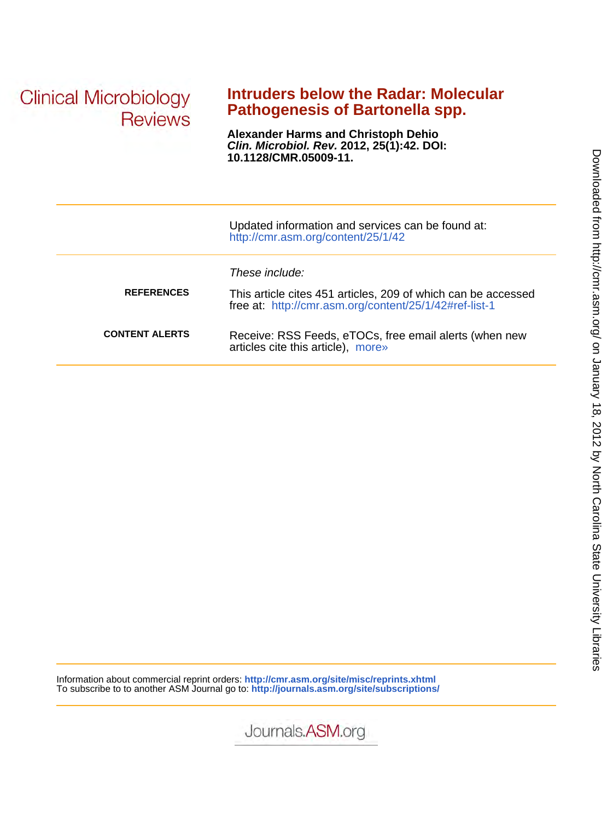**Clinical Microbiology Reviews** 

# **Pathogenesis of Bartonella spp. Intruders below the Radar: Molecular**

**10.1128/CMR.05009-11. Clin. Microbiol. Rev. 2012, 25(1):42. DOI: Alexander Harms and Christoph Dehio**

|                       | Updated information and services can be found at:<br>http://cmr.asm.org/content/25/1/42                                                   |
|-----------------------|-------------------------------------------------------------------------------------------------------------------------------------------|
| <b>REFERENCES</b>     | These include:<br>This article cites 451 articles, 209 of which can be accessed<br>free at: http://cmr.asm.org/content/25/1/42#ref-list-1 |
| <b>CONTENT ALERTS</b> | Receive: RSS Feeds, eTOCs, free email alerts (when new<br>articles cite this article), more»                                              |

Information about commercial reprint orders: **http://cmr.asm.org/site/misc/reprints.xhtml** To subscribe to to another ASM Journal go to: **http://journals.asm.org/site/subscriptions/**

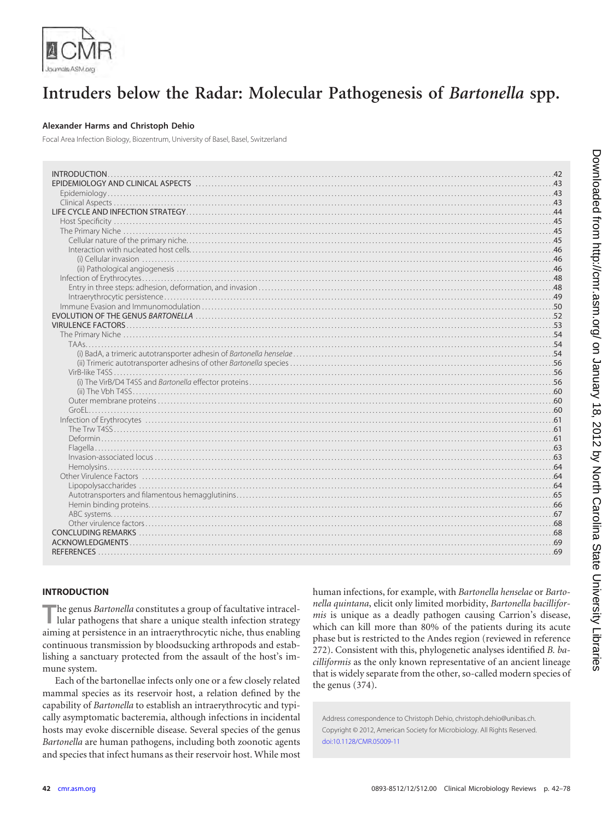

# **Intruders below the Radar: Molecular Pathogenesis of** *Bartonella* **spp.**

# **Alexander Harms and Christoph Dehio**

Focal Area Infection Biology, Biozentrum, University of Basel, Basel, Switzerland

| Hemolysins |  |
|------------|--|
|            |  |
|            |  |
|            |  |
|            |  |
|            |  |
|            |  |
|            |  |
|            |  |
|            |  |
|            |  |

#### **INTRODUCTION**

The genus *Bartonella* constitutes a group of facultative intracellular pathogens that share a unique stealth infection strategy aiming at persistence in an intraerythrocytic niche, thus enabling continuous transmission by bloodsucking arthropods and establishing a sanctuary protected from the assault of the host's immune system.

Each of the bartonellae infects only one or a few closely related mammal species as its reservoir host, a relation defined by the capability of *Bartonella* to establish an intraerythrocytic and typically asymptomatic bacteremia, although infections in incidental hosts may evoke discernible disease. Several species of the genus *Bartonella* are human pathogens, including both zoonotic agents and species that infect humans as their reservoir host. While most human infections, for example, with *Bartonella henselae* or *Bartonella quintana*, elicit only limited morbidity, *Bartonella bacilliformis* is unique as a deadly pathogen causing Carrion's disease, which can kill more than 80% of the patients during its acute phase but is restricted to the Andes region (reviewed in reference [272\)](#page-33-0). Consistent with this, phylogenetic analyses identified *B. bacilliformis* as the only known representative of an ancient lineage that is widely separate from the other, so-called modern species of the genus [\(374\)](#page-35-0).

Address correspondence to Christoph Dehio, christoph.dehio@unibas.ch. Copyright © 2012, American Society for Microbiology. All Rights Reserved. [doi:10.1128/CMR.05009-11](http://dx.doi.org/10.1128/CMR.05009-11)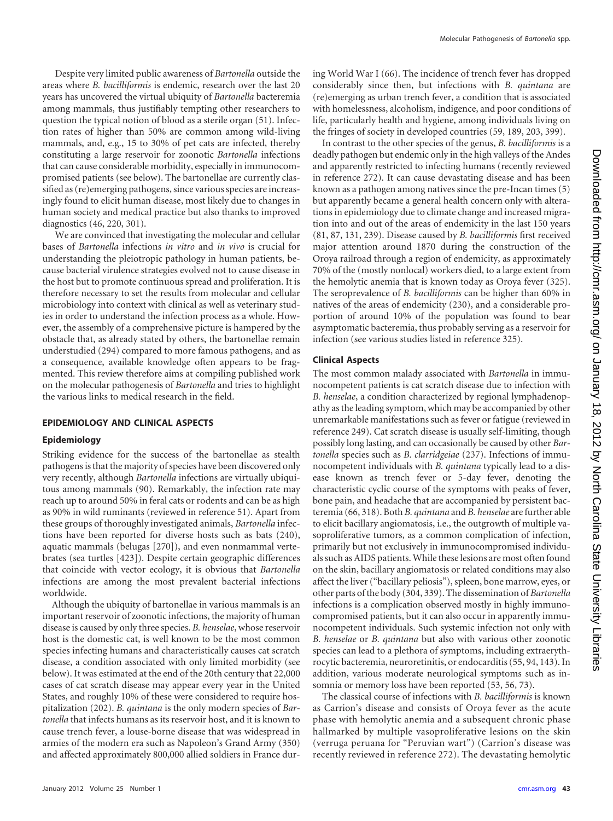Despite very limited public awareness of *Bartonella* outside the areas where *B. bacilliformis* is endemic, research over the last 20 years has uncovered the virtual ubiquity of *Bartonella* bacteremia among mammals, thus justifiably tempting other researchers to question the typical notion of blood as a sterile organ [\(51\)](#page-29-0). Infection rates of higher than 50% are common among wild-living mammals, and, e.g., 15 to 30% of pet cats are infected, thereby constituting a large reservoir for zoonotic *Bartonella* infections that can cause considerable morbidity, especially in immunocompromised patients (see below). The bartonellae are currently classified as (re)emerging pathogens, since various species are increasingly found to elicit human disease, most likely due to changes in human society and medical practice but also thanks to improved diagnostics [\(46,](#page-29-1) [220,](#page-32-0) [301\)](#page-34-0).

We are convinced that investigating the molecular and cellular bases of *Bartonella* infections *in vitro* and *in vivo* is crucial for understanding the pleiotropic pathology in human patients, because bacterial virulence strategies evolved not to cause disease in the host but to promote continuous spread and proliferation. It is therefore necessary to set the results from molecular and cellular microbiology into context with clinical as well as veterinary studies in order to understand the infection process as a whole. However, the assembly of a comprehensive picture is hampered by the obstacle that, as already stated by others, the bartonellae remain understudied [\(294\)](#page-34-1) compared to more famous pathogens, and as a consequence, available knowledge often appears to be fragmented. This review therefore aims at compiling published work on the molecular pathogenesis of *Bartonella* and tries to highlight the various links to medical research in the field.

# **EPIDEMIOLOGY AND CLINICAL ASPECTS**

# **Epidemiology**

Striking evidence for the success of the bartonellae as stealth pathogens is that the majority of species have been discovered only very recently, although *Bartonella* infections are virtually ubiquitous among mammals [\(90\)](#page-30-0). Remarkably, the infection rate may reach up to around 50% in feral cats or rodents and can be as high as 90% in wild ruminants (reviewed in reference [51\)](#page-29-0). Apart from these groups of thoroughly investigated animals, *Bartonella* infections have been reported for diverse hosts such as bats [\(240\)](#page-32-1), aquatic mammals (belugas [\[270\]](#page-33-1)), and even nonmammal vertebrates (sea turtles [\[423\]](#page-36-0)). Despite certain geographic differences that coincide with vector ecology, it is obvious that *Bartonella* infections are among the most prevalent bacterial infections worldwide.

Although the ubiquity of bartonellae in various mammals is an important reservoir of zoonotic infections, the majority of human disease is caused by only three species. *B. henselae*, whose reservoir host is the domestic cat, is well known to be the most common species infecting humans and characteristically causes cat scratch disease, a condition associated with only limited morbidity (see below). It was estimated at the end of the 20th century that 22,000 cases of cat scratch disease may appear every year in the United States, and roughly 10% of these were considered to require hospitalization [\(202\)](#page-32-2). *B. quintana* is the only modern species of *Bartonella* that infects humans as its reservoir host, and it is known to cause trench fever, a louse-borne disease that was widespread in armies of the modern era such as Napoleon's Grand Army [\(350\)](#page-35-1) and affected approximately 800,000 allied soldiers in France during World War I [\(66\)](#page-29-2). The incidence of trench fever has dropped considerably since then, but infections with *B. quintana* are (re)emerging as urban trench fever, a condition that is associated with homelessness, alcoholism, indigence, and poor conditions of life, particularly health and hygiene, among individuals living on the fringes of society in developed countries [\(59,](#page-29-3) [189,](#page-31-0) [203,](#page-32-3) [399\)](#page-36-1).

In contrast to the other species of the genus, *B. bacilliformis* is a deadly pathogen but endemic only in the high valleys of the Andes and apparently restricted to infecting humans (recently reviewed in reference [272\)](#page-33-0). It can cause devastating disease and has been known as a pathogen among natives since the pre-Incan times [\(5\)](#page-28-0) but apparently became a general health concern only with alterations in epidemiology due to climate change and increased migration into and out of the areas of endemicity in the last 150 years [\(81,](#page-29-4) [87,](#page-29-5) [131,](#page-30-1) [239\)](#page-32-4). Disease caused by *B. bacilliformis* first received major attention around 1870 during the construction of the Oroya railroad through a region of endemicity, as approximately 70% of the (mostly nonlocal) workers died, to a large extent from the hemolytic anemia that is known today as Oroya fever [\(325\)](#page-34-2). The seroprevalence of *B. bacilliformis* can be higher than 60% in natives of the areas of endemicity [\(230\)](#page-32-5), and a considerable proportion of around 10% of the population was found to bear asymptomatic bacteremia, thus probably serving as a reservoir for infection (see various studies listed in reference [325\)](#page-34-2).

#### **Clinical Aspects**

The most common malady associated with *Bartonella* in immunocompetent patients is cat scratch disease due to infection with *B. henselae*, a condition characterized by regional lymphadenopathy as the leading symptom, which may be accompanied by other unremarkable manifestations such as fever or fatigue (reviewed in reference [249\)](#page-33-2). Cat scratch disease is usually self-limiting, though possibly long lasting, and can occasionally be caused by other *Bartonella* species such as *B. clarridgeiae* [\(237\)](#page-32-6). Infections of immunocompetent individuals with *B. quintana* typically lead to a disease known as trench fever or 5-day fever, denoting the characteristic cyclic course of the symptoms with peaks of fever, bone pain, and headache that are accompanied by persistent bacteremia [\(66,](#page-29-2) [318\)](#page-34-3). Both *B. quintana* and *B. henselae* are further able to elicit bacillary angiomatosis, i.e., the outgrowth of multiple vasoproliferative tumors, as a common complication of infection, primarily but not exclusively in immunocompromised individuals such as AIDS patients. While these lesions are most often found on the skin, bacillary angiomatosis or related conditions may also affect the liver ("bacillary peliosis"), spleen, bone marrow, eyes, or other parts of the body [\(304,](#page-34-4) [339\)](#page-34-5). The dissemination of *Bartonella* infections is a complication observed mostly in highly immunocompromised patients, but it can also occur in apparently immunocompetent individuals. Such systemic infection not only with *B. henselae* or *B. quintana* but also with various other zoonotic species can lead to a plethora of symptoms, including extraerythrocytic bacteremia, neuroretinitis, or endocarditis [\(55,](#page-29-6) [94,](#page-30-2) [143\)](#page-31-1). In addition, various moderate neurological symptoms such as insomnia or memory loss have been reported [\(53,](#page-29-7) [56,](#page-29-8) [73\)](#page-29-9).

The classical course of infections with *B. bacilliformis* is known as Carrion's disease and consists of Oroya fever as the acute phase with hemolytic anemia and a subsequent chronic phase hallmarked by multiple vasoproliferative lesions on the skin (verruga peruana for "Peruvian wart") (Carrion's disease was recently reviewed in reference [272\)](#page-33-0). The devastating hemolytic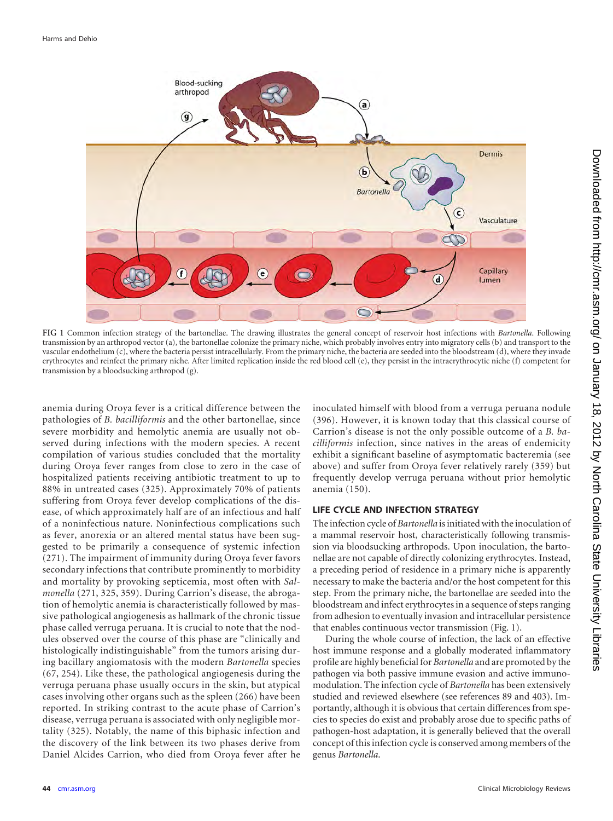

<span id="page-3-0"></span>**FIG 1** Common infection strategy of the bartonellae. The drawing illustrates the general concept of reservoir host infections with *Bartonella*. Following transmission by an arthropod vector (a), the bartonellae colonize the primary niche, which probably involves entry into migratory cells (b) and transport to the vascular endothelium (c), where the bacteria persist intracellularly. From the primary niche, the bacteria are seeded into the bloodstream (d), where they invade erythrocytes and reinfect the primary niche. After limited replication inside the red blood cell (e), they persist in the intraerythrocytic niche (f) competent for transmission by a bloodsucking arthropod (g).

anemia during Oroya fever is a critical difference between the pathologies of *B. bacilliformis* and the other bartonellae, since severe morbidity and hemolytic anemia are usually not observed during infections with the modern species. A recent compilation of various studies concluded that the mortality during Oroya fever ranges from close to zero in the case of hospitalized patients receiving antibiotic treatment to up to 88% in untreated cases [\(325\)](#page-34-2). Approximately 70% of patients suffering from Oroya fever develop complications of the disease, of which approximately half are of an infectious and half of a noninfectious nature. Noninfectious complications such as fever, anorexia or an altered mental status have been suggested to be primarily a consequence of systemic infection [\(271\)](#page-33-3). The impairment of immunity during Oroya fever favors secondary infections that contribute prominently to morbidity and mortality by provoking septicemia, most often with *Salmonella* [\(271,](#page-33-3) [325,](#page-34-2) [359\)](#page-35-2). During Carrion's disease, the abrogation of hemolytic anemia is characteristically followed by massive pathological angiogenesis as hallmark of the chronic tissue phase called verruga peruana. It is crucial to note that the nodules observed over the course of this phase are "clinically and histologically indistinguishable" from the tumors arising during bacillary angiomatosis with the modern *Bartonella* species [\(67,](#page-29-10) [254\)](#page-33-4). Like these, the pathological angiogenesis during the verruga peruana phase usually occurs in the skin, but atypical cases involving other organs such as the spleen [\(266\)](#page-33-5) have been reported. In striking contrast to the acute phase of Carrion's disease, verruga peruana is associated with only negligible mortality [\(325\)](#page-34-2). Notably, the name of this biphasic infection and the discovery of the link between its two phases derive from Daniel Alcides Carrion, who died from Oroya fever after he

inoculated himself with blood from a verruga peruana nodule [\(396\)](#page-35-3). However, it is known today that this classical course of Carrion's disease is not the only possible outcome of a *B. bacilliformis* infection, since natives in the areas of endemicity exhibit a significant baseline of asymptomatic bacteremia (see above) and suffer from Oroya fever relatively rarely [\(359\)](#page-35-2) but frequently develop verruga peruana without prior hemolytic anemia [\(150\)](#page-31-2).

# **LIFE CYCLE AND INFECTION STRATEGY**

The infection cycle of *Bartonella* is initiated with the inoculation of a mammal reservoir host, characteristically following transmission via bloodsucking arthropods. Upon inoculation, the bartonellae are not capable of directly colonizing erythrocytes. Instead, a preceding period of residence in a primary niche is apparently necessary to make the bacteria and/or the host competent for this step. From the primary niche, the bartonellae are seeded into the bloodstream and infect erythrocytes in a sequence of steps ranging from adhesion to eventually invasion and intracellular persistence that enables continuous vector transmission [\(Fig. 1\)](#page-3-0).

During the whole course of infection, the lack of an effective host immune response and a globally moderated inflammatory profile are highly beneficial for *Bartonella* and are promoted by the pathogen via both passive immune evasion and active immunomodulation. The infection cycle of *Bartonella* has been extensively studied and reviewed elsewhere (see references [89](#page-30-3) and [403\)](#page-36-2). Importantly, although it is obvious that certain differences from species to species do exist and probably arose due to specific paths of pathogen-host adaptation, it is generally believed that the overall concept of this infection cycle is conserved among members of the genus *Bartonella*.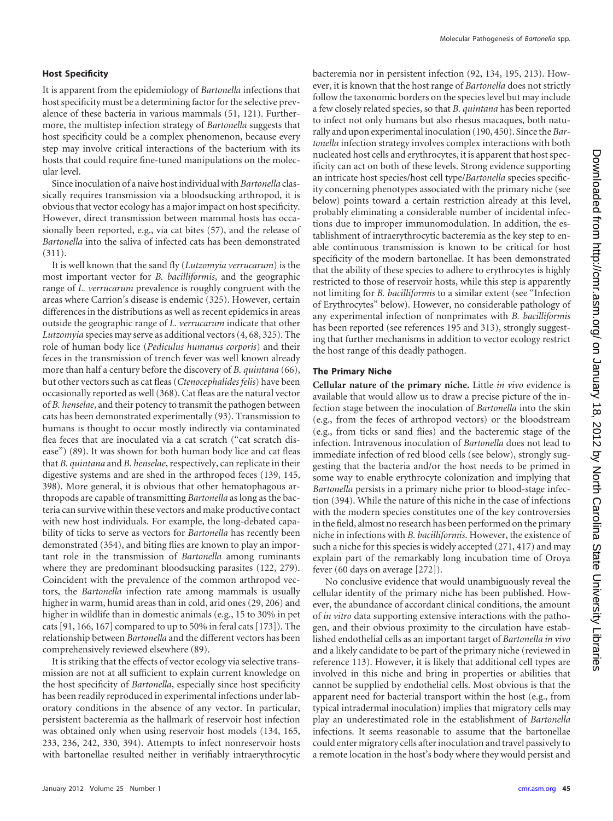# **Host Specificity**

It is apparent from the epidemiology of *Bartonella* infections that host specificity must be a determining factor for the selective prevalence of these bacteria in various mammals [\(51,](#page-29-0) [121\)](#page-30-4). Furthermore, the multistep infection strategy of *Bartonella* suggests that host specificity could be a complex phenomenon, because every step may involve critical interactions of the bacterium with its hosts that could require fine-tuned manipulations on the molecular level.

Since inoculation of a naive host individual with *Bartonella* classically requires transmission via a bloodsucking arthropod, it is obvious that vector ecology has a major impact on host specificity. However, direct transmission between mammal hosts has occasionally been reported, e.g., via cat bites [\(57\)](#page-29-11), and the release of *Bartonella* into the saliva of infected cats has been demonstrated [\(311\)](#page-34-6).

It is well known that the sand fly (*Lutzomyia verrucarum*) is the most important vector for *B. bacilliformis*, and the geographic range of *L. verrucarum* prevalence is roughly congruent with the areas where Carrion's disease is endemic [\(325\)](#page-34-2). However, certain differences in the distributions as well as recent epidemics in areas outside the geographic range of *L. verrucarum* indicate that other *Lutzomyia* species may serve as additional vectors [\(4,](#page-28-1) [68,](#page-29-12) [325\)](#page-34-2). The role of human body lice (*Pediculus humanus corporis*) and their feces in the transmission of trench fever was well known already more than half a century before the discovery of *B. quintana* [\(66\)](#page-29-2), but other vectors such as cat fleas (*Ctenocephalides felis*) have been occasionally reported as well [\(368\)](#page-35-4). Cat fleas are the natural vector of *B. henselae*, and their potency to transmit the pathogen between cats has been demonstrated experimentally [\(93\)](#page-30-5). Transmission to humans is thought to occur mostly indirectly via contaminated flea feces that are inoculated via a cat scratch ("cat scratch disease") [\(89\)](#page-30-3). It was shown for both human body lice and cat fleas that *B. quintana* and *B. henselae*, respectively, can replicate in their digestive systems and are shed in the arthropod feces [\(139,](#page-30-6) [145,](#page-31-3) [398\)](#page-36-3). More general, it is obvious that other hematophagous arthropods are capable of transmitting *Bartonella* as long as the bacteria can survive within these vectors and make productive contact with new host individuals. For example, the long-debated capability of ticks to serve as vectors for *Bartonella* has recently been demonstrated [\(354\)](#page-35-5), and biting flies are known to play an important role in the transmission of *Bartonella* among ruminants where they are predominant bloodsucking parasites [\(122,](#page-30-7) [279\)](#page-33-6). Coincident with the prevalence of the common arthropod vectors, the *Bartonella* infection rate among mammals is usually higher in warm, humid areas than in cold, arid ones [\(29,](#page-28-2) [206\)](#page-32-7) and higher in wildlife than in domestic animals (e.g., 15 to 30% in pet cats [\[91,](#page-30-8) [166,](#page-31-4) [167\]](#page-31-5) compared to up to 50% in feral cats [\[173\]](#page-31-6)). The relationship between *Bartonella* and the different vectors has been comprehensively reviewed elsewhere [\(89\)](#page-30-3).

It is striking that the effects of vector ecology via selective transmission are not at all sufficient to explain current knowledge on the host specificity of *Bartonella*, especially since host specificity has been readily reproduced in experimental infections under laboratory conditions in the absence of any vector. In particular, persistent bacteremia as the hallmark of reservoir host infection was obtained only when using reservoir host models [\(134,](#page-30-9) [165,](#page-31-7) [233,](#page-32-8) [236,](#page-32-9) [242,](#page-32-10) [330,](#page-34-7) [394\)](#page-35-6). Attempts to infect nonreservoir hosts with bartonellae resulted neither in verifiably intraerythrocytic

bacteremia nor in persistent infection [\(92,](#page-30-10) [134,](#page-30-9) [195,](#page-32-11) [213\)](#page-32-12). However, it is known that the host range of *Bartonella* does not strictly follow the taxonomic borders on the species level but may include a few closely related species, so that *B. quintana* has been reported to infect not only humans but also rhesus macaques, both naturally and upon experimental inoculation [\(190,](#page-31-8) [450\)](#page-37-0). Since the *Bartonella* infection strategy involves complex interactions with both nucleated host cells and erythrocytes, it is apparent that host specificity can act on both of these levels. Strong evidence supporting an intricate host species/host cell type/*Bartonella* species specificity concerning phenotypes associated with the primary niche (see below) points toward a certain restriction already at this level, probably eliminating a considerable number of incidental infections due to improper immunomodulation. In addition, the establishment of intraerythrocytic bacteremia as the key step to enable continuous transmission is known to be critical for host specificity of the modern bartonellae. It has been demonstrated that the ability of these species to adhere to erythrocytes is highly restricted to those of reservoir hosts, while this step is apparently not limiting for *B. bacilliformis* to a similar extent (see "Infection of Erythrocytes" below). However, no considerable pathology of any experimental infection of nonprimates with *B. bacilliformis* has been reported (see references [195](#page-32-11) and [313\)](#page-34-8), strongly suggesting that further mechanisms in addition to vector ecology restrict the host range of this deadly pathogen.

#### **The Primary Niche**

**Cellular nature of the primary niche.** Little *in vivo* evidence is available that would allow us to draw a precise picture of the infection stage between the inoculation of *Bartonella* into the skin (e.g., from the feces of arthropod vectors) or the bloodstream (e.g., from ticks or sand flies) and the bacteremic stage of the infection. Intravenous inoculation of *Bartonella* does not lead to immediate infection of red blood cells (see below), strongly suggesting that the bacteria and/or the host needs to be primed in some way to enable erythrocyte colonization and implying that *Bartonella* persists in a primary niche prior to blood-stage infection [\(394\)](#page-35-6). While the nature of this niche in the case of infections with the modern species constitutes one of the key controversies in the field, almost no research has been performed on the primary niche in infections with *B. bacilliformis*. However, the existence of such a niche for this species is widely accepted [\(271,](#page-33-3) [417\)](#page-36-4) and may explain part of the remarkably long incubation time of Oroya fever (60 days on average [\[272\]](#page-33-0)).

No conclusive evidence that would unambiguously reveal the cellular identity of the primary niche has been published. However, the abundance of accordant clinical conditions, the amount of *in vitro* data supporting extensive interactions with the pathogen, and their obvious proximity to the circulation have established endothelial cells as an important target of *Bartonella in vivo* and a likely candidate to be part of the primary niche (reviewed in reference [113\)](#page-30-11). However, it is likely that additional cell types are involved in this niche and bring in properties or abilities that cannot be supplied by endothelial cells. Most obvious is that the apparent need for bacterial transport within the host (e.g., from typical intradermal inoculation) implies that migratory cells may play an underestimated role in the establishment of *Bartonella* infections. It seems reasonable to assume that the bartonellae could enter migratory cells after inoculation and travel passively to a remote location in the host's body where they would persist and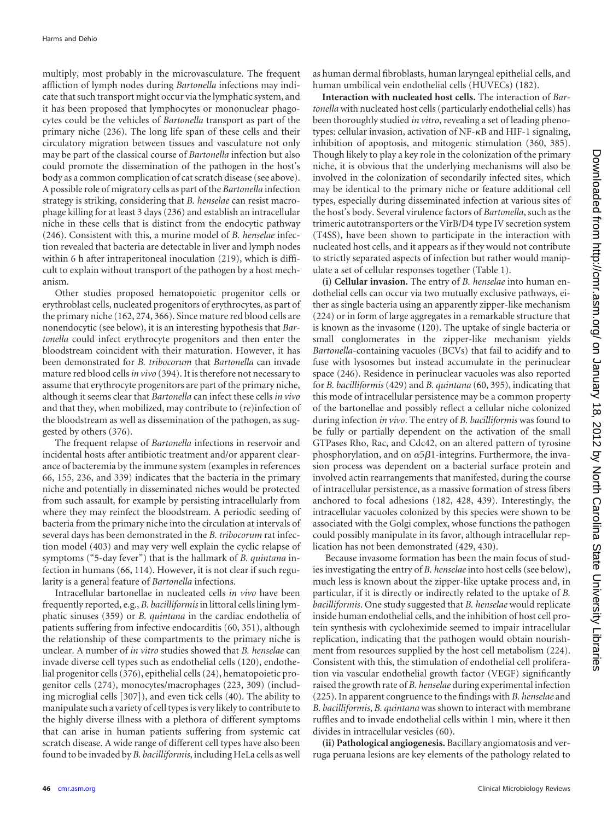multiply, most probably in the microvasculature. The frequent affliction of lymph nodes during *Bartonella* infections may indicate that such transport might occur via the lymphatic system, and it has been proposed that lymphocytes or mononuclear phagocytes could be the vehicles of *Bartonella* transport as part of the primary niche [\(236\)](#page-32-9). The long life span of these cells and their circulatory migration between tissues and vasculature not only may be part of the classical course of *Bartonella* infection but also could promote the dissemination of the pathogen in the host's body as a common complication of cat scratch disease (see above). A possible role of migratory cells as part of the *Bartonella* infection strategy is striking, considering that *B. henselae* can resist macrophage killing for at least 3 days [\(236\)](#page-32-9) and establish an intracellular niche in these cells that is distinct from the endocytic pathway [\(246\)](#page-33-7). Consistent with this, a murine model of *B. henselae* infection revealed that bacteria are detectable in liver and lymph nodes within 6 h after intraperitoneal inoculation [\(219\)](#page-32-13), which is difficult to explain without transport of the pathogen by a host mechanism.

Other studies proposed hematopoietic progenitor cells or erythroblast cells, nucleated progenitors of erythrocytes, as part of the primary niche [\(162,](#page-31-9) [274,](#page-33-8) [366\)](#page-35-7). Since mature red blood cells are nonendocytic (see below), it is an interesting hypothesis that *Bartonella* could infect erythrocyte progenitors and then enter the bloodstream coincident with their maturation. However, it has been demonstrated for *B. tribocorum* that *Bartonella* can invade mature red blood cells*in vivo* [\(394\)](#page-35-6). It is therefore not necessary to assume that erythrocyte progenitors are part of the primary niche, although it seems clear that *Bartonella* can infect these cells *in vivo* and that they, when mobilized, may contribute to (re)infection of the bloodstream as well as dissemination of the pathogen, as suggested by others [\(376\)](#page-35-8).

The frequent relapse of *Bartonella* infections in reservoir and incidental hosts after antibiotic treatment and/or apparent clearance of bacteremia by the immune system (examples in references [66,](#page-29-2) [155,](#page-31-10) [236,](#page-32-9) and [339\)](#page-34-5) indicates that the bacteria in the primary niche and potentially in disseminated niches would be protected from such assault, for example by persisting intracellularly from where they may reinfect the bloodstream. A periodic seeding of bacteria from the primary niche into the circulation at intervals of several days has been demonstrated in the *B. tribocorum* rat infection model [\(403\)](#page-36-2) and may very well explain the cyclic relapse of symptoms ("5-day fever") that is the hallmark of *B. quintana* infection in humans [\(66,](#page-29-2) [114\)](#page-30-12). However, it is not clear if such regularity is a general feature of *Bartonella* infections.

Intracellular bartonellae in nucleated cells *in vivo* have been frequently reported, e.g., *B. bacilliformis* in littoral cells lining lymphatic sinuses [\(359\)](#page-35-2) or *B. quintana* in the cardiac endothelia of patients suffering from infective endocarditis [\(60,](#page-29-13) [351\)](#page-35-9), although the relationship of these compartments to the primary niche is unclear. A number of *in vitro* studies showed that *B. henselae* can invade diverse cell types such as endothelial cells [\(120\)](#page-30-13), endothelial progenitor cells [\(376\)](#page-35-8), epithelial cells [\(24\)](#page-28-3), hematopoietic progenitor cells [\(274\)](#page-33-8), monocytes/macrophages [\(223,](#page-32-14) [309\)](#page-34-9) (including microglial cells [\[307\]](#page-34-10)), and even tick cells [\(40\)](#page-29-14). The ability to manipulate such a variety of cell types is very likely to contribute to the highly diverse illness with a plethora of different symptoms that can arise in human patients suffering from systemic cat scratch disease. A wide range of different cell types have also been found to be invaded by *B. bacilliformis*, including HeLa cells as well

as human dermal fibroblasts, human laryngeal epithelial cells, and human umbilical vein endothelial cells (HUVECs) [\(182\)](#page-31-11).

**Interaction with nucleated host cells.** The interaction of *Bartonella* with nucleated host cells (particularly endothelial cells) has been thoroughly studied *in vitro*, revealing a set of leading phenotypes: cellular invasion, activation of NF-KB and HIF-1 signaling, inhibition of apoptosis, and mitogenic stimulation [\(360,](#page-35-10) [385\)](#page-35-11). Though likely to play a key role in the colonization of the primary niche, it is obvious that the underlying mechanisms will also be involved in the colonization of secondarily infected sites, which may be identical to the primary niche or feature additional cell types, especially during disseminated infection at various sites of the host's body. Several virulence factors of *Bartonella*, such as the trimeric autotransporters or the VirB/D4 type IV secretion system (T4SS), have been shown to participate in the interaction with nucleated host cells, and it appears as if they would not contribute to strictly separated aspects of infection but rather would manipulate a set of cellular responses together [\(Table 1\)](#page-6-0).

**(i) Cellular invasion.** The entry of *B. henselae* into human endothelial cells can occur via two mutually exclusive pathways, either as single bacteria using an apparently zipper-like mechanism [\(224\)](#page-32-15) or in form of large aggregates in a remarkable structure that is known as the invasome [\(120\)](#page-30-13). The uptake of single bacteria or small conglomerates in the zipper-like mechanism yields *Bartonella*-containing vacuoles (BCVs) that fail to acidify and to fuse with lysosomes but instead accumulate in the perinuclear space [\(246\)](#page-33-7). Residence in perinuclear vacuoles was also reported for *B. bacilliformis*[\(429\)](#page-36-5) and *B. quintana* [\(60,](#page-29-13) [395\)](#page-35-12), indicating that this mode of intracellular persistence may be a common property of the bartonellae and possibly reflect a cellular niche colonized during infection *in vivo*. The entry of *B. bacilliformis* was found to be fully or partially dependent on the activation of the small GTPases Rho, Rac, and Cdc42, on an altered pattern of tyrosine phosphorylation, and on  $\alpha$ 5 $\beta$ 1-integrins. Furthermore, the invasion process was dependent on a bacterial surface protein and involved actin rearrangements that manifested, during the course of intracellular persistence, as a massive formation of stress fibers anchored to focal adhesions [\(182,](#page-31-11) [428,](#page-36-6) [439\)](#page-36-7). Interestingly, the intracellular vacuoles colonized by this species were shown to be associated with the Golgi complex, whose functions the pathogen could possibly manipulate in its favor, although intracellular replication has not been demonstrated [\(429,](#page-36-5) [430\)](#page-36-8).

Because invasome formation has been the main focus of studies investigating the entry of *B. henselae*into host cells (see below), much less is known about the zipper-like uptake process and, in particular, if it is directly or indirectly related to the uptake of *B. bacilliformis*. One study suggested that *B. henselae* would replicate inside human endothelial cells, and the inhibition of host cell protein synthesis with cycloheximide seemed to impair intracellular replication, indicating that the pathogen would obtain nourishment from resources supplied by the host cell metabolism [\(224\)](#page-32-15). Consistent with this, the stimulation of endothelial cell proliferation via vascular endothelial growth factor (VEGF) significantly raised the growth rate of *B. henselae* during experimental infection [\(225\)](#page-32-16). In apparent congruence to the findings with *B. henselae* and *B. bacilliformis*, *B. quintana* was shown to interact with membrane ruffles and to invade endothelial cells within 1 min, where it then divides in intracellular vesicles [\(60\)](#page-29-13).

**(ii) Pathological angiogenesis.** Bacillary angiomatosis and verruga peruana lesions are key elements of the pathology related to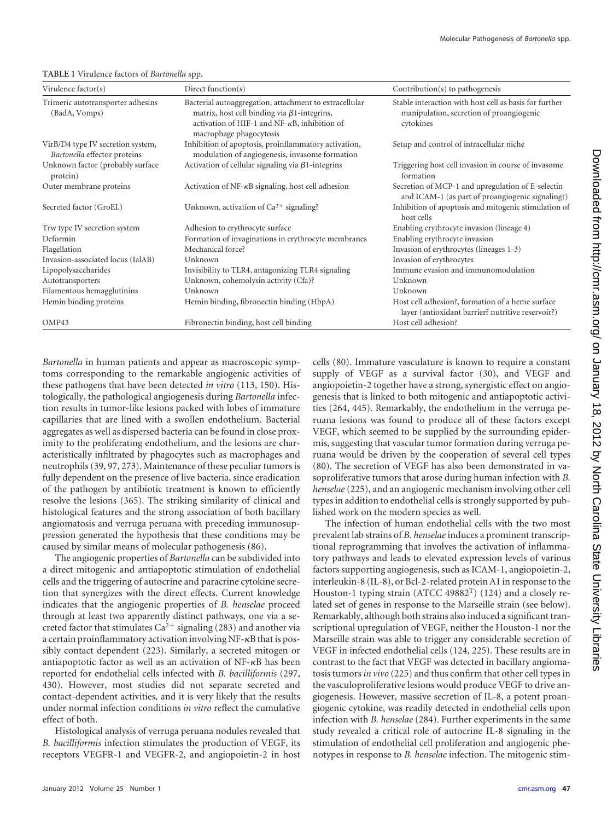<span id="page-6-0"></span>**TABLE 1** Virulence factors of *Bartonella* spp.

| Virulence factor(s)                                               | Direct function(s)                                                                                                                                                                                   | Contribution(s) to pathogenesis                                                                                 |
|-------------------------------------------------------------------|------------------------------------------------------------------------------------------------------------------------------------------------------------------------------------------------------|-----------------------------------------------------------------------------------------------------------------|
| Trimeric autotransporter adhesins<br>(BadA, Vomps)                | Bacterial autoaggregation, attachment to extracellular<br>matrix, host cell binding via $\beta$ 1-integrins,<br>activation of HIF-1 and NF- <sub>KB</sub> , inhibition of<br>macrophage phagocytosis | Stable interaction with host cell as basis for further<br>manipulation, secretion of proangiogenic<br>cytokines |
| VirB/D4 type IV secretion system,<br>Bartonella effector proteins | Inhibition of apoptosis, proinflammatory activation,<br>modulation of angiogenesis, invasome formation                                                                                               | Setup and control of intracellular niche                                                                        |
| Unknown factor (probably surface<br>protein)                      | Activation of cellular signaling via $\beta$ 1-integrins                                                                                                                                             | Triggering host cell invasion in course of invasome<br>formation                                                |
| Outer membrane proteins                                           | Activation of NF- <sub>KB</sub> signaling, host cell adhesion                                                                                                                                        | Secretion of MCP-1 and upregulation of E-selectin<br>and ICAM-1 (as part of proangiogenic signaling?)           |
| Secreted factor (GroEL)                                           | Unknown, activation of $Ca^{2+}$ signaling?                                                                                                                                                          | Inhibition of apoptosis and mitogenic stimulation of<br>host cells                                              |
| Trw type IV secretion system                                      | Adhesion to erythrocyte surface                                                                                                                                                                      | Enabling erythrocyte invasion (lineage 4)                                                                       |
| Deformin                                                          | Formation of invaginations in erythrocyte membranes                                                                                                                                                  | Enabling erythrocyte invasion                                                                                   |
| Flagellation                                                      | Mechanical force?                                                                                                                                                                                    | Invasion of erythrocytes (lineages 1-3)                                                                         |
| Invasion-associated locus (IalAB)                                 | Unknown                                                                                                                                                                                              | Invasion of erythrocytes                                                                                        |
| Lipopolysaccharides                                               | Invisibility to TLR4, antagonizing TLR4 signaling                                                                                                                                                    | Immune evasion and immunomodulation                                                                             |
| Autotransporters                                                  | Unknown, cohemolysin activity (Cfa)?                                                                                                                                                                 | Unknown                                                                                                         |
| Filamentous hemagglutinins                                        | Unknown                                                                                                                                                                                              | Unknown                                                                                                         |
| Hemin binding proteins                                            | Hemin binding, fibronectin binding (HbpA)                                                                                                                                                            | Host cell adhesion?, formation of a heme surface<br>layer (antioxidant barrier? nutritive reservoir?)           |
| OMP43                                                             | Fibronectin binding, host cell binding                                                                                                                                                               | Host cell adhesion?                                                                                             |

*Bartonella* in human patients and appear as macroscopic symptoms corresponding to the remarkable angiogenic activities of these pathogens that have been detected *in vitro* [\(113,](#page-30-11) [150\)](#page-31-2). Histologically, the pathological angiogenesis during *Bartonella* infection results in tumor-like lesions packed with lobes of immature capillaries that are lined with a swollen endothelium. Bacterial aggregates as well as dispersed bacteria can be found in close proximity to the proliferating endothelium, and the lesions are characteristically infiltrated by phagocytes such as macrophages and neutrophils [\(39,](#page-29-15) [97,](#page-30-14) [273\)](#page-33-9). Maintenance of these peculiar tumors is fully dependent on the presence of live bacteria, since eradication of the pathogen by antibiotic treatment is known to efficiently resolve the lesions [\(365\)](#page-35-13). The striking similarity of clinical and histological features and the strong association of both bacillary angiomatosis and verruga peruana with preceding immunosuppression generated the hypothesis that these conditions may be caused by similar means of molecular pathogenesis [\(86\)](#page-29-16).

The angiogenic properties of *Bartonella* can be subdivided into a direct mitogenic and antiapoptotic stimulation of endothelial cells and the triggering of autocrine and paracrine cytokine secretion that synergizes with the direct effects. Current knowledge indicates that the angiogenic properties of *B. henselae* proceed through at least two apparently distinct pathways, one via a secreted factor that stimulates  $Ca^{2+}$  signaling [\(283\)](#page-33-10) and another via a certain proinflammatory activation involving  $NF$ - $\kappa$ B that is possibly contact dependent [\(223\)](#page-32-14). Similarly, a secreted mitogen or antiapoptotic factor as well as an activation of  $NF$ - $\kappa$ B has been reported for endothelial cells infected with *B. bacilliformis* [\(297,](#page-34-11) [430\)](#page-36-8). However, most studies did not separate secreted and contact-dependent activities, and it is very likely that the results under normal infection conditions *in vitro* reflect the cumulative effect of both.

Histological analysis of verruga peruana nodules revealed that *B. bacilliformis* infection stimulates the production of VEGF, its receptors VEGFR-1 and VEGFR-2, and angiopoietin-2 in host

cells [\(80\)](#page-29-17). Immature vasculature is known to require a constant supply of VEGF as a survival factor [\(30\)](#page-28-4), and VEGF and angiopoietin-2 together have a strong, synergistic effect on angiogenesis that is linked to both mitogenic and antiapoptotic activities [\(264,](#page-33-11) [445\)](#page-36-9). Remarkably, the endothelium in the verruga peruana lesions was found to produce all of these factors except VEGF, which seemed to be supplied by the surrounding epidermis, suggesting that vascular tumor formation during verruga peruana would be driven by the cooperation of several cell types [\(80\)](#page-29-17). The secretion of VEGF has also been demonstrated in vasoproliferative tumors that arose during human infection with *B. henselae* [\(225\)](#page-32-16), and an angiogenic mechanism involving other cell types in addition to endothelial cells is strongly supported by published work on the modern species as well.

The infection of human endothelial cells with the two most prevalent lab strains of *B. henselae*induces a prominent transcriptional reprogramming that involves the activation of inflammatory pathways and leads to elevated expression levels of various factors supporting angiogenesis, such as ICAM-1, angiopoietin-2, interleukin-8 (IL-8), or Bcl-2-related protein A1 in response to the Houston-1 typing strain (ATCC 49882T) [\(124\)](#page-30-15) and a closely related set of genes in response to the Marseille strain (see below). Remarkably, although both strains also induced a significant transcriptional upregulation of VEGF, neither the Houston-1 nor the Marseille strain was able to trigger any considerable secretion of VEGF in infected endothelial cells [\(124,](#page-30-15) [225\)](#page-32-16). These results are in contrast to the fact that VEGF was detected in bacillary angiomatosis tumors *in vivo* [\(225\)](#page-32-16) and thus confirm that other cell types in the vasculoproliferative lesions would produce VEGF to drive angiogenesis. However, massive secretion of IL-8, a potent proangiogenic cytokine, was readily detected in endothelial cells upon infection with *B. henselae* [\(284\)](#page-33-12). Further experiments in the same study revealed a critical role of autocrine IL-8 signaling in the stimulation of endothelial cell proliferation and angiogenic phenotypes in response to *B. henselae* infection. The mitogenic stim-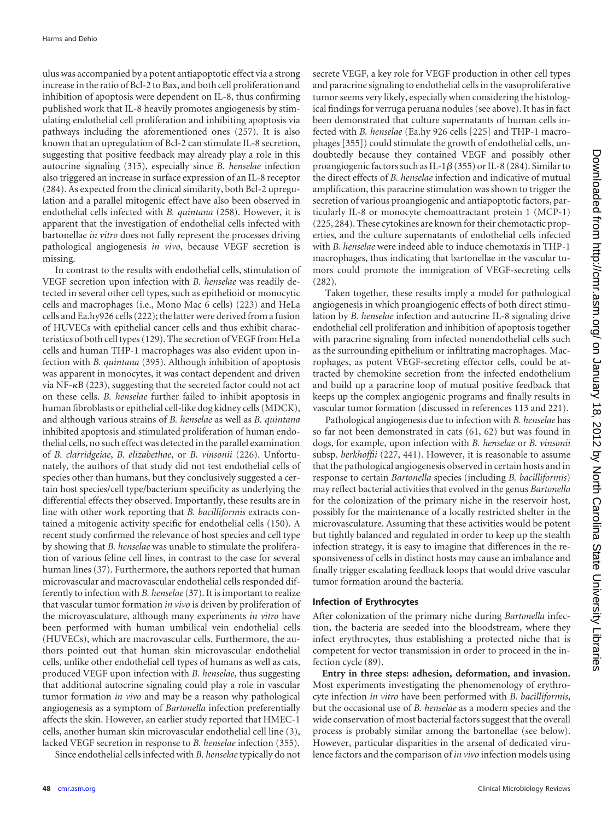ulus was accompanied by a potent antiapoptotic effect via a strong increase in the ratio of Bcl-2 to Bax, and both cell proliferation and inhibition of apoptosis were dependent on IL-8, thus confirming published work that IL-8 heavily promotes angiogenesis by stimulating endothelial cell proliferation and inhibiting apoptosis via pathways including the aforementioned ones [\(257\)](#page-33-13). It is also known that an upregulation of Bcl-2 can stimulate IL-8 secretion, suggesting that positive feedback may already play a role in this autocrine signaling [\(315\)](#page-34-12), especially since *B. henselae* infection also triggered an increase in surface expression of an IL-8 receptor [\(284\)](#page-33-12). As expected from the clinical similarity, both Bcl-2 upregulation and a parallel mitogenic effect have also been observed in endothelial cells infected with *B. quintana* [\(258\)](#page-33-14). However, it is apparent that the investigation of endothelial cells infected with bartonellae *in vitro* does not fully represent the processes driving pathological angiogenesis *in vivo*, because VEGF secretion is missing.

In contrast to the results with endothelial cells, stimulation of VEGF secretion upon infection with *B. henselae* was readily detected in several other cell types, such as epithelioid or monocytic cells and macrophages (i.e., Mono Mac 6 cells) [\(223\)](#page-32-14) and HeLa cells and Ea.hy926 cells [\(222\)](#page-32-17); the latter were derived from a fusion of HUVECs with epithelial cancer cells and thus exhibit characteristics of both cell types [\(129\)](#page-30-16). The secretion of VEGF from HeLa cells and human THP-1 macrophages was also evident upon infection with *B. quintana* [\(395\)](#page-35-12). Although inhibition of apoptosis was apparent in monocytes, it was contact dependent and driven via NF- $\kappa$ B [\(223\)](#page-32-14), suggesting that the secreted factor could not act on these cells. *B. henselae* further failed to inhibit apoptosis in human fibroblasts or epithelial cell-like dog kidney cells (MDCK), and although various strains of *B. henselae* as well as *B. quintana* inhibited apoptosis and stimulated proliferation of human endothelial cells, no such effect was detected in the parallel examination of *B. clarridgeiae*, *B. elizabethae*, or *B. vinsonii* [\(226\)](#page-32-18). Unfortunately, the authors of that study did not test endothelial cells of species other than humans, but they conclusively suggested a certain host species/cell type/bacterium specificity as underlying the differential effects they observed. Importantly, these results are in line with other work reporting that *B. bacilliformis* extracts contained a mitogenic activity specific for endothelial cells [\(150\)](#page-31-2). A recent study confirmed the relevance of host species and cell type by showing that *B. henselae* was unable to stimulate the proliferation of various feline cell lines, in contrast to the case for several human lines [\(37\)](#page-28-5). Furthermore, the authors reported that human microvascular and macrovascular endothelial cells responded differently to infection with *B. henselae*[\(37\)](#page-28-5). It is important to realize that vascular tumor formation *in vivo* is driven by proliferation of the microvasculature, although many experiments *in vitro* have been performed with human umbilical vein endothelial cells (HUVECs), which are macrovascular cells. Furthermore, the authors pointed out that human skin microvascular endothelial cells, unlike other endothelial cell types of humans as well as cats, produced VEGF upon infection with *B. henselae*, thus suggesting that additional autocrine signaling could play a role in vascular tumor formation *in vivo* and may be a reason why pathological angiogenesis as a symptom of *Bartonella* infection preferentially affects the skin. However, an earlier study reported that HMEC-1 cells, another human skin microvascular endothelial cell line [\(3\)](#page-28-6), lacked VEGF secretion in response to *B. henselae* infection [\(355\)](#page-35-14).

Since endothelial cells infected with *B. henselae*typically do not

secrete VEGF, a key role for VEGF production in other cell types and paracrine signaling to endothelial cells in the vasoproliferative tumor seems very likely, especially when considering the histological findings for verruga peruana nodules (see above). It has in fact been demonstrated that culture supernatants of human cells infected with *B. henselae* (Ea.hy 926 cells [\[225\]](#page-32-16) and THP-1 macrophages [\[355\]](#page-35-14)) could stimulate the growth of endothelial cells, undoubtedly because they contained VEGF and possibly other proangiogenic factors such as IL-1 $\beta$  [\(355\)](#page-35-14) or IL-8 [\(284\)](#page-33-12). Similar to the direct effects of *B. henselae* infection and indicative of mutual amplification, this paracrine stimulation was shown to trigger the secretion of various proangiogenic and antiapoptotic factors, particularly IL-8 or monocyte chemoattractant protein 1 (MCP-1) [\(225,](#page-32-16) [284\)](#page-33-12). These cytokines are known for their chemotactic properties, and the culture supernatants of endothelial cells infected with *B. henselae* were indeed able to induce chemotaxis in THP-1 macrophages, thus indicating that bartonellae in the vascular tumors could promote the immigration of VEGF-secreting cells [\(282\)](#page-33-15).

Taken together, these results imply a model for pathological angiogenesis in which proangiogenic effects of both direct stimulation by *B. henselae* infection and autocrine IL-8 signaling drive endothelial cell proliferation and inhibition of apoptosis together with paracrine signaling from infected nonendothelial cells such as the surrounding epithelium or infiltrating macrophages. Macrophages, as potent VEGF-secreting effector cells, could be attracted by chemokine secretion from the infected endothelium and build up a paracrine loop of mutual positive feedback that keeps up the complex angiogenic programs and finally results in vascular tumor formation (discussed in references [113](#page-30-11) and [221\)](#page-32-19).

Pathological angiogenesis due to infection with *B. henselae* has so far not been demonstrated in cats [\(61,](#page-29-18) [62\)](#page-29-19) but was found in dogs, for example, upon infection with *B. henselae* or *B. vinsonii* subsp. *berkhoffii* [\(227,](#page-32-20) [441\)](#page-36-10). However, it is reasonable to assume that the pathological angiogenesis observed in certain hosts and in response to certain *Bartonella* species (including *B. bacilliformis*) may reflect bacterial activities that evolved in the genus *Bartonella* for the colonization of the primary niche in the reservoir host, possibly for the maintenance of a locally restricted shelter in the microvasculature. Assuming that these activities would be potent but tightly balanced and regulated in order to keep up the stealth infection strategy, it is easy to imagine that differences in the responsiveness of cells in distinct hosts may cause an imbalance and finally trigger escalating feedback loops that would drive vascular tumor formation around the bacteria.

# **Infection of Erythrocytes**

After colonization of the primary niche during *Bartonella* infection, the bacteria are seeded into the bloodstream, where they infect erythrocytes, thus establishing a protected niche that is competent for vector transmission in order to proceed in the infection cycle [\(89\)](#page-30-3).

**Entry in three steps: adhesion, deformation, and invasion.** Most experiments investigating the phenomenology of erythrocyte infection *in vitro* have been performed with *B. bacilliformis*, but the occasional use of *B. henselae* as a modern species and the wide conservation of most bacterial factors suggest that the overall process is probably similar among the bartonellae (see below). However, particular disparities in the arsenal of dedicated virulence factors and the comparison of *in vivo* infection models using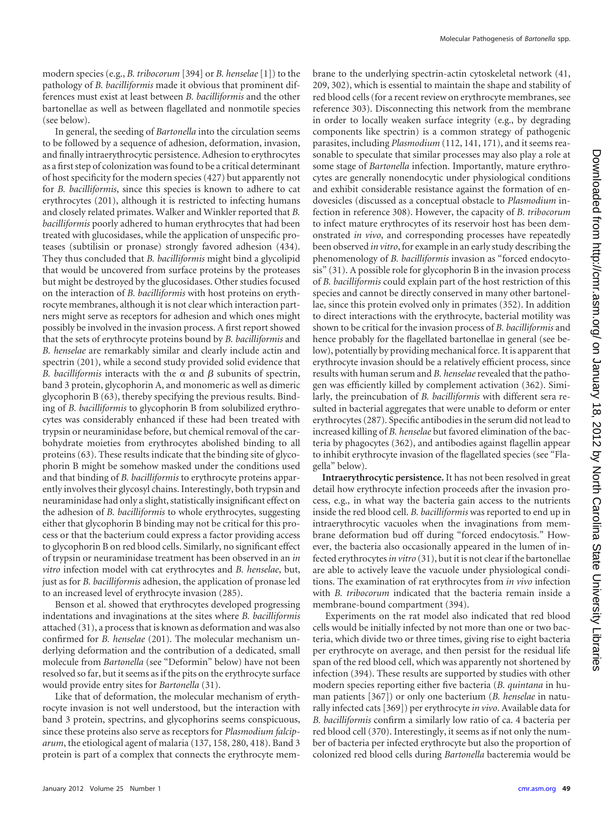modern species (e.g., *B. tribocorum* [\[394\]](#page-35-6) or *B. henselae*[\[1\]](#page-28-7)) to the pathology of *B. bacilliformis* made it obvious that prominent differences must exist at least between *B. bacilliformis* and the other bartonellae as well as between flagellated and nonmotile species (see below).

In general, the seeding of *Bartonella* into the circulation seems to be followed by a sequence of adhesion, deformation, invasion, and finally intraerythrocytic persistence. Adhesion to erythrocytes as a first step of colonization was found to be a critical determinant of host specificity for the modern species [\(427\)](#page-36-11) but apparently not for *B. bacilliformis*, since this species is known to adhere to cat erythrocytes [\(201\)](#page-32-21), although it is restricted to infecting humans and closely related primates. Walker and Winkler reported that *B. bacilliformis* poorly adhered to human erythrocytes that had been treated with glucosidases, while the application of unspecific proteases (subtilisin or pronase) strongly favored adhesion [\(434\)](#page-36-12). They thus concluded that *B. bacilliformis* might bind a glycolipid that would be uncovered from surface proteins by the proteases but might be destroyed by the glucosidases. Other studies focused on the interaction of *B. bacilliformis* with host proteins on erythrocyte membranes, although it is not clear which interaction partners might serve as receptors for adhesion and which ones might possibly be involved in the invasion process. A first report showed that the sets of erythrocyte proteins bound by *B. bacilliformis* and *B. henselae* are remarkably similar and clearly include actin and spectrin [\(201\)](#page-32-21), while a second study provided solid evidence that *B. bacilliformis* interacts with the  $\alpha$  and  $\beta$  subunits of spectrin, band 3 protein, glycophorin A, and monomeric as well as dimeric glycophorin B [\(63\)](#page-29-20), thereby specifying the previous results. Binding of *B. bacilliformis* to glycophorin B from solubilized erythrocytes was considerably enhanced if these had been treated with trypsin or neuraminidase before, but chemical removal of the carbohydrate moieties from erythrocytes abolished binding to all proteins [\(63\)](#page-29-20). These results indicate that the binding site of glycophorin B might be somehow masked under the conditions used and that binding of *B. bacilliformis* to erythrocyte proteins apparently involves their glycosyl chains. Interestingly, both trypsin and neuraminidase had only a slight, statistically insignificant effect on the adhesion of *B. bacilliformis* to whole erythrocytes, suggesting either that glycophorin B binding may not be critical for this process or that the bacterium could express a factor providing access to glycophorin B on red blood cells. Similarly, no significant effect of trypsin or neuraminidase treatment has been observed in an *in vitro* infection model with cat erythrocytes and *B. henselae*, but, just as for *B. bacilliformis* adhesion, the application of pronase led to an increased level of erythrocyte invasion [\(285\)](#page-33-16).

Benson et al. showed that erythrocytes developed progressing indentations and invaginations at the sites where *B. bacilliformis* attached [\(31\)](#page-28-8), a process that is known as deformation and was also confirmed for *B. henselae* [\(201\)](#page-32-21). The molecular mechanism underlying deformation and the contribution of a dedicated, small molecule from *Bartonella* (see "Deformin" below) have not been resolved so far, but it seems as if the pits on the erythrocyte surface would provide entry sites for *Bartonella* [\(31\)](#page-28-8).

Like that of deformation, the molecular mechanism of erythrocyte invasion is not well understood, but the interaction with band 3 protein, spectrins, and glycophorins seems conspicuous, since these proteins also serve as receptors for *Plasmodium falciparum*, the etiological agent of malaria [\(137,](#page-30-17) [158,](#page-31-12) [280,](#page-33-17) [418\)](#page-36-13). Band 3 protein is part of a complex that connects the erythrocyte membrane to the underlying spectrin-actin cytoskeletal network [\(41,](#page-29-21) [209,](#page-32-22) [302\)](#page-34-13), which is essential to maintain the shape and stability of red blood cells (for a recent review on erythrocyte membranes, see reference [303\)](#page-34-14). Disconnecting this network from the membrane in order to locally weaken surface integrity (e.g., by degrading components like spectrin) is a common strategy of pathogenic parasites, including *Plasmodium* [\(112,](#page-30-18) [141,](#page-30-19) [171\)](#page-31-13), and it seems reasonable to speculate that similar processes may also play a role at some stage of *Bartonella* infection. Importantly, mature erythrocytes are generally nonendocytic under physiological conditions and exhibit considerable resistance against the formation of endovesicles (discussed as a conceptual obstacle to *Plasmodium* infection in reference [308\)](#page-34-15). However, the capacity of *B. tribocorum* to infect mature erythrocytes of its reservoir host has been demonstrated *in vivo*, and corresponding processes have repeatedly been observed *in vitro*, for example in an early study describing the phenomenology of *B. bacilliformis* invasion as "forced endocytosis" [\(31\)](#page-28-8). A possible role for glycophorin B in the invasion process of *B. bacilliformis* could explain part of the host restriction of this species and cannot be directly conserved in many other bartonellae, since this protein evolved only in primates [\(352\)](#page-35-15). In addition to direct interactions with the erythrocyte, bacterial motility was shown to be critical for the invasion process of *B. bacilliformis* and hence probably for the flagellated bartonellae in general (see below), potentially by providing mechanical force. It is apparent that erythrocyte invasion should be a relatively efficient process, since results with human serum and *B. henselae*revealed that the pathogen was efficiently killed by complement activation [\(362\)](#page-35-16). Similarly, the preincubation of *B. bacilliformis* with different sera resulted in bacterial aggregates that were unable to deform or enter erythrocytes [\(287\)](#page-33-18). Specific antibodies in the serum did not lead to increased killing of *B. henselae* but favored elimination of the bacteria by phagocytes [\(362\)](#page-35-16), and antibodies against flagellin appear to inhibit erythrocyte invasion of the flagellated species (see "Flagella" below).

**Intraerythrocytic persistence.** It has not been resolved in great detail how erythrocyte infection proceeds after the invasion process, e.g., in what way the bacteria gain access to the nutrients inside the red blood cell. *B. bacilliformis* was reported to end up in intraerythrocytic vacuoles when the invaginations from membrane deformation bud off during "forced endocytosis." However, the bacteria also occasionally appeared in the lumen of infected erythrocytes*in vitro* [\(31\)](#page-28-8), but it is not clear if the bartonellae are able to actively leave the vacuole under physiological conditions. The examination of rat erythrocytes from *in vivo* infection with *B. tribocorum* indicated that the bacteria remain inside a membrane-bound compartment [\(394\)](#page-35-6).

Experiments on the rat model also indicated that red blood cells would be initially infected by not more than one or two bacteria, which divide two or three times, giving rise to eight bacteria per erythrocyte on average, and then persist for the residual life span of the red blood cell, which was apparently not shortened by infection [\(394\)](#page-35-6). These results are supported by studies with other modern species reporting either five bacteria (*B. quintana* in human patients [\[367\]](#page-35-17)) or only one bacterium (*B. henselae* in naturally infected cats [\[369\]](#page-35-18)) per erythrocyte *in vivo*. Available data for *B. bacilliformis* confirm a similarly low ratio of ca. 4 bacteria per red blood cell [\(370\)](#page-35-19). Interestingly, it seems as if not only the number of bacteria per infected erythrocyte but also the proportion of colonized red blood cells during *Bartonella* bacteremia would be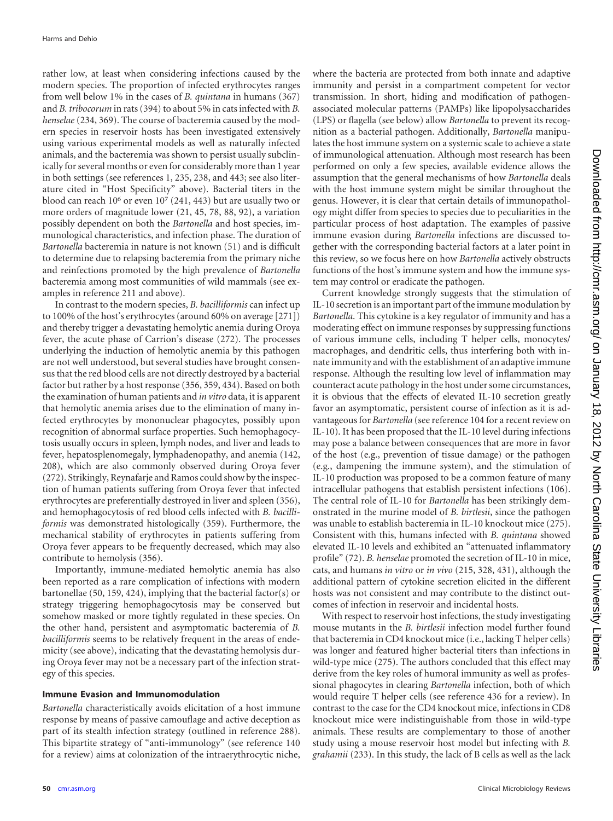rather low, at least when considering infections caused by the modern species. The proportion of infected erythrocytes ranges from well below 1% in the cases of *B. quintana* in humans [\(367\)](#page-35-17) and *B. tribocorum* in rats [\(394\)](#page-35-6) to about 5% in cats infected with *B. henselae* [\(234,](#page-32-23) [369\)](#page-35-18). The course of bacteremia caused by the modern species in reservoir hosts has been investigated extensively using various experimental models as well as naturally infected animals, and the bacteremia was shown to persist usually subclinically for several months or even for considerably more than 1 year in both settings (see references [1,](#page-28-7) [235,](#page-32-24) [238,](#page-32-25) and [443;](#page-36-14) see also literature cited in "Host Specificity" above). Bacterial titers in the blood can reach  $10^6$  or even  $10^7$  [\(241,](#page-32-26) [443\)](#page-36-14) but are usually two or more orders of magnitude lower [\(21,](#page-28-9) [45,](#page-29-22) [78,](#page-29-23) [88,](#page-29-24) [92\)](#page-30-10), a variation possibly dependent on both the *Bartonella* and host species, immunological characteristics, and infection phase. The duration of *Bartonella* bacteremia in nature is not known [\(51\)](#page-29-0) and is difficult to determine due to relapsing bacteremia from the primary niche and reinfections promoted by the high prevalence of *Bartonella* bacteremia among most communities of wild mammals (see examples in reference [211](#page-32-27) and above).

In contrast to the modern species, *B. bacilliformis* can infect up to 100% of the host's erythrocytes (around 60% on average [\[271\]](#page-33-3)) and thereby trigger a devastating hemolytic anemia during Oroya fever, the acute phase of Carrion's disease [\(272\)](#page-33-0). The processes underlying the induction of hemolytic anemia by this pathogen are not well understood, but several studies have brought consensus that the red blood cells are not directly destroyed by a bacterial factor but rather by a host response [\(356,](#page-35-20) [359,](#page-35-2) [434\)](#page-36-12). Based on both the examination of human patients and *in vitro* data, it is apparent that hemolytic anemia arises due to the elimination of many infected erythrocytes by mononuclear phagocytes, possibly upon recognition of abnormal surface properties. Such hemophagocytosis usually occurs in spleen, lymph nodes, and liver and leads to fever, hepatosplenomegaly, lymphadenopathy, and anemia [\(142,](#page-31-14) [208\)](#page-32-28), which are also commonly observed during Oroya fever [\(272\)](#page-33-0). Strikingly, Reynafarje and Ramos could show by the inspection of human patients suffering from Oroya fever that infected erythrocytes are preferentially destroyed in liver and spleen [\(356\)](#page-35-20), and hemophagocytosis of red blood cells infected with *B. bacilliformis* was demonstrated histologically [\(359\)](#page-35-2). Furthermore, the mechanical stability of erythrocytes in patients suffering from Oroya fever appears to be frequently decreased, which may also contribute to hemolysis [\(356\)](#page-35-20).

Importantly, immune-mediated hemolytic anemia has also been reported as a rare complication of infections with modern bartonellae [\(50,](#page-29-25) [159,](#page-31-15) [424\)](#page-36-15), implying that the bacterial factor(s) or strategy triggering hemophagocytosis may be conserved but somehow masked or more tightly regulated in these species. On the other hand, persistent and asymptomatic bacteremia of *B. bacilliformis* seems to be relatively frequent in the areas of endemicity (see above), indicating that the devastating hemolysis during Oroya fever may not be a necessary part of the infection strategy of this species.

#### **Immune Evasion and Immunomodulation**

*Bartonella* characteristically avoids elicitation of a host immune response by means of passive camouflage and active deception as part of its stealth infection strategy (outlined in reference [288\)](#page-33-19). This bipartite strategy of "anti-immunology" (see reference [140](#page-30-20) for a review) aims at colonization of the intraerythrocytic niche,

where the bacteria are protected from both innate and adaptive immunity and persist in a compartment competent for vector transmission. In short, hiding and modification of pathogenassociated molecular patterns (PAMPs) like lipopolysaccharides (LPS) or flagella (see below) allow *Bartonella* to prevent its recognition as a bacterial pathogen. Additionally, *Bartonella* manipulates the host immune system on a systemic scale to achieve a state of immunological attenuation. Although most research has been performed on only a few species, available evidence allows the assumption that the general mechanisms of how *Bartonella* deals with the host immune system might be similar throughout the genus. However, it is clear that certain details of immunopathology might differ from species to species due to peculiarities in the particular process of host adaptation. The examples of passive immune evasion during *Bartonella* infections are discussed together with the corresponding bacterial factors at a later point in this review, so we focus here on how *Bartonella* actively obstructs functions of the host's immune system and how the immune system may control or eradicate the pathogen.

Current knowledge strongly suggests that the stimulation of IL-10 secretion is an important part of the immune modulation by *Bartonella*. This cytokine is a key regulator of immunity and has a moderating effect on immune responses by suppressing functions of various immune cells, including T helper cells, monocytes/ macrophages, and dendritic cells, thus interfering both with innate immunity and with the establishment of an adaptive immune response. Although the resulting low level of inflammation may counteract acute pathology in the host under some circumstances, it is obvious that the effects of elevated IL-10 secretion greatly favor an asymptomatic, persistent course of infection as it is advantageous for *Bartonella* (see reference [104](#page-30-21) for a recent review on IL-10). It has been proposed that the IL-10 level during infections may pose a balance between consequences that are more in favor of the host (e.g., prevention of tissue damage) or the pathogen (e.g., dampening the immune system), and the stimulation of IL-10 production was proposed to be a common feature of many intracellular pathogens that establish persistent infections [\(106\)](#page-30-22). The central role of IL-10 for *Bartonella* has been strikingly demonstrated in the murine model of *B. birtlesii*, since the pathogen was unable to establish bacteremia in IL-10 knockout mice [\(275\)](#page-33-20). Consistent with this, humans infected with *B. quintana* showed elevated IL-10 levels and exhibited an "attenuated inflammatory profile" [\(72\)](#page-29-26). *B. henselae* promoted the secretion of IL-10 in mice, cats, and humans *in vitro* or *in vivo* [\(215,](#page-32-29) [328,](#page-34-16) [431\)](#page-36-16), although the additional pattern of cytokine secretion elicited in the different hosts was not consistent and may contribute to the distinct outcomes of infection in reservoir and incidental hosts.

With respect to reservoir host infections, the study investigating mouse mutants in the *B. birtlesii* infection model further found that bacteremia in CD4 knockout mice (i.e., lacking T helper cells) was longer and featured higher bacterial titers than infections in wild-type mice [\(275\)](#page-33-20). The authors concluded that this effect may derive from the key roles of humoral immunity as well as professional phagocytes in clearing *Bartonella* infection, both of which would require T helper cells (see reference [436](#page-36-17) for a review). In contrast to the case for the CD4 knockout mice, infections in CD8 knockout mice were indistinguishable from those in wild-type animals. These results are complementary to those of another study using a mouse reservoir host model but infecting with *B. grahamii* [\(233\)](#page-32-8). In this study, the lack of B cells as well as the lack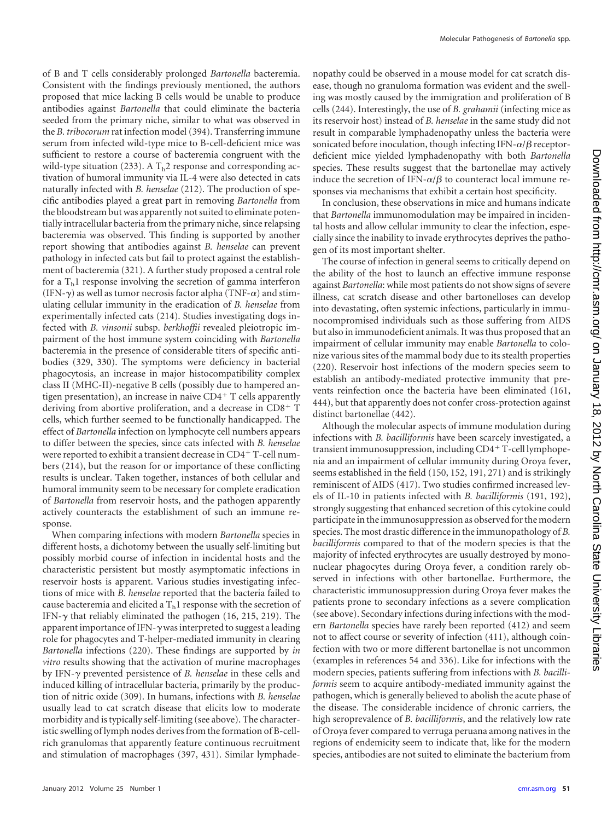of B and T cells considerably prolonged *Bartonella* bacteremia. Consistent with the findings previously mentioned, the authors proposed that mice lacking B cells would be unable to produce antibodies against *Bartonella* that could eliminate the bacteria seeded from the primary niche, similar to what was observed in the *B. tribocorum* rat infection model [\(394\)](#page-35-6). Transferring immune serum from infected wild-type mice to B-cell-deficient mice was sufficient to restore a course of bacteremia congruent with the wild-type situation [\(233\)](#page-32-8). A  $T<sub>b</sub>2$  response and corresponding activation of humoral immunity via IL-4 were also detected in cats naturally infected with *B. henselae* [\(212\)](#page-32-30). The production of specific antibodies played a great part in removing *Bartonella* from the bloodstream but was apparently not suited to eliminate potentially intracellular bacteria from the primary niche, since relapsing bacteremia was observed. This finding is supported by another report showing that antibodies against *B. henselae* can prevent pathology in infected cats but fail to protect against the establishment of bacteremia [\(321\)](#page-34-17). A further study proposed a central role for a  $T<sub>h</sub>1$  response involving the secretion of gamma interferon (IFN- $\gamma$ ) as well as tumor necrosis factor alpha (TNF- $\alpha$ ) and stimulating cellular immunity in the eradication of *B. henselae* from experimentally infected cats [\(214\)](#page-32-31). Studies investigating dogs infected with *B. vinsonii* subsp. *berkhoffii* revealed pleiotropic impairment of the host immune system coinciding with *Bartonella* bacteremia in the presence of considerable titers of specific antibodies [\(329,](#page-34-18) [330\)](#page-34-7). The symptoms were deficiency in bacterial phagocytosis, an increase in major histocompatibility complex class II (MHC-II)-negative B cells (possibly due to hampered antigen presentation), an increase in naive  $CD4+T$  cells apparently deriving from abortive proliferation, and a decrease in  $CD8<sup>+</sup>$  T cells, which further seemed to be functionally handicapped. The effect of *Bartonella* infection on lymphocyte cell numbers appears to differ between the species, since cats infected with *B. henselae* were reported to exhibit a transient decrease in CD4<sup>+</sup> T-cell numbers [\(214\)](#page-32-31), but the reason for or importance of these conflicting results is unclear. Taken together, instances of both cellular and humoral immunity seem to be necessary for complete eradication of *Bartonella* from reservoir hosts, and the pathogen apparently actively counteracts the establishment of such an immune response.

When comparing infections with modern *Bartonella* species in different hosts, a dichotomy between the usually self-limiting but possibly morbid course of infection in incidental hosts and the characteristic persistent but mostly asymptomatic infections in reservoir hosts is apparent. Various studies investigating infections of mice with *B. henselae* reported that the bacteria failed to cause bacteremia and elicited a  $T<sub>h</sub>1$  response with the secretion of IFN- $\gamma$  that reliably eliminated the pathogen [\(16,](#page-28-10) [215,](#page-32-29) [219\)](#page-32-13). The apparent importance of IFN- $\gamma$  was interpreted to suggest a leading role for phagocytes and T-helper-mediated immunity in clearing *Bartonella* infections [\(220\)](#page-32-0). These findings are supported by *in vitro* results showing that the activation of murine macrophages by IFN- prevented persistence of *B. henselae* in these cells and induced killing of intracellular bacteria, primarily by the production of nitric oxide [\(309\)](#page-34-9). In humans, infections with *B. henselae* usually lead to cat scratch disease that elicits low to moderate morbidity and is typically self-limiting (see above). The characteristic swelling of lymph nodes derives from the formation of B-cellrich granulomas that apparently feature continuous recruitment and stimulation of macrophages [\(397,](#page-35-21) [431\)](#page-36-16). Similar lymphadenopathy could be observed in a mouse model for cat scratch disease, though no granuloma formation was evident and the swelling was mostly caused by the immigration and proliferation of B cells [\(244\)](#page-33-21). Interestingly, the use of *B. grahamii* (infecting mice as its reservoir host) instead of *B. henselae* in the same study did not result in comparable lymphadenopathy unless the bacteria were sonicated before inoculation, though infecting IFN- $\alpha$ / $\beta$  receptordeficient mice yielded lymphadenopathy with both *Bartonella* species. These results suggest that the bartonellae may actively induce the secretion of IFN- $\alpha/\beta$  to counteract local immune responses via mechanisms that exhibit a certain host specificity.

In conclusion, these observations in mice and humans indicate that *Bartonella* immunomodulation may be impaired in incidental hosts and allow cellular immunity to clear the infection, especially since the inability to invade erythrocytes deprives the pathogen of its most important shelter.

The course of infection in general seems to critically depend on the ability of the host to launch an effective immune response against *Bartonella*: while most patients do not show signs of severe illness, cat scratch disease and other bartonelloses can develop into devastating, often systemic infections, particularly in immunocompromised individuals such as those suffering from AIDS but also in immunodeficient animals. It was thus proposed that an impairment of cellular immunity may enable *Bartonella* to colonize various sites of the mammal body due to its stealth properties [\(220\)](#page-32-0). Reservoir host infections of the modern species seem to establish an antibody-mediated protective immunity that prevents reinfection once the bacteria have been eliminated [\(161,](#page-31-16) [444\)](#page-36-18), but that apparently does not confer cross-protection against distinct bartonellae [\(442\)](#page-36-19).

Although the molecular aspects of immune modulation during infections with *B. bacilliformis* have been scarcely investigated, a transient immunosuppression, including CD4+T-cell lymphopenia and an impairment of cellular immunity during Oroya fever, seems established in the field [\(150,](#page-31-2) [152,](#page-31-17) [191,](#page-31-18) [271\)](#page-33-3) and is strikingly reminiscent of AIDS [\(417\)](#page-36-4). Two studies confirmed increased levels of IL-10 in patients infected with *B. bacilliformis* [\(191,](#page-31-18) [192\)](#page-32-32), strongly suggesting that enhanced secretion of this cytokine could participate in the immunosuppression as observed for the modern species. The most drastic difference in the immunopathology of *B. bacilliformis* compared to that of the modern species is that the majority of infected erythrocytes are usually destroyed by mononuclear phagocytes during Oroya fever, a condition rarely observed in infections with other bartonellae. Furthermore, the characteristic immunosuppression during Oroya fever makes the patients prone to secondary infections as a severe complication (see above). Secondary infections during infections with the modern *Bartonella* species have rarely been reported [\(412\)](#page-36-20) and seem not to affect course or severity of infection [\(411\)](#page-36-21), although coinfection with two or more different bartonellae is not uncommon (examples in references [54](#page-29-27) and [336\)](#page-34-19). Like for infections with the modern species, patients suffering from infections with *B. bacilliformis* seem to acquire antibody-mediated immunity against the pathogen, which is generally believed to abolish the acute phase of the disease. The considerable incidence of chronic carriers, the high seroprevalence of *B. bacilliformis*, and the relatively low rate of Oroya fever compared to verruga peruana among natives in the regions of endemicity seem to indicate that, like for the modern species, antibodies are not suited to eliminate the bacterium from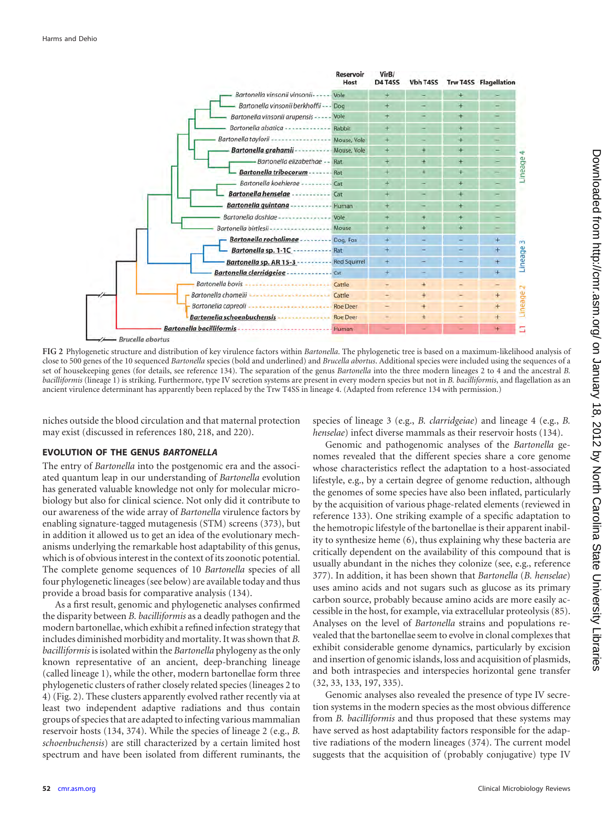

<span id="page-11-0"></span>**FIG 2** Phylogenetic structure and distribution of key virulence factors within *Bartonella*. The phylogenetic tree is based on a maximum-likelihood analysis of close to 500 genes of the 10 sequenced *Bartonella* species (bold and underlined) and *Brucella abortus*. Additional species were included using the sequences of a set of housekeeping genes (for details, see reference [134\)](#page-30-9). The separation of the genus *Bartonella* into the three modern lineages 2 to 4 and the ancestral *B. bacilliformis* (lineage 1) is striking. Furthermore, type IV secretion systems are present in every modern species but not in *B. bacilliformis*, and flagellation as an ancient virulence determinant has apparently been replaced by the Trw T4SS in lineage 4. (Adapted from reference [134](#page-30-9) with permission.)

niches outside the blood circulation and that maternal protection may exist (discussed in references [180,](#page-31-19) [218,](#page-32-33) and [220\)](#page-32-0).

# species of lineage 3 (e.g., *B. clarridgeiae*) and lineage 4 (e.g., *B. henselae*) infect diverse mammals as their reservoir hosts [\(134\)](#page-30-9).

# **EVOLUTION OF THE GENUS** *BARTONELLA*

The entry of *Bartonella* into the postgenomic era and the associated quantum leap in our understanding of *Bartonella* evolution has generated valuable knowledge not only for molecular microbiology but also for clinical science. Not only did it contribute to our awareness of the wide array of *Bartonella* virulence factors by enabling signature-tagged mutagenesis (STM) screens [\(373\)](#page-35-22), but in addition it allowed us to get an idea of the evolutionary mechanisms underlying the remarkable host adaptability of this genus, which is of obvious interest in the context of its zoonotic potential. The complete genome sequences of 10 *Bartonella* species of all four phylogenetic lineages (see below) are available today and thus provide a broad basis for comparative analysis [\(134\)](#page-30-9).

As a first result, genomic and phylogenetic analyses confirmed the disparity between *B. bacilliformis* as a deadly pathogen and the modern bartonellae, which exhibit a refined infection strategy that includes diminished morbidity and mortality. It was shown that *B. bacilliformis* is isolated within the *Bartonella* phylogeny as the only known representative of an ancient, deep-branching lineage (called lineage 1), while the other, modern bartonellae form three phylogenetic clusters of rather closely related species (lineages 2 to 4) [\(Fig. 2\)](#page-11-0). These clusters apparently evolved rather recently via at least two independent adaptive radiations and thus contain groups of species that are adapted to infecting various mammalian reservoir hosts [\(134,](#page-30-9) [374\)](#page-35-0). While the species of lineage 2 (e.g., *B. schoenbuchensis*) are still characterized by a certain limited host spectrum and have been isolated from different ruminants, the

Genomic and pathogenomic analyses of the *Bartonella* genomes revealed that the different species share a core genome whose characteristics reflect the adaptation to a host-associated lifestyle, e.g., by a certain degree of genome reduction, although the genomes of some species have also been inflated, particularly by the acquisition of various phage-related elements (reviewed in reference [133\)](#page-30-23). One striking example of a specific adaptation to the hemotropic lifestyle of the bartonellae is their apparent inability to synthesize heme [\(6\)](#page-28-11), thus explaining why these bacteria are critically dependent on the availability of this compound that is usually abundant in the niches they colonize (see, e.g., reference [377\)](#page-35-23). In addition, it has been shown that *Bartonella* (*B. henselae*) uses amino acids and not sugars such as glucose as its primary carbon source, probably because amino acids are more easily accessible in the host, for example, via extracellular proteolysis [\(85\)](#page-29-28). Analyses on the level of *Bartonella* strains and populations revealed that the bartonellae seem to evolve in clonal complexes that exhibit considerable genome dynamics, particularly by excision and insertion of genomic islands, loss and acquisition of plasmids, and both intraspecies and interspecies horizontal gene transfer [\(32,](#page-28-12) [33,](#page-28-13) [133,](#page-30-23) [197,](#page-32-34) [335\)](#page-34-20).

Genomic analyses also revealed the presence of type IV secretion systems in the modern species as the most obvious difference from *B. bacilliformis* and thus proposed that these systems may have served as host adaptability factors responsible for the adaptive radiations of the modern lineages [\(374\)](#page-35-0). The current model suggests that the acquisition of (probably conjugative) type IV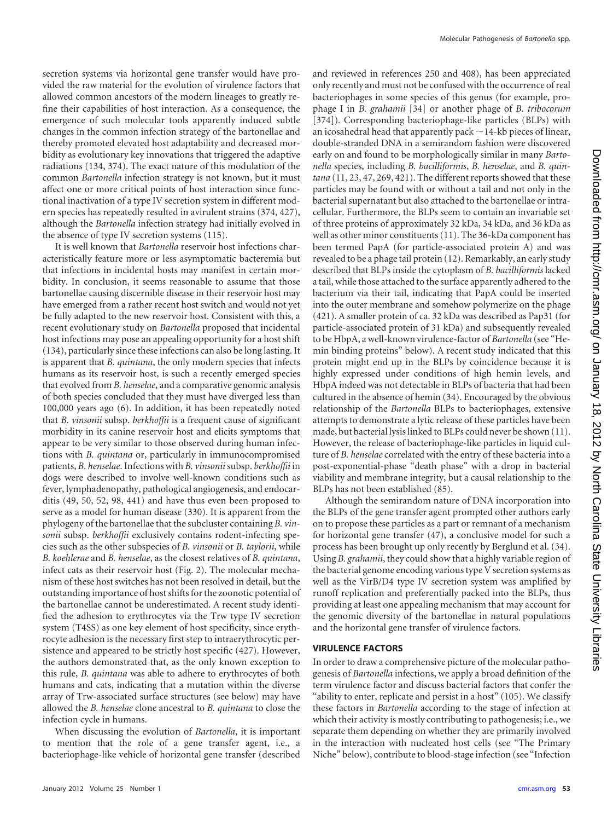secretion systems via horizontal gene transfer would have provided the raw material for the evolution of virulence factors that allowed common ancestors of the modern lineages to greatly refine their capabilities of host interaction. As a consequence, the emergence of such molecular tools apparently induced subtle changes in the common infection strategy of the bartonellae and thereby promoted elevated host adaptability and decreased morbidity as evolutionary key innovations that triggered the adaptive radiations [\(134,](#page-30-9) [374\)](#page-35-0). The exact nature of this modulation of the common *Bartonella* infection strategy is not known, but it must affect one or more critical points of host interaction since functional inactivation of a type IV secretion system in different modern species has repeatedly resulted in avirulent strains [\(374,](#page-35-0) [427\)](#page-36-11), although the *Bartonella* infection strategy had initially evolved in the absence of type IV secretion systems [\(115\)](#page-30-24).

It is well known that *Bartonella* reservoir host infections characteristically feature more or less asymptomatic bacteremia but that infections in incidental hosts may manifest in certain morbidity. In conclusion, it seems reasonable to assume that those bartonellae causing discernible disease in their reservoir host may have emerged from a rather recent host switch and would not yet be fully adapted to the new reservoir host. Consistent with this, a recent evolutionary study on *Bartonella* proposed that incidental host infections may pose an appealing opportunity for a host shift [\(134\)](#page-30-9), particularly since these infections can also be long lasting. It is apparent that *B. quintana*, the only modern species that infects humans as its reservoir host, is such a recently emerged species that evolved from *B. henselae*, and a comparative genomic analysis of both species concluded that they must have diverged less than 100,000 years ago [\(6\)](#page-28-11). In addition, it has been repeatedly noted that *B. vinsonii* subsp. *berkhoffii* is a frequent cause of significant morbidity in its canine reservoir host and elicits symptoms that appear to be very similar to those observed during human infections with *B. quintana* or, particularly in immunocompromised patients, *B. henselae*. Infections with *B. vinsonii*subsp. *berkhoffii* in dogs were described to involve well-known conditions such as fever, lymphadenopathy, pathological angiogenesis, and endocarditis [\(49,](#page-29-29) [50,](#page-29-25) [52,](#page-29-30) [98,](#page-30-25) [441\)](#page-36-10) and have thus even been proposed to serve as a model for human disease [\(330\)](#page-34-7). It is apparent from the phylogeny of the bartonellae that the subcluster containing *B. vinsonii* subsp. *berkhoffii* exclusively contains rodent-infecting species such as the other subspecies of *B. vinsonii* or *B. taylorii*, while *B. koehlerae* and *B. henselae*, as the closest relatives of *B. quintana*, infect cats as their reservoir host [\(Fig. 2\)](#page-11-0). The molecular mechanism of these host switches has not been resolved in detail, but the outstanding importance of host shifts for the zoonotic potential of the bartonellae cannot be underestimated. A recent study identified the adhesion to erythrocytes via the Trw type IV secretion system (T4SS) as one key element of host specificity, since erythrocyte adhesion is the necessary first step to intraerythrocytic persistence and appeared to be strictly host specific [\(427\)](#page-36-11). However, the authors demonstrated that, as the only known exception to this rule, *B. quintana* was able to adhere to erythrocytes of both humans and cats, indicating that a mutation within the diverse array of Trw-associated surface structures (see below) may have allowed the *B. henselae* clone ancestral to *B. quintana* to close the infection cycle in humans.

When discussing the evolution of *Bartonella*, it is important to mention that the role of a gene transfer agent, i.e., a bacteriophage-like vehicle of horizontal gene transfer (described

and reviewed in references [250](#page-33-22) and [408\)](#page-36-22), has been appreciated only recently and must not be confused with the occurrence of real bacteriophages in some species of this genus (for example, prophage I in *B. grahamii* [\[34\]](#page-28-14) or another phage of *B. tribocorum* [\[374\]](#page-35-0)). Corresponding bacteriophage-like particles (BLPs) with an icosahedral head that apparently pack  $\sim$  14-kb pieces of linear, double-stranded DNA in a semirandom fashion were discovered early on and found to be morphologically similar in many *Bartonella* species, including *B. bacilliformis*, *B. henselae*, and *B. quintana* [\(11,](#page-28-15) [23,](#page-28-16) [47,](#page-29-31) [269,](#page-33-23) [421\)](#page-36-23). The different reports showed that these particles may be found with or without a tail and not only in the bacterial supernatant but also attached to the bartonellae or intracellular. Furthermore, the BLPs seem to contain an invariable set of three proteins of approximately 32 kDa, 34 kDa, and 36 kDa as well as other minor constituents [\(11\)](#page-28-15). The 36-kDa component has been termed PapA (for particle-associated protein A) and was revealed to be a phage tail protein [\(12\)](#page-28-17). Remarkably, an early study described that BLPs inside the cytoplasm of *B. bacilliformis* lacked a tail, while those attached to the surface apparently adhered to the bacterium via their tail, indicating that PapA could be inserted into the outer membrane and somehow polymerize on the phage [\(421\)](#page-36-23). A smaller protein of ca. 32 kDa was described as Pap31 (for particle-associated protein of 31 kDa) and subsequently revealed to be HbpA, a well-known virulence-factor of *Bartonella* (see "Hemin binding proteins" below). A recent study indicated that this protein might end up in the BLPs by coincidence because it is highly expressed under conditions of high hemin levels, and HbpA indeed was not detectable in BLPs of bacteria that had been cultured in the absence of hemin [\(34\)](#page-28-14). Encouraged by the obvious relationship of the *Bartonella* BLPs to bacteriophages, extensive attempts to demonstrate a lytic release of these particles have been made, but bacterial lysis linked to BLPs could never be shown [\(11\)](#page-28-15). However, the release of bacteriophage-like particles in liquid culture of *B. henselae* correlated with the entry of these bacteria into a post-exponential-phase "death phase" with a drop in bacterial viability and membrane integrity, but a causal relationship to the BLPs has not been established [\(85\)](#page-29-28).

Although the semirandom nature of DNA incorporation into the BLPs of the gene transfer agent prompted other authors early on to propose these particles as a part or remnant of a mechanism for horizontal gene transfer [\(47\)](#page-29-31), a conclusive model for such a process has been brought up only recently by Berglund et al. [\(34\)](#page-28-14). Using *B. grahamii*, they could show that a highly variable region of the bacterial genome encoding various type V secretion systems as well as the VirB/D4 type IV secretion system was amplified by runoff replication and preferentially packed into the BLPs, thus providing at least one appealing mechanism that may account for the genomic diversity of the bartonellae in natural populations and the horizontal gene transfer of virulence factors.

# **VIRULENCE FACTORS**

In order to draw a comprehensive picture of the molecular pathogenesis of *Bartonella* infections, we apply a broad definition of the term virulence factor and discuss bacterial factors that confer the "ability to enter, replicate and persist in a host" [\(105\)](#page-30-26). We classify these factors in *Bartonella* according to the stage of infection at which their activity is mostly contributing to pathogenesis; i.e., we separate them depending on whether they are primarily involved in the interaction with nucleated host cells (see "The Primary Niche" below), contribute to blood-stage infection (see "Infection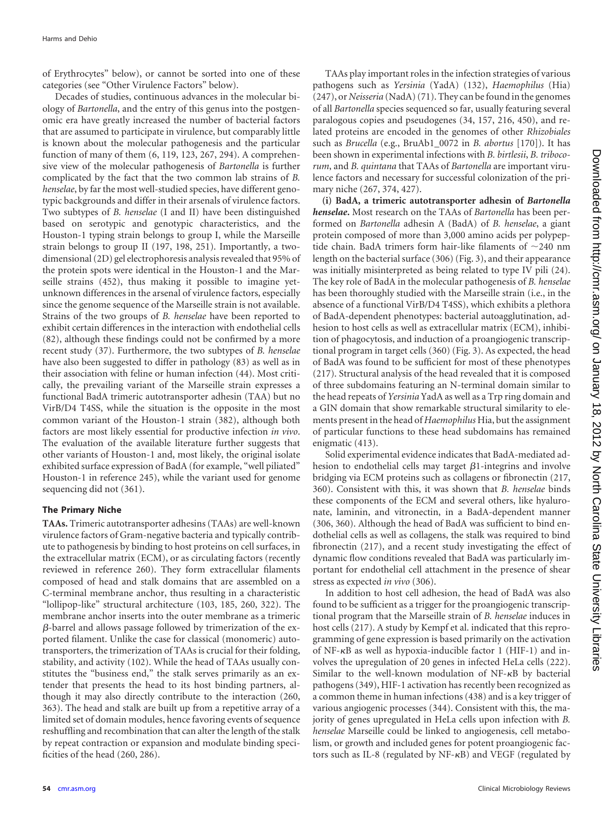of Erythrocytes" below), or cannot be sorted into one of these categories (see "Other Virulence Factors" below).

Decades of studies, continuous advances in the molecular biology of *Bartonella*, and the entry of this genus into the postgenomic era have greatly increased the number of bacterial factors that are assumed to participate in virulence, but comparably little is known about the molecular pathogenesis and the particular function of many of them [\(6,](#page-28-11) [119,](#page-30-27) [123,](#page-30-28) [267,](#page-33-24) [294\)](#page-34-1). A comprehensive view of the molecular pathogenesis of *Bartonella* is further complicated by the fact that the two common lab strains of *B. henselae*, by far the most well-studied species, have different genotypic backgrounds and differ in their arsenals of virulence factors. Two subtypes of *B. henselae* (I and II) have been distinguished based on serotypic and genotypic characteristics, and the Houston-1 typing strain belongs to group I, while the Marseille strain belongs to group II [\(197,](#page-32-34) [198,](#page-32-35) [251\)](#page-33-25). Importantly, a twodimensional (2D) gel electrophoresis analysis revealed that 95% of the protein spots were identical in the Houston-1 and the Marseille strains [\(452\)](#page-37-1), thus making it possible to imagine yetunknown differences in the arsenal of virulence factors, especially since the genome sequence of the Marseille strain is not available. Strains of the two groups of *B. henselae* have been reported to exhibit certain differences in the interaction with endothelial cells [\(82\)](#page-29-32), although these findings could not be confirmed by a more recent study [\(37\)](#page-28-5). Furthermore, the two subtypes of *B. henselae* have also been suggested to differ in pathology [\(83\)](#page-29-33) as well as in their association with feline or human infection [\(44\)](#page-29-34). Most critically, the prevailing variant of the Marseille strain expresses a functional BadA trimeric autotransporter adhesin (TAA) but no VirB/D4 T4SS, while the situation is the opposite in the most common variant of the Houston-1 strain [\(382\)](#page-35-24), although both factors are most likely essential for productive infection *in vivo*. The evaluation of the available literature further suggests that other variants of Houston-1 and, most likely, the original isolate exhibited surface expression of BadA (for example, "well piliated" Houston-1 in reference [245\)](#page-33-26), while the variant used for genome sequencing did not [\(361\)](#page-35-25).

# **The Primary Niche**

**TAAs.** Trimeric autotransporter adhesins (TAAs) are well-known virulence factors of Gram-negative bacteria and typically contribute to pathogenesis by binding to host proteins on cell surfaces, in the extracellular matrix (ECM), or as circulating factors (recently reviewed in reference [260\)](#page-33-27). They form extracellular filaments composed of head and stalk domains that are assembled on a C-terminal membrane anchor, thus resulting in a characteristic "lollipop-like" structural architecture [\(103,](#page-30-29) [185,](#page-31-20) [260,](#page-33-27) [322\)](#page-34-21). The membrane anchor inserts into the outer membrane as a trimeric  $\beta$ -barrel and allows passage followed by trimerization of the exported filament. Unlike the case for classical (monomeric) autotransporters, the trimerization of TAAs is crucial for their folding, stability, and activity [\(102\)](#page-30-30). While the head of TAAs usually constitutes the "business end," the stalk serves primarily as an extender that presents the head to its host binding partners, although it may also directly contribute to the interaction [\(260,](#page-33-27) [363\)](#page-35-26). The head and stalk are built up from a repetitive array of a limited set of domain modules, hence favoring events of sequence reshuffling and recombination that can alter the length of the stalk by repeat contraction or expansion and modulate binding specificities of the head [\(260,](#page-33-27) [286\)](#page-33-28).

TAAs play important roles in the infection strategies of various pathogens such as *Yersinia* (YadA) [\(132\)](#page-30-31), *Haemophilus* (Hia) [\(247\)](#page-33-29), or *Neisseria* (NadA) [\(71\)](#page-29-35). They can be found in the genomes of all *Bartonella* species sequenced so far, usually featuring several paralogous copies and pseudogenes [\(34,](#page-28-14) [157,](#page-31-21) [216,](#page-32-36) [450\)](#page-37-0), and related proteins are encoded in the genomes of other *Rhizobiales* such as *Brucella* (e.g., BruAb1\_0072 in *B. abortus* [\[170\]](#page-31-22)). It has been shown in experimental infections with *B. birtlesii*, *B. tribocorum*, and *B. quintana* that TAAs of *Bartonella* are important virulence factors and necessary for successful colonization of the primary niche [\(267,](#page-33-24) [374,](#page-35-0) [427\)](#page-36-11).

**(i) BadA, a trimeric autotransporter adhesin of** *Bartonella henselae***.** Most research on the TAAs of *Bartonella* has been performed on *Bartonella* adhesin A (BadA) of *B. henselae*, a giant protein composed of more than 3,000 amino acids per polypeptide chain. BadA trimers form hair-like filaments of  $\sim$ 240 nm length on the bacterial surface [\(306\)](#page-34-22) [\(Fig. 3\)](#page-14-0), and their appearance was initially misinterpreted as being related to type IV pili [\(24\)](#page-28-3). The key role of BadA in the molecular pathogenesis of *B. henselae* has been thoroughly studied with the Marseille strain (i.e., in the absence of a functional VirB/D4 T4SS), which exhibits a plethora of BadA-dependent phenotypes: bacterial autoagglutination, adhesion to host cells as well as extracellular matrix (ECM), inhibition of phagocytosis, and induction of a proangiogenic transcriptional program in target cells [\(360\)](#page-35-10) [\(Fig. 3\)](#page-14-0). As expected, the head of BadA was found to be sufficient for most of these phenotypes [\(217\)](#page-32-37). Structural analysis of the head revealed that it is composed of three subdomains featuring an N-terminal domain similar to the head repeats of *Yersinia* YadA as well as a Trp ring domain and a GIN domain that show remarkable structural similarity to elements present in the head of *Haemophilus* Hia, but the assignment of particular functions to these head subdomains has remained enigmatic [\(413\)](#page-36-24).

Solid experimental evidence indicates that BadA-mediated adhesion to endothelial cells may target  $\beta$ 1-integrins and involve bridging via ECM proteins such as collagens or fibronectin [\(217,](#page-32-37) [360\)](#page-35-10). Consistent with this, it was shown that *B. henselae* binds these components of the ECM and several others, like hyaluronate, laminin, and vitronectin, in a BadA-dependent manner [\(306,](#page-34-22) [360\)](#page-35-10). Although the head of BadA was sufficient to bind endothelial cells as well as collagens, the stalk was required to bind fibronectin [\(217\)](#page-32-37), and a recent study investigating the effect of dynamic flow conditions revealed that BadA was particularly important for endothelial cell attachment in the presence of shear stress as expected *in vivo* [\(306\)](#page-34-22).

In addition to host cell adhesion, the head of BadA was also found to be sufficient as a trigger for the proangiogenic transcriptional program that the Marseille strain of *B. henselae* induces in host cells [\(217\)](#page-32-37). A study by Kempf et al. indicated that this reprogramming of gene expression is based primarily on the activation of NF- $\kappa$ B as well as hypoxia-inducible factor 1 (HIF-1) and involves the upregulation of 20 genes in infected HeLa cells [\(222\)](#page-32-17). Similar to the well-known modulation of  $NF- $\kappa$ B$  by bacterial pathogens [\(349\)](#page-35-27), HIF-1 activation has recently been recognized as a common theme in human infections [\(438\)](#page-36-25) and is a key trigger of various angiogenic processes [\(344\)](#page-34-23). Consistent with this, the majority of genes upregulated in HeLa cells upon infection with *B. henselae* Marseille could be linked to angiogenesis, cell metabolism, or growth and included genes for potent proangiogenic factors such as IL-8 (regulated by  $NF-\kappa B$ ) and VEGF (regulated by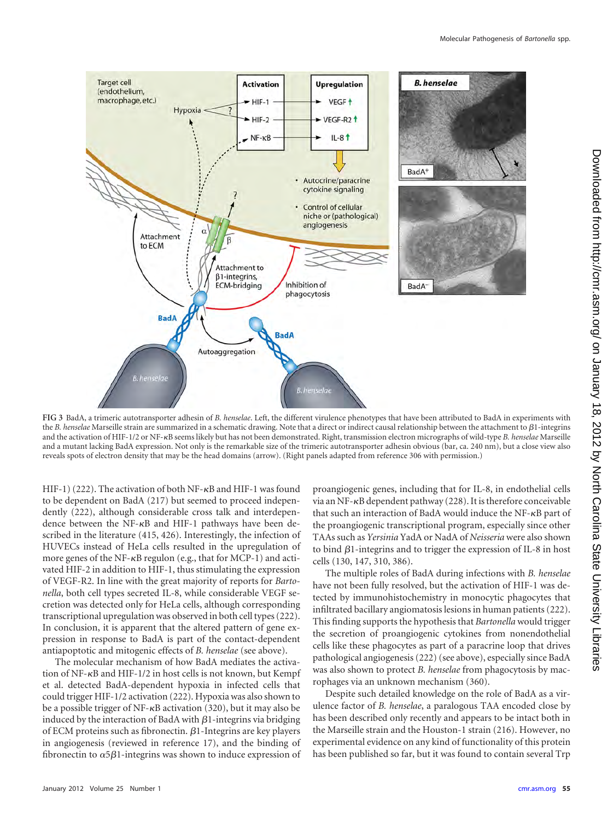

<span id="page-14-0"></span>**FIG 3** BadA, a trimeric autotransporter adhesin of *B. henselae*. Left, the different virulence phenotypes that have been attributed to BadA in experiments with the *B. henselae* Marseille strain are summarized in a schematic drawing. Note that a direct or indirect causal relationship between the attachment to  $\beta$ 1-integrins and the activation of HIF-1/2 or NF- $\kappa$ B seems likely but has not been demonstrated. Right, transmission electron micrographs of wild-type *B. henselae* Marseille and a mutant lacking BadA expression. Not only is the remarkable size of the trimeric autotransporter adhesin obvious (bar, ca. 240 nm), but a close view also reveals spots of electron density that may be the head domains (arrow). (Right panels adapted from reference [306](#page-34-22) with permission.)

HIF-1) [\(222\)](#page-32-17). The activation of both NF- $\kappa$ B and HIF-1 was found to be dependent on BadA [\(217\)](#page-32-37) but seemed to proceed independently [\(222\)](#page-32-17), although considerable cross talk and interdependence between the NF- $\kappa$ B and HIF-1 pathways have been described in the literature [\(415,](#page-36-26) [426\)](#page-36-27). Interestingly, the infection of HUVECs instead of HeLa cells resulted in the upregulation of more genes of the NF- $\kappa$ B regulon (e.g., that for MCP-1) and activated HIF-2 in addition to HIF-1, thus stimulating the expression of VEGF-R2. In line with the great majority of reports for *Bartonella*, both cell types secreted IL-8, while considerable VEGF secretion was detected only for HeLa cells, although corresponding transcriptional upregulation was observed in both cell types [\(222\)](#page-32-17). In conclusion, it is apparent that the altered pattern of gene expression in response to BadA is part of the contact-dependent antiapoptotic and mitogenic effects of *B. henselae* (see above).

The molecular mechanism of how BadA mediates the activation of NF- $\kappa$ B and HIF-1/2 in host cells is not known, but Kempf et al. detected BadA-dependent hypoxia in infected cells that could trigger HIF-1/2 activation [\(222\)](#page-32-17). Hypoxia was also shown to be a possible trigger of NF- $\kappa$ B activation [\(320\)](#page-34-24), but it may also be induced by the interaction of BadA with  $\beta$ 1-integrins via bridging of ECM proteins such as fibronectin.  $\beta$ 1-Integrins are key players in angiogenesis (reviewed in reference [17\)](#page-28-18), and the binding of fibronectin to  $\alpha$ 5 $\beta$ 1-integrins was shown to induce expression of

proangiogenic genes, including that for IL-8, in endothelial cells via an NF- $\kappa$ B dependent pathway [\(228\)](#page-32-38). It is therefore conceivable that such an interaction of BadA would induce the  $NF$ - $\kappa B$  part of the proangiogenic transcriptional program, especially since other TAAs such as *Yersinia* YadA or NadA of *Neisseria* were also shown to bind  $\beta$ 1-integrins and to trigger the expression of IL-8 in host cells [\(130,](#page-30-32) [147,](#page-31-23) [310,](#page-34-25) [386\)](#page-35-28).

The multiple roles of BadA during infections with *B. henselae* have not been fully resolved, but the activation of HIF-1 was detected by immunohistochemistry in monocytic phagocytes that infiltrated bacillary angiomatosis lesions in human patients [\(222\)](#page-32-17). This finding supports the hypothesis that *Bartonella* would trigger the secretion of proangiogenic cytokines from nonendothelial cells like these phagocytes as part of a paracrine loop that drives pathological angiogenesis [\(222\)](#page-32-17) (see above), especially since BadA was also shown to protect *B. henselae* from phagocytosis by macrophages via an unknown mechanism [\(360\)](#page-35-10).

Despite such detailed knowledge on the role of BadA as a virulence factor of *B. henselae*, a paralogous TAA encoded close by has been described only recently and appears to be intact both in the Marseille strain and the Houston-1 strain [\(216\)](#page-32-36). However, no experimental evidence on any kind of functionality of this protein has been published so far, but it was found to contain several Trp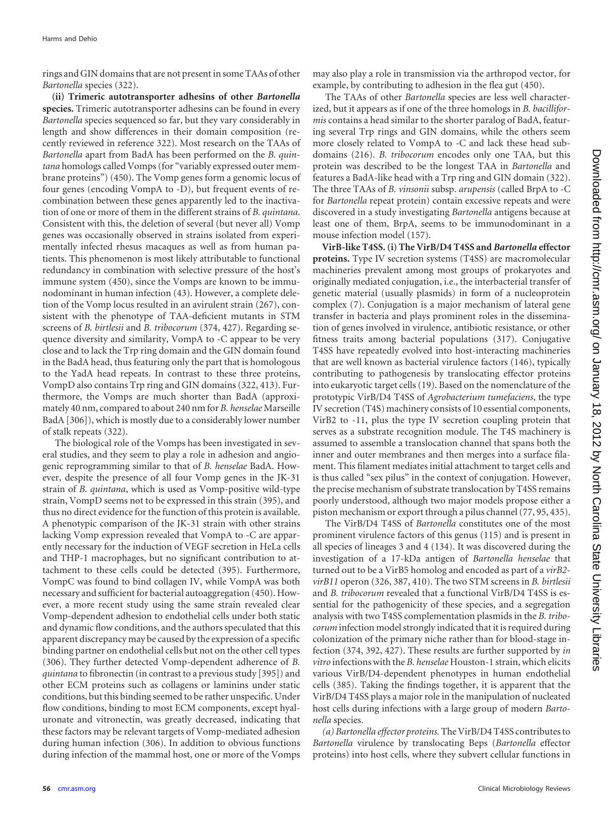rings and GIN domains that are not present in some TAAs of other *Bartonella* species [\(322\)](#page-34-21).

**(ii) Trimeric autotransporter adhesins of other** *Bartonella* **species.** Trimeric autotransporter adhesins can be found in every *Bartonella* species sequenced so far, but they vary considerably in length and show differences in their domain composition (recently reviewed in reference [322\)](#page-34-21). Most research on the TAAs of *Bartonella* apart from BadA has been performed on the *B. quintana* homologs called Vomps (for "variably expressed outer membrane proteins") [\(450\)](#page-37-0). The Vomp genes form a genomic locus of four genes (encoding VompA to -D), but frequent events of recombination between these genes apparently led to the inactivation of one or more of them in the different strains of *B. quintana*. Consistent with this, the deletion of several (but never all) Vomp genes was occasionally observed in strains isolated from experimentally infected rhesus macaques as well as from human patients. This phenomenon is most likely attributable to functional redundancy in combination with selective pressure of the host's immune system [\(450\)](#page-37-0), since the Vomps are known to be immunodominant in human infection [\(43\)](#page-29-36). However, a complete deletion of the Vomp locus resulted in an avirulent strain [\(267\)](#page-33-24), consistent with the phenotype of TAA-deficient mutants in STM screens of *B. birtlesii* and *B. tribocorum* [\(374,](#page-35-0) [427\)](#page-36-11). Regarding sequence diversity and similarity, VompA to -C appear to be very close and to lack the Trp ring domain and the GIN domain found in the BadA head, thus featuring only the part that is homologous to the YadA head repeats. In contrast to these three proteins, VompD also contains Trp ring and GIN domains [\(322,](#page-34-21) [413\)](#page-36-24). Furthermore, the Vomps are much shorter than BadA (approximately 40 nm, compared to about 240 nm for *B. henselae* Marseille BadA [\[306\]](#page-34-22)), which is mostly due to a considerably lower number of stalk repeats [\(322\)](#page-34-21).

The biological role of the Vomps has been investigated in several studies, and they seem to play a role in adhesion and angiogenic reprogramming similar to that of *B. henselae* BadA. However, despite the presence of all four Vomp genes in the JK-31 strain of *B. quintana*, which is used as Vomp-positive wild-type strain, VompD seems not to be expressed in this strain [\(395\)](#page-35-12), and thus no direct evidence for the function of this protein is available. A phenotypic comparison of the JK-31 strain with other strains lacking Vomp expression revealed that VompA to -C are apparently necessary for the induction of VEGF secretion in HeLa cells and THP-1 macrophages, but no significant contribution to attachment to these cells could be detected [\(395\)](#page-35-12). Furthermore, VompC was found to bind collagen IV, while VompA was both necessary and sufficient for bacterial autoaggregation [\(450\)](#page-37-0). However, a more recent study using the same strain revealed clear Vomp-dependent adhesion to endothelial cells under both static and dynamic flow conditions, and the authors speculated that this apparent discrepancy may be caused by the expression of a specific binding partner on endothelial cells but not on the other cell types [\(306\)](#page-34-22). They further detected Vomp-dependent adherence of *B. quintana* to fibronectin (in contrast to a previous study [\[395\]](#page-35-12)) and other ECM proteins such as collagens or laminins under static conditions, but this binding seemed to be rather unspecific. Under flow conditions, binding to most ECM components, except hyaluronate and vitronectin, was greatly decreased, indicating that these factors may be relevant targets of Vomp-mediated adhesion during human infection [\(306\)](#page-34-22). In addition to obvious functions during infection of the mammal host, one or more of the Vomps

may also play a role in transmission via the arthropod vector, for example, by contributing to adhesion in the flea gut [\(450\)](#page-37-0).

The TAAs of other *Bartonella* species are less well characterized, but it appears as if one of the three homologs in *B. bacilliformis* contains a head similar to the shorter paralog of BadA, featuring several Trp rings and GIN domains, while the others seem more closely related to VompA to -C and lack these head subdomains [\(216\)](#page-32-36). *B. tribocorum* encodes only one TAA, but this protein was described to be the longest TAA in *Bartonella* and features a BadA-like head with a Trp ring and GIN domain [\(322\)](#page-34-21). The three TAAs of *B. vinsonii* subsp. *arupensis* (called BrpA to -C for *Bartonella* repeat protein) contain excessive repeats and were discovered in a study investigating *Bartonella* antigens because at least one of them, BrpA, seems to be immunodominant in a mouse infection model [\(157\)](#page-31-21).

**VirB-like T4SS. (i) The VirB/D4 T4SS and** *Bartonella* **effector proteins.** Type IV secretion systems (T4SS) are macromolecular machineries prevalent among most groups of prokaryotes and originally mediated conjugation, i.e., the interbacterial transfer of genetic material (usually plasmids) in form of a nucleoprotein complex [\(7\)](#page-28-19). Conjugation is a major mechanism of lateral gene transfer in bacteria and plays prominent roles in the dissemination of genes involved in virulence, antibiotic resistance, or other fitness traits among bacterial populations [\(317\)](#page-34-26). Conjugative T4SS have repeatedly evolved into host-interacting machineries that are well known as bacterial virulence factors [\(146\)](#page-31-24), typically contributing to pathogenesis by translocating effector proteins into eukaryotic target cells [\(19\)](#page-28-20). Based on the nomenclature of the prototypic VirB/D4 T4SS of *Agrobacterium tumefaciens*, the type IV secretion (T4S) machinery consists of 10 essential components, VirB2 to -11, plus the type IV secretion coupling protein that serves as a substrate recognition module. The T4S machinery is assumed to assemble a translocation channel that spans both the inner and outer membranes and then merges into a surface filament. This filament mediates initial attachment to target cells and is thus called "sex pilus" in the context of conjugation. However, the precise mechanism of substrate translocation by T4SS remains poorly understood, although two major models propose either a piston mechanism or export through a pilus channel [\(77,](#page-29-37) [95,](#page-30-33) [435\)](#page-36-28).

The VirB/D4 T4SS of *Bartonella* constitutes one of the most prominent virulence factors of this genus [\(115\)](#page-30-24) and is present in all species of lineages 3 and 4 [\(134\)](#page-30-9). It was discovered during the investigation of a 17-kDa antigen of *Bartonella henselae* that turned out to be a VirB5 homolog and encoded as part of a *virB2 virB11* operon [\(326,](#page-34-27) [387,](#page-35-29) [410\)](#page-36-29). The two STM screens in *B. birtlesii* and *B. tribocorum* revealed that a functional VirB/D4 T4SS is essential for the pathogenicity of these species, and a segregation analysis with two T4SS complementation plasmids in the *B. tribocorum* infection model strongly indicated that it is required during colonization of the primary niche rather than for blood-stage infection [\(374,](#page-35-0) [392,](#page-35-30) [427\)](#page-36-11). These results are further supported by *in vitro* infections with the *B. henselae* Houston-1 strain, which elicits various VirB/D4-dependent phenotypes in human endothelial cells [\(385\)](#page-35-11). Taking the findings together, it is apparent that the VirB/D4 T4SS plays a major role in the manipulation of nucleated host cells during infections with a large group of modern *Bartonella* species.

*(a) Bartonella effector proteins.* The VirB/D4 T4SS contributes to *Bartonella* virulence by translocating Beps (*Bartonella* effector proteins) into host cells, where they subvert cellular functions in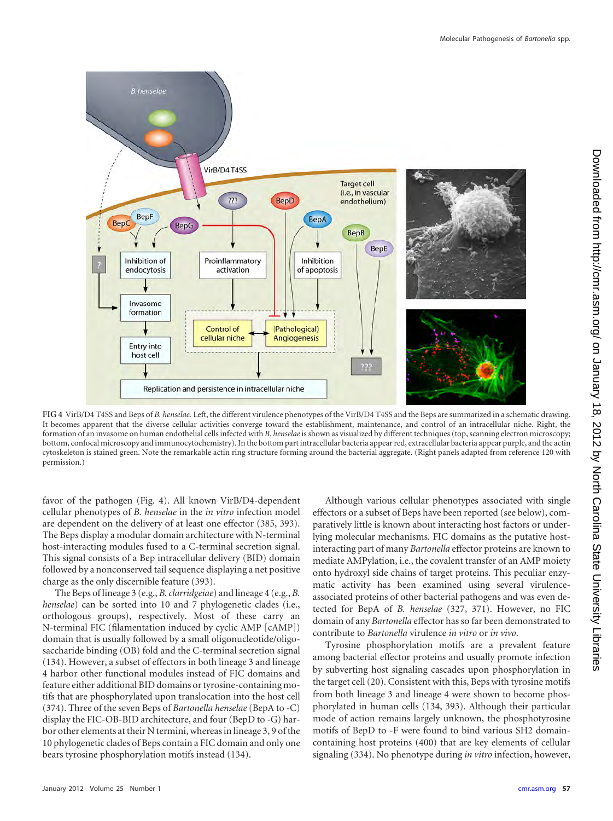

<span id="page-16-0"></span>**FIG 4** VirB/D4 T4SS and Beps of *B. henselae.* Left, the different virulence phenotypes of the VirB/D4 T4SS and the Beps are summarized in a schematic drawing. It becomes apparent that the diverse cellular activities converge toward the establishment, maintenance, and control of an intracellular niche. Right, the formation of an invasome on human endothelial cells infected with *B. henselae*is shown as visualized by different techniques (top, scanning electron microscopy; bottom, confocal microscopy and immunocytochemistry). In the bottom part intracellular bacteria appear red, extracellular bacteria appear purple, and the actin cytoskeleton is stained green. Note the remarkable actin ring structure forming around the bacterial aggregate. (Right panels adapted from reference [120](#page-30-13) with permission.)

favor of the pathogen [\(Fig. 4\)](#page-16-0). All known VirB/D4-dependent cellular phenotypes of *B. henselae* in the *in vitro* infection model are dependent on the delivery of at least one effector [\(385,](#page-35-11) [393\)](#page-35-31). The Beps display a modular domain architecture with N-terminal host-interacting modules fused to a C-terminal secretion signal. This signal consists of a Bep intracellular delivery (BID) domain followed by a nonconserved tail sequence displaying a net positive charge as the only discernible feature [\(393\)](#page-35-31).

The Beps of lineage 3 (e.g., *B. clarridgeiae*) and lineage 4 (e.g., *B. henselae*) can be sorted into 10 and 7 phylogenetic clades (i.e., orthologous groups), respectively. Most of these carry an N-terminal FIC (filamentation induced by cyclic AMP [cAMP]) domain that is usually followed by a small oligonucleotide/oligosaccharide binding (OB) fold and the C-terminal secretion signal [\(134\)](#page-30-9). However, a subset of effectors in both lineage 3 and lineage 4 harbor other functional modules instead of FIC domains and feature either additional BID domains or tyrosine-containing motifs that are phosphorylated upon translocation into the host cell [\(374\)](#page-35-0). Three of the seven Beps of *Bartonella henselae* (BepA to -C) display the FIC-OB-BID architecture, and four (BepD to -G) harbor other elements at their N termini, whereas in lineage 3, 9 of the 10 phylogenetic clades of Beps contain a FIC domain and only one bears tyrosine phosphorylation motifs instead [\(134\)](#page-30-9).

Although various cellular phenotypes associated with single effectors or a subset of Beps have been reported (see below), comparatively little is known about interacting host factors or underlying molecular mechanisms. FIC domains as the putative hostinteracting part of many *Bartonella* effector proteins are known to mediate AMPylation, i.e., the covalent transfer of an AMP moiety onto hydroxyl side chains of target proteins. This peculiar enzymatic activity has been examined using several virulenceassociated proteins of other bacterial pathogens and was even detected for BepA of *B. henselae* [\(327,](#page-34-28) [371\)](#page-35-32). However, no FIC domain of any *Bartonella* effector has so far been demonstrated to contribute to *Bartonella* virulence *in vitro* or *in vivo*.

Tyrosine phosphorylation motifs are a prevalent feature among bacterial effector proteins and usually promote infection by subverting host signaling cascades upon phosphorylation in the target cell [\(20\)](#page-28-21). Consistent with this, Beps with tyrosine motifs from both lineage 3 and lineage 4 were shown to become phosphorylated in human cells [\(134,](#page-30-9) [393\)](#page-35-31). Although their particular mode of action remains largely unknown, the phosphotyrosine motifs of BepD to -F were found to bind various SH2 domaincontaining host proteins [\(400\)](#page-36-30) that are key elements of cellular signaling [\(334\)](#page-34-29). No phenotype during *in vitro* infection, however,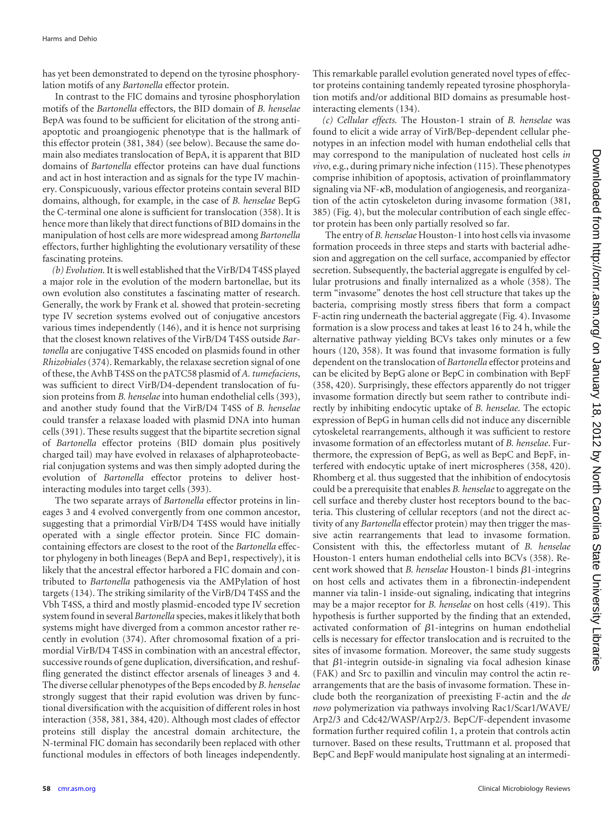has yet been demonstrated to depend on the tyrosine phosphorylation motifs of any *Bartonella* effector protein.

In contrast to the FIC domains and tyrosine phosphorylation motifs of the *Bartonella* effectors, the BID domain of *B. henselae* BepA was found to be sufficient for elicitation of the strong antiapoptotic and proangiogenic phenotype that is the hallmark of this effector protein [\(381,](#page-35-33) [384\)](#page-35-34) (see below). Because the same domain also mediates translocation of BepA, it is apparent that BID domains of *Bartonella* effector proteins can have dual functions and act in host interaction and as signals for the type IV machinery. Conspicuously, various effector proteins contain several BID domains, although, for example, in the case of *B. henselae* BepG the C-terminal one alone is sufficient for translocation [\(358\)](#page-35-35). It is hence more than likely that direct functions of BID domains in the manipulation of host cells are more widespread among *Bartonella* effectors, further highlighting the evolutionary versatility of these fascinating proteins.

*(b) Evolution.*It is well established that the VirB/D4 T4SS played a major role in the evolution of the modern bartonellae, but its own evolution also constitutes a fascinating matter of research. Generally, the work by Frank et al. showed that protein-secreting type IV secretion systems evolved out of conjugative ancestors various times independently [\(146\)](#page-31-24), and it is hence not surprising that the closest known relatives of the VirB/D4 T4SS outside *Bartonella* are conjugative T4SS encoded on plasmids found in other *Rhizobiales*[\(374\)](#page-35-0). Remarkably, the relaxase secretion signal of one of these, the AvhB T4SS on the pATC58 plasmid of *A. tumefaciens*, was sufficient to direct VirB/D4-dependent translocation of fusion proteins from *B. henselae* into human endothelial cells [\(393\)](#page-35-31), and another study found that the VirB/D4 T4SS of *B. henselae* could transfer a relaxase loaded with plasmid DNA into human cells [\(391\)](#page-35-36). These results suggest that the bipartite secretion signal of *Bartonella* effector proteins (BID domain plus positively charged tail) may have evolved in relaxases of alphaproteobacterial conjugation systems and was then simply adopted during the evolution of *Bartonella* effector proteins to deliver hostinteracting modules into target cells [\(393\)](#page-35-31).

The two separate arrays of *Bartonella* effector proteins in lineages 3 and 4 evolved convergently from one common ancestor, suggesting that a primordial VirB/D4 T4SS would have initially operated with a single effector protein. Since FIC domaincontaining effectors are closest to the root of the *Bartonella* effector phylogeny in both lineages (BepA and Bep1, respectively), it is likely that the ancestral effector harbored a FIC domain and contributed to *Bartonella* pathogenesis via the AMPylation of host targets [\(134\)](#page-30-9). The striking similarity of the VirB/D4 T4SS and the Vbh T4SS, a third and mostly plasmid-encoded type IV secretion system found in several *Bartonella* species, makes it likely that both systems might have diverged from a common ancestor rather recently in evolution [\(374\)](#page-35-0). After chromosomal fixation of a primordial VirB/D4 T4SS in combination with an ancestral effector, successive rounds of gene duplication, diversification, and reshuffling generated the distinct effector arsenals of lineages 3 and 4. The diverse cellular phenotypes of the Beps encoded by *B. henselae* strongly suggest that their rapid evolution was driven by functional diversification with the acquisition of different roles in host interaction [\(358,](#page-35-35) [381,](#page-35-33) [384,](#page-35-34) [420\)](#page-36-31). Although most clades of effector proteins still display the ancestral domain architecture, the N-terminal FIC domain has secondarily been replaced with other functional modules in effectors of both lineages independently.

This remarkable parallel evolution generated novel types of effector proteins containing tandemly repeated tyrosine phosphorylation motifs and/or additional BID domains as presumable hostinteracting elements [\(134\)](#page-30-9).

*(c) Cellular effects.* The Houston-1 strain of *B. henselae* was found to elicit a wide array of VirB/Bep-dependent cellular phenotypes in an infection model with human endothelial cells that may correspond to the manipulation of nucleated host cells *in vivo*, e.g., during primary niche infection [\(115\)](#page-30-24). These phenotypes comprise inhibition of apoptosis, activation of proinflammatory signaling via NF-KB, modulation of angiogenesis, and reorganization of the actin cytoskeleton during invasome formation [\(381,](#page-35-33) [385\)](#page-35-11) [\(Fig. 4\)](#page-16-0), but the molecular contribution of each single effector protein has been only partially resolved so far.

The entry of *B. henselae* Houston-1 into host cells via invasome formation proceeds in three steps and starts with bacterial adhesion and aggregation on the cell surface, accompanied by effector secretion. Subsequently, the bacterial aggregate is engulfed by cellular protrusions and finally internalized as a whole [\(358\)](#page-35-35). The term "invasome" denotes the host cell structure that takes up the bacteria, comprising mostly stress fibers that form a compact F-actin ring underneath the bacterial aggregate [\(Fig. 4\)](#page-16-0). Invasome formation is a slow process and takes at least 16 to 24 h, while the alternative pathway yielding BCVs takes only minutes or a few hours [\(120,](#page-30-13) [358\)](#page-35-35). It was found that invasome formation is fully dependent on the translocation of *Bartonella* effector proteins and can be elicited by BepG alone or BepC in combination with BepF [\(358,](#page-35-35) [420\)](#page-36-31). Surprisingly, these effectors apparently do not trigger invasome formation directly but seem rather to contribute indirectly by inhibiting endocytic uptake of *B. henselae.* The ectopic expression of BepG in human cells did not induce any discernible cytoskeletal rearrangements, although it was sufficient to restore invasome formation of an effectorless mutant of *B. henselae*. Furthermore, the expression of BepG, as well as BepC and BepF, interfered with endocytic uptake of inert microspheres [\(358,](#page-35-35) [420\)](#page-36-31). Rhomberg et al. thus suggested that the inhibition of endocytosis could be a prerequisite that enables *B. henselae*to aggregate on the cell surface and thereby cluster host receptors bound to the bacteria. This clustering of cellular receptors (and not the direct activity of any *Bartonella* effector protein) may then trigger the massive actin rearrangements that lead to invasome formation. Consistent with this, the effectorless mutant of *B. henselae* Houston-1 enters human endothelial cells into BCVs [\(358\)](#page-35-35). Recent work showed that *B. henselae* Houston-1 binds  $\beta$ 1-integrins on host cells and activates them in a fibronectin-independent manner via talin-1 inside-out signaling, indicating that integrins may be a major receptor for *B. henselae* on host cells [\(419\)](#page-36-32). This hypothesis is further supported by the finding that an extended, activated conformation of  $\beta$ 1-integrins on human endothelial cells is necessary for effector translocation and is recruited to the sites of invasome formation. Moreover, the same study suggests that  $\beta$ 1-integrin outside-in signaling via focal adhesion kinase (FAK) and Src to paxillin and vinculin may control the actin rearrangements that are the basis of invasome formation. These include both the reorganization of preexisting F-actin and the *de novo* polymerization via pathways involving Rac1/Scar1/WAVE/ Arp2/3 and Cdc42/WASP/Arp2/3. BepC/F-dependent invasome formation further required cofilin 1, a protein that controls actin turnover. Based on these results, Truttmann et al. proposed that BepC and BepF would manipulate host signaling at an intermedi-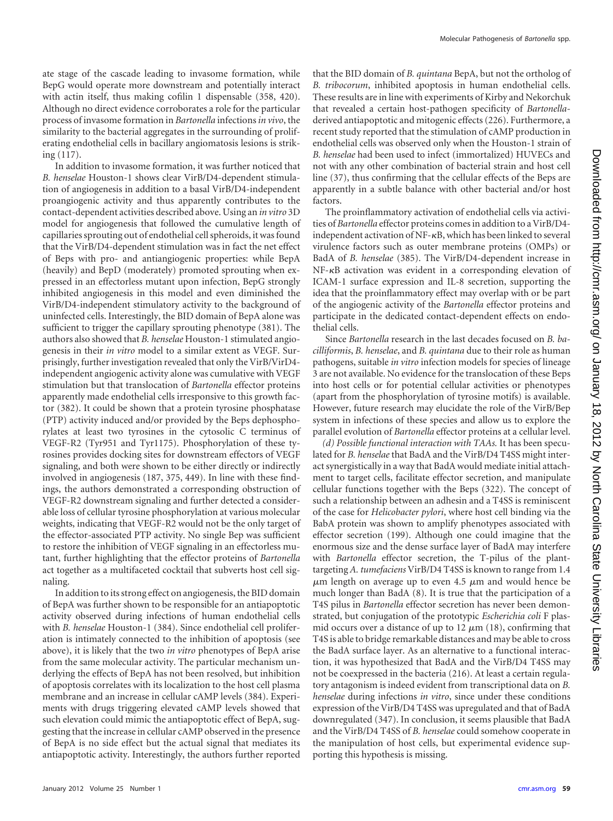ate stage of the cascade leading to invasome formation, while BepG would operate more downstream and potentially interact with actin itself, thus making cofilin 1 dispensable [\(358,](#page-35-35) [420\)](#page-36-31). Although no direct evidence corroborates a role for the particular process of invasome formation in *Bartonella* infections*in vivo*, the similarity to the bacterial aggregates in the surrounding of proliferating endothelial cells in bacillary angiomatosis lesions is striking [\(117\)](#page-30-34).

In addition to invasome formation, it was further noticed that *B. henselae* Houston-1 shows clear VirB/D4-dependent stimulation of angiogenesis in addition to a basal VirB/D4-independent proangiogenic activity and thus apparently contributes to the contact-dependent activities described above. Using an *in vitro* 3D model for angiogenesis that followed the cumulative length of capillaries sprouting out of endothelial cell spheroids, it was found that the VirB/D4-dependent stimulation was in fact the net effect of Beps with pro- and antiangiogenic properties: while BepA (heavily) and BepD (moderately) promoted sprouting when expressed in an effectorless mutant upon infection, BepG strongly inhibited angiogenesis in this model and even diminished the VirB/D4-independent stimulatory activity to the background of uninfected cells. Interestingly, the BID domain of BepA alone was sufficient to trigger the capillary sprouting phenotype [\(381\)](#page-35-33). The authors also showed that *B. henselae* Houston-1 stimulated angiogenesis in their *in vitro* model to a similar extent as VEGF. Surprisingly, further investigation revealed that only the VirB/VirD4 independent angiogenic activity alone was cumulative with VEGF stimulation but that translocation of *Bartonella* effector proteins apparently made endothelial cells irresponsive to this growth factor [\(382\)](#page-35-24). It could be shown that a protein tyrosine phosphatase (PTP) activity induced and/or provided by the Beps dephosphorylates at least two tyrosines in the cytosolic C terminus of VEGF-R2 (Tyr951 and Tyr1175). Phosphorylation of these tyrosines provides docking sites for downstream effectors of VEGF signaling, and both were shown to be either directly or indirectly involved in angiogenesis [\(187,](#page-31-25) [375,](#page-35-37) [449\)](#page-37-2). In line with these findings, the authors demonstrated a corresponding obstruction of VEGF-R2 downstream signaling and further detected a considerable loss of cellular tyrosine phosphorylation at various molecular weights, indicating that VEGF-R2 would not be the only target of the effector-associated PTP activity. No single Bep was sufficient to restore the inhibition of VEGF signaling in an effectorless mutant, further highlighting that the effector proteins of *Bartonella* act together as a multifaceted cocktail that subverts host cell signaling.

In addition to its strong effect on angiogenesis, the BID domain of BepA was further shown to be responsible for an antiapoptotic activity observed during infections of human endothelial cells with *B. henselae* Houston-1 [\(384\)](#page-35-34). Since endothelial cell proliferation is intimately connected to the inhibition of apoptosis (see above), it is likely that the two *in vitro* phenotypes of BepA arise from the same molecular activity. The particular mechanism underlying the effects of BepA has not been resolved, but inhibition of apoptosis correlates with its localization to the host cell plasma membrane and an increase in cellular cAMP levels [\(384\)](#page-35-34). Experiments with drugs triggering elevated cAMP levels showed that such elevation could mimic the antiapoptotic effect of BepA, suggesting that the increase in cellular cAMP observed in the presence of BepA is no side effect but the actual signal that mediates its antiapoptotic activity. Interestingly, the authors further reported

that the BID domain of *B. quintana* BepA, but not the ortholog of *B. tribocorum*, inhibited apoptosis in human endothelial cells. These results are in line with experiments of Kirby and Nekorchuk that revealed a certain host-pathogen specificity of *Bartonella*derived antiapoptotic and mitogenic effects [\(226\)](#page-32-18). Furthermore, a recent study reported that the stimulation of cAMP production in endothelial cells was observed only when the Houston-1 strain of *B. henselae* had been used to infect (immortalized) HUVECs and not with any other combination of bacterial strain and host cell line [\(37\)](#page-28-5), thus confirming that the cellular effects of the Beps are apparently in a subtle balance with other bacterial and/or host factors.

The proinflammatory activation of endothelial cells via activities of *Bartonella* effector proteins comes in addition to a VirB/D4 independent activation of NF- $\kappa$ B, which has been linked to several virulence factors such as outer membrane proteins (OMPs) or BadA of *B. henselae* [\(385\)](#page-35-11). The VirB/D4-dependent increase in  $NF-\kappa B$  activation was evident in a corresponding elevation of ICAM-1 surface expression and IL-8 secretion, supporting the idea that the proinflammatory effect may overlap with or be part of the angiogenic activity of the *Bartonella* effector proteins and participate in the dedicated contact-dependent effects on endothelial cells.

Since *Bartonella* research in the last decades focused on *B. bacilliformis*, *B. henselae*, and *B. quintana* due to their role as human pathogens, suitable *in vitro* infection models for species of lineage 3 are not available. No evidence for the translocation of these Beps into host cells or for potential cellular activities or phenotypes (apart from the phosphorylation of tyrosine motifs) is available. However, future research may elucidate the role of the VirB/Bep system in infections of these species and allow us to explore the parallel evolution of *Bartonella* effector proteins at a cellular level.

*(d) Possible functional interaction with TAAs.* It has been speculated for *B. henselae*that BadA and the VirB/D4 T4SS might interact synergistically in a way that BadA would mediate initial attachment to target cells, facilitate effector secretion, and manipulate cellular functions together with the Beps [\(322\)](#page-34-21). The concept of such a relationship between an adhesin and a T4SS is reminiscent of the case for *Helicobacter pylori*, where host cell binding via the BabA protein was shown to amplify phenotypes associated with effector secretion [\(199\)](#page-32-39). Although one could imagine that the enormous size and the dense surface layer of BadA may interfere with *Bartonella* effector secretion, the T-pilus of the planttargeting *A. tumefaciens* VirB/D4 T4SS is known to range from 1.4  $\mu$ m length on average up to even 4.5  $\mu$ m and would hence be much longer than BadA [\(8\)](#page-28-22). It is true that the participation of a T4S pilus in *Bartonella* effector secretion has never been demonstrated, but conjugation of the prototypic *Escherichia coli* F plasmid occurs over a distance of up to 12  $\mu$ m [\(18\)](#page-28-23), confirming that T4S is able to bridge remarkable distances and may be able to cross the BadA surface layer. As an alternative to a functional interaction, it was hypothesized that BadA and the VirB/D4 T4SS may not be coexpressed in the bacteria [\(216\)](#page-32-36). At least a certain regulatory antagonism is indeed evident from transcriptional data on *B. henselae* during infections *in vitro*, since under these conditions expression of the VirB/D4 T4SS was upregulated and that of BadA downregulated [\(347\)](#page-35-38). In conclusion, it seems plausible that BadA and the VirB/D4 T4SS of *B. henselae* could somehow cooperate in the manipulation of host cells, but experimental evidence supporting this hypothesis is missing.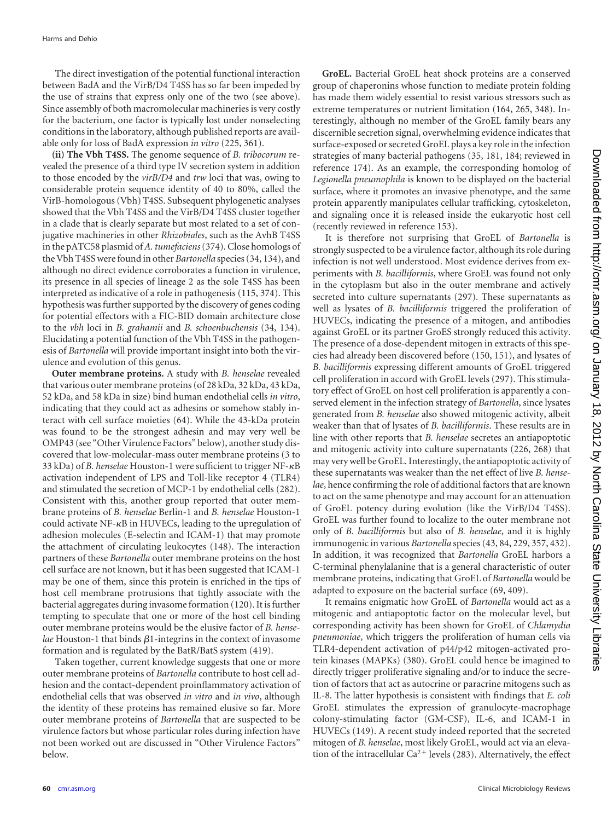The direct investigation of the potential functional interaction between BadA and the VirB/D4 T4SS has so far been impeded by the use of strains that express only one of the two (see above). Since assembly of both macromolecular machineries is very costly for the bacterium, one factor is typically lost under nonselecting conditions in the laboratory, although published reports are available only for loss of BadA expression *in vitro* [\(225,](#page-32-16) [361\)](#page-35-25).

**(ii) The Vbh T4SS.** The genome sequence of *B. tribocorum* revealed the presence of a third type IV secretion system in addition to those encoded by the *virB/D4* and *trw* loci that was, owing to considerable protein sequence identity of 40 to 80%, called the VirB-homologous (Vbh) T4SS. Subsequent phylogenetic analyses showed that the Vbh T4SS and the VirB/D4 T4SS cluster together in a clade that is clearly separate but most related to a set of conjugative machineries in other *Rhizobiales*, such as the AvhB T4SS in the pATC58 plasmid of*A. tumefaciens*[\(374\)](#page-35-0). Close homologs of the Vbh T4SS were found in other *Bartonella* species [\(34,](#page-28-14) [134\)](#page-30-9), and although no direct evidence corroborates a function in virulence, its presence in all species of lineage 2 as the sole T4SS has been interpreted as indicative of a role in pathogenesis [\(115,](#page-30-24) [374\)](#page-35-0). This hypothesis was further supported by the discovery of genes coding for potential effectors with a FIC-BID domain architecture close to the *vbh* loci in *B. grahamii* and *B. schoenbuchensis* [\(34,](#page-28-14) [134\)](#page-30-9). Elucidating a potential function of the Vbh T4SS in the pathogenesis of *Bartonella* will provide important insight into both the virulence and evolution of this genus.

**Outer membrane proteins.** A study with *B. henselae* revealed that various outer membrane proteins (of 28 kDa, 32 kDa, 43 kDa, 52 kDa, and 58 kDa in size) bind human endothelial cells *in vitro*, indicating that they could act as adhesins or somehow stably interact with cell surface moieties [\(64\)](#page-29-38). While the 43-kDa protein was found to be the strongest adhesin and may very well be OMP43 (see "Other Virulence Factors" below), another study discovered that low-molecular-mass outer membrane proteins (3 to 33 kDa) of *B. henselae* Houston-1 were sufficient to trigger NF- $\kappa$ B activation independent of LPS and Toll-like receptor 4 (TLR4) and stimulated the secretion of MCP-1 by endothelial cells [\(282\)](#page-33-15). Consistent with this, another group reported that outer membrane proteins of *B. henselae* Berlin-1 and *B. henselae* Houston-1 could activate  $NF-\kappa B$  in HUVECs, leading to the upregulation of adhesion molecules (E-selectin and ICAM-1) that may promote the attachment of circulating leukocytes [\(148\)](#page-31-26). The interaction partners of these *Bartonella* outer membrane proteins on the host cell surface are not known, but it has been suggested that ICAM-1 may be one of them, since this protein is enriched in the tips of host cell membrane protrusions that tightly associate with the bacterial aggregates during invasome formation [\(120\)](#page-30-13). It is further tempting to speculate that one or more of the host cell binding outer membrane proteins would be the elusive factor of *B. henselae* Houston-1 that binds  $\beta$ 1-integrins in the context of invasome formation and is regulated by the BatR/BatS system [\(419\)](#page-36-32).

Taken together, current knowledge suggests that one or more outer membrane proteins of *Bartonella* contribute to host cell adhesion and the contact-dependent proinflammatory activation of endothelial cells that was observed *in vitro* and *in vivo*, although the identity of these proteins has remained elusive so far. More outer membrane proteins of *Bartonella* that are suspected to be virulence factors but whose particular roles during infection have not been worked out are discussed in "Other Virulence Factors" below.

**GroEL.** Bacterial GroEL heat shock proteins are a conserved group of chaperonins whose function to mediate protein folding has made them widely essential to resist various stressors such as extreme temperatures or nutrient limitation [\(164,](#page-31-27) [265,](#page-33-30) [348\)](#page-35-39). Interestingly, although no member of the GroEL family bears any discernible secretion signal, overwhelming evidence indicates that surface-exposed or secreted GroEL plays a key role in the infection strategies of many bacterial pathogens [\(35,](#page-28-24) [181,](#page-31-28) [184;](#page-31-29) reviewed in reference [174\)](#page-31-30). As an example, the corresponding homolog of *Legionella pneumophila* is known to be displayed on the bacterial surface, where it promotes an invasive phenotype, and the same protein apparently manipulates cellular trafficking, cytoskeleton, and signaling once it is released inside the eukaryotic host cell (recently reviewed in reference [153\)](#page-31-31).

It is therefore not surprising that GroEL of *Bartonella* is strongly suspected to be a virulence factor, although its role during infection is not well understood. Most evidence derives from experiments with *B. bacilliformis*, where GroEL was found not only in the cytoplasm but also in the outer membrane and actively secreted into culture supernatants [\(297\)](#page-34-11). These supernatants as well as lysates of *B. bacilliformis* triggered the proliferation of HUVECs, indicating the presence of a mitogen, and antibodies against GroEL or its partner GroES strongly reduced this activity. The presence of a dose-dependent mitogen in extracts of this species had already been discovered before [\(150,](#page-31-2) [151\)](#page-31-32), and lysates of *B. bacilliformis* expressing different amounts of GroEL triggered cell proliferation in accord with GroEL levels [\(297\)](#page-34-11). This stimulatory effect of GroEL on host cell proliferation is apparently a conserved element in the infection strategy of *Bartonella*, since lysates generated from *B. henselae* also showed mitogenic activity, albeit weaker than that of lysates of *B. bacilliformis*. These results are in line with other reports that *B. henselae* secretes an antiapoptotic and mitogenic activity into culture supernatants [\(226,](#page-32-18) [268\)](#page-33-31) that may very well be GroEL. Interestingly, the antiapoptotic activity of these supernatants was weaker than the net effect of live *B. henselae*, hence confirming the role of additional factors that are known to act on the same phenotype and may account for an attenuation of GroEL potency during evolution (like the VirB/D4 T4SS). GroEL was further found to localize to the outer membrane not only of *B. bacilliformis* but also of *B. henselae*, and it is highly immunogenic in various *Bartonella* species [\(43,](#page-29-36) [84,](#page-29-39) [229,](#page-32-40) [357,](#page-35-40) [432\)](#page-36-33). In addition, it was recognized that *Bartonella* GroEL harbors a C-terminal phenylalanine that is a general characteristic of outer membrane proteins, indicating that GroEL of *Bartonella* would be adapted to exposure on the bacterial surface [\(69,](#page-29-40) [409\)](#page-36-34).

It remains enigmatic how GroEL of *Bartonella* would act as a mitogenic and antiapoptotic factor on the molecular level, but corresponding activity has been shown for GroEL of *Chlamydia pneumoniae*, which triggers the proliferation of human cells via TLR4-dependent activation of p44/p42 mitogen-activated protein kinases (MAPKs) [\(380\)](#page-35-41). GroEL could hence be imagined to directly trigger proliferative signaling and/or to induce the secretion of factors that act as autocrine or paracrine mitogens such as IL-8. The latter hypothesis is consistent with findings that *E. coli* GroEL stimulates the expression of granulocyte-macrophage colony-stimulating factor (GM-CSF), IL-6, and ICAM-1 in HUVECs [\(149\)](#page-31-33). A recent study indeed reported that the secreted mitogen of *B. henselae*, most likely GroEL, would act via an elevation of the intracellular  $Ca^{2+}$  levels [\(283\)](#page-33-10). Alternatively, the effect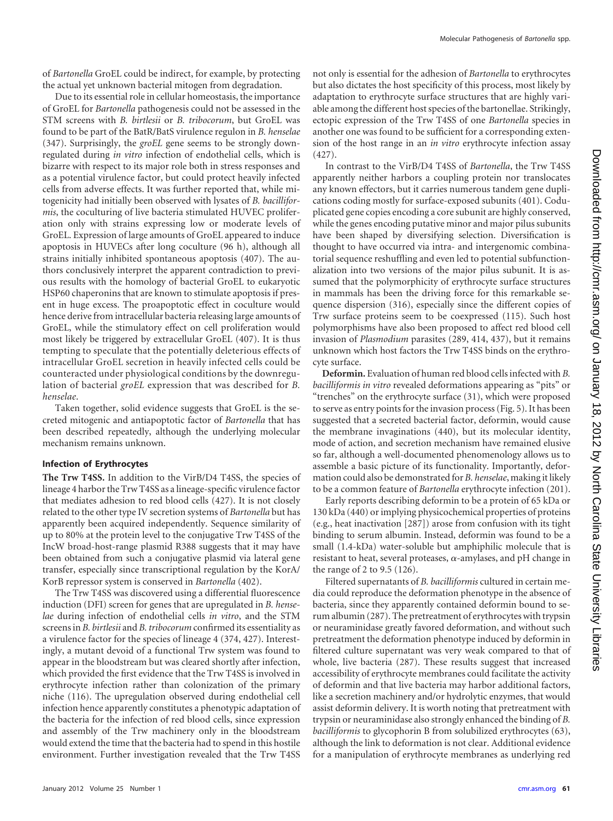of *Bartonella* GroEL could be indirect, for example, by protecting the actual yet unknown bacterial mitogen from degradation.

Due to its essential role in cellular homeostasis, the importance of GroEL for *Bartonella* pathogenesis could not be assessed in the STM screens with *B. birtlesii* or *B. tribocorum*, but GroEL was found to be part of the BatR/BatS virulence regulon in *B. henselae* [\(347\)](#page-35-38). Surprisingly, the *groEL* gene seems to be strongly downregulated during *in vitro* infection of endothelial cells, which is bizarre with respect to its major role both in stress responses and as a potential virulence factor, but could protect heavily infected cells from adverse effects. It was further reported that, while mitogenicity had initially been observed with lysates of *B. bacilliformis*, the coculturing of live bacteria stimulated HUVEC proliferation only with strains expressing low or moderate levels of GroEL. Expression of large amounts of GroEL appeared to induce apoptosis in HUVECs after long coculture (96 h), although all strains initially inhibited spontaneous apoptosis [\(407\)](#page-36-35). The authors conclusively interpret the apparent contradiction to previous results with the homology of bacterial GroEL to eukaryotic HSP60 chaperonins that are known to stimulate apoptosis if present in huge excess. The proapoptotic effect in coculture would hence derive from intracellular bacteria releasing large amounts of GroEL, while the stimulatory effect on cell proliferation would most likely be triggered by extracellular GroEL [\(407\)](#page-36-35). It is thus tempting to speculate that the potentially deleterious effects of intracellular GroEL secretion in heavily infected cells could be counteracted under physiological conditions by the downregulation of bacterial *groEL* expression that was described for *B. henselae*.

Taken together, solid evidence suggests that GroEL is the secreted mitogenic and antiapoptotic factor of *Bartonella* that has been described repeatedly, although the underlying molecular mechanism remains unknown.

#### **Infection of Erythrocytes**

**The Trw T4SS.** In addition to the VirB/D4 T4SS, the species of lineage 4 harbor the Trw T4SS as a lineage-specific virulence factor that mediates adhesion to red blood cells [\(427\)](#page-36-11). It is not closely related to the other type IV secretion systems of *Bartonella* but has apparently been acquired independently. Sequence similarity of up to 80% at the protein level to the conjugative Trw T4SS of the IncW broad-host-range plasmid R388 suggests that it may have been obtained from such a conjugative plasmid via lateral gene transfer, especially since transcriptional regulation by the KorA/ KorB repressor system is conserved in *Bartonella* [\(402\)](#page-36-36).

The Trw T4SS was discovered using a differential fluorescence induction (DFI) screen for genes that are upregulated in *B. henselae* during infection of endothelial cells *in vitro*, and the STM screens in *B. birtlesii* and *B. tribocorum* confirmed its essentiality as a virulence factor for the species of lineage 4 [\(374,](#page-35-0) [427\)](#page-36-11). Interestingly, a mutant devoid of a functional Trw system was found to appear in the bloodstream but was cleared shortly after infection, which provided the first evidence that the Trw T4SS is involved in erythrocyte infection rather than colonization of the primary niche [\(116\)](#page-30-35). The upregulation observed during endothelial cell infection hence apparently constitutes a phenotypic adaptation of the bacteria for the infection of red blood cells, since expression and assembly of the Trw machinery only in the bloodstream would extend the time that the bacteria had to spend in this hostile environment. Further investigation revealed that the Trw T4SS

not only is essential for the adhesion of *Bartonella* to erythrocytes but also dictates the host specificity of this process, most likely by adaptation to erythrocyte surface structures that are highly variable among the different host species of the bartonellae. Strikingly, ectopic expression of the Trw T4SS of one *Bartonella* species in another one was found to be sufficient for a corresponding extension of the host range in an *in vitro* erythrocyte infection assay [\(427\)](#page-36-11).

In contrast to the VirB/D4 T4SS of *Bartonella*, the Trw T4SS apparently neither harbors a coupling protein nor translocates any known effectors, but it carries numerous tandem gene duplications coding mostly for surface-exposed subunits [\(401\)](#page-36-37). Coduplicated gene copies encoding a core subunit are highly conserved, while the genes encoding putative minor and major pilus subunits have been shaped by diversifying selection. Diversification is thought to have occurred via intra- and intergenomic combinatorial sequence reshuffling and even led to potential subfunctionalization into two versions of the major pilus subunit. It is assumed that the polymorphicity of erythrocyte surface structures in mammals has been the driving force for this remarkable sequence dispersion [\(316\)](#page-34-30), especially since the different copies of Trw surface proteins seem to be coexpressed [\(115\)](#page-30-24). Such host polymorphisms have also been proposed to affect red blood cell invasion of *Plasmodium* parasites [\(289,](#page-33-32) [414,](#page-36-38) [437\)](#page-36-39), but it remains unknown which host factors the Trw T4SS binds on the erythrocyte surface.

**Deformin.** Evaluation of human red blood cells infected with *B. bacilliformis in vitro* revealed deformations appearing as "pits" or "trenches" on the erythrocyte surface [\(31\)](#page-28-8), which were proposed to serve as entry points for the invasion process [\(Fig. 5\)](#page-21-0). It has been suggested that a secreted bacterial factor, deformin, would cause the membrane invaginations [\(440\)](#page-36-40), but its molecular identity, mode of action, and secretion mechanism have remained elusive so far, although a well-documented phenomenology allows us to assemble a basic picture of its functionality. Importantly, deformation could also be demonstrated for *B. henselae*, making it likely to be a common feature of *Bartonella* erythrocyte infection [\(201\)](#page-32-21).

Early reports describing deformin to be a protein of 65 kDa or 130 kDa [\(440\)](#page-36-40) or implying physicochemical properties of proteins (e.g., heat inactivation [\[287\]](#page-33-18)) arose from confusion with its tight binding to serum albumin. Instead, deformin was found to be a small (1.4-kDa) water-soluble but amphiphilic molecule that is resistant to heat, several proteases,  $\alpha$ -amylases, and pH change in the range of 2 to 9.5 [\(126\)](#page-30-36).

Filtered supernatants of *B. bacilliformis* cultured in certain media could reproduce the deformation phenotype in the absence of bacteria, since they apparently contained deformin bound to serum albumin [\(287\)](#page-33-18). The pretreatment of erythrocytes with trypsin or neuraminidase greatly favored deformation, and without such pretreatment the deformation phenotype induced by deformin in filtered culture supernatant was very weak compared to that of whole, live bacteria [\(287\)](#page-33-18). These results suggest that increased accessibility of erythrocyte membranes could facilitate the activity of deformin and that live bacteria may harbor additional factors, like a secretion machinery and/or hydrolytic enzymes, that would assist deformin delivery. It is worth noting that pretreatment with trypsin or neuraminidase also strongly enhanced the binding of *B. bacilliformis* to glycophorin B from solubilized erythrocytes [\(63\)](#page-29-20), although the link to deformation is not clear. Additional evidence for a manipulation of erythrocyte membranes as underlying red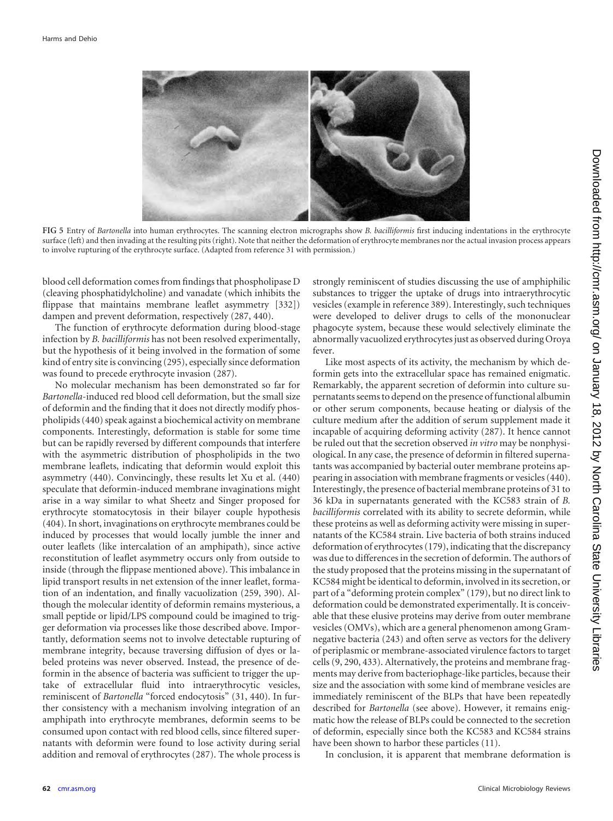

<span id="page-21-0"></span>**FIG 5** Entry of *Bartonella* into human erythrocytes. The scanning electron micrographs show *B. bacilliformis* first inducing indentations in the erythrocyte surface (left) and then invading at the resulting pits (right). Note that neither the deformation of erythrocyte membranes nor the actual invasion process appears to involve rupturing of the erythrocyte surface. (Adapted from reference [31](#page-28-8) with permission.)

blood cell deformation comes from findings that phospholipase D (cleaving phosphatidylcholine) and vanadate (which inhibits the flippase that maintains membrane leaflet asymmetry [\[332\]](#page-34-31)) dampen and prevent deformation, respectively [\(287,](#page-33-18) [440\)](#page-36-40).

The function of erythrocyte deformation during blood-stage infection by *B. bacilliformis* has not been resolved experimentally, but the hypothesis of it being involved in the formation of some kind of entry site is convincing [\(295\)](#page-34-32), especially since deformation was found to precede erythrocyte invasion [\(287\)](#page-33-18).

No molecular mechanism has been demonstrated so far for *Bartonella*-induced red blood cell deformation, but the small size of deformin and the finding that it does not directly modify phospholipids [\(440\)](#page-36-40) speak against a biochemical activity on membrane components. Interestingly, deformation is stable for some time but can be rapidly reversed by different compounds that interfere with the asymmetric distribution of phospholipids in the two membrane leaflets, indicating that deformin would exploit this asymmetry [\(440\)](#page-36-40). Convincingly, these results let Xu et al. [\(440\)](#page-36-40) speculate that deformin-induced membrane invaginations might arise in a way similar to what Sheetz and Singer proposed for erythrocyte stomatocytosis in their bilayer couple hypothesis [\(404\)](#page-36-41). In short, invaginations on erythrocyte membranes could be induced by processes that would locally jumble the inner and outer leaflets (like intercalation of an amphipath), since active reconstitution of leaflet asymmetry occurs only from outside to inside (through the flippase mentioned above). This imbalance in lipid transport results in net extension of the inner leaflet, formation of an indentation, and finally vacuolization [\(259,](#page-33-33) [390\)](#page-35-42). Although the molecular identity of deformin remains mysterious, a small peptide or lipid/LPS compound could be imagined to trigger deformation via processes like those described above. Importantly, deformation seems not to involve detectable rupturing of membrane integrity, because traversing diffusion of dyes or labeled proteins was never observed. Instead, the presence of deformin in the absence of bacteria was sufficient to trigger the uptake of extracellular fluid into intraerythrocytic vesicles, reminiscent of *Bartonella* "forced endocytosis" [\(31,](#page-28-8) [440\)](#page-36-40). In further consistency with a mechanism involving integration of an amphipath into erythrocyte membranes, deformin seems to be consumed upon contact with red blood cells, since filtered supernatants with deformin were found to lose activity during serial addition and removal of erythrocytes [\(287\)](#page-33-18). The whole process is

strongly reminiscent of studies discussing the use of amphiphilic substances to trigger the uptake of drugs into intraerythrocytic vesicles (example in reference [389\)](#page-35-43). Interestingly, such techniques were developed to deliver drugs to cells of the mononuclear phagocyte system, because these would selectively eliminate the abnormally vacuolized erythrocytes just as observed during Oroya fever.

Like most aspects of its activity, the mechanism by which deformin gets into the extracellular space has remained enigmatic. Remarkably, the apparent secretion of deformin into culture supernatants seems to depend on the presence of functional albumin or other serum components, because heating or dialysis of the culture medium after the addition of serum supplement made it incapable of acquiring deforming activity [\(287\)](#page-33-18). It hence cannot be ruled out that the secretion observed *in vitro* may be nonphysiological. In any case, the presence of deformin in filtered supernatants was accompanied by bacterial outer membrane proteins appearing in association with membrane fragments or vesicles [\(440\)](#page-36-40). Interestingly, the presence of bacterial membrane proteins of 31 to 36 kDa in supernatants generated with the KC583 strain of *B. bacilliformis* correlated with its ability to secrete deformin, while these proteins as well as deforming activity were missing in supernatants of the KC584 strain. Live bacteria of both strains induced deformation of erythrocytes [\(179\)](#page-31-34), indicating that the discrepancy was due to differences in the secretion of deformin. The authors of the study proposed that the proteins missing in the supernatant of KC584 might be identical to deformin, involved in its secretion, or part of a "deforming protein complex" [\(179\)](#page-31-34), but no direct link to deformation could be demonstrated experimentally. It is conceivable that these elusive proteins may derive from outer membrane vesicles (OMVs), which are a general phenomenon among Gramnegative bacteria [\(243\)](#page-33-34) and often serve as vectors for the delivery of periplasmic or membrane-associated virulence factors to target cells [\(9,](#page-28-25) [290,](#page-33-35) [433\)](#page-36-42). Alternatively, the proteins and membrane fragments may derive from bacteriophage-like particles, because their size and the association with some kind of membrane vesicles are immediately reminiscent of the BLPs that have been repeatedly described for *Bartonella* (see above). However, it remains enigmatic how the release of BLPs could be connected to the secretion of deformin, especially since both the KC583 and KC584 strains have been shown to harbor these particles [\(11\)](#page-28-15).

In conclusion, it is apparent that membrane deformation is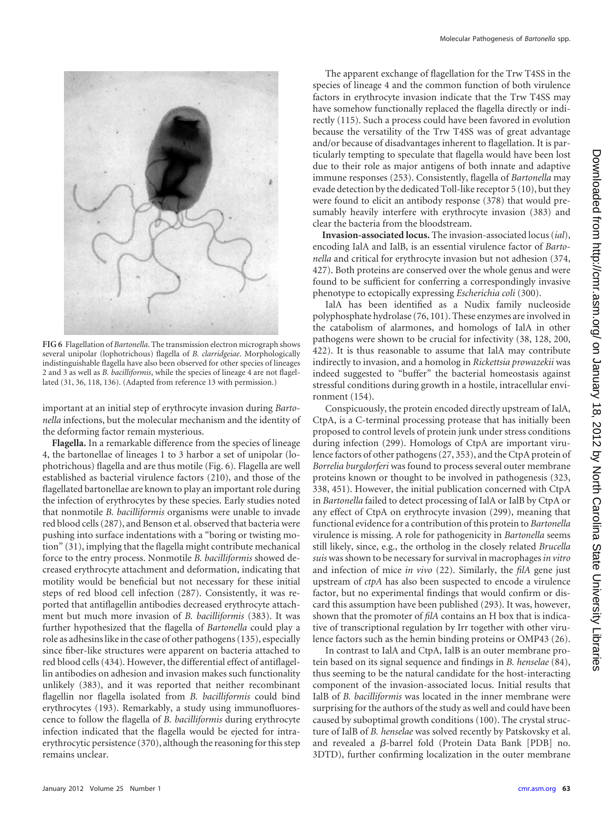

**FIG 6** Flagellation of *Bartonella*. The transmission electron micrograph shows several unipolar (lophotrichous) flagella of *B. clarridgeiae*. Morphologically indistinguishable flagella have also been observed for other species of lineages 2 and 3 as well as *B. bacilliformis*, while the species of lineage 4 are not flagellated [\(31,](#page-28-8) [36,](#page-28-31) [118,](#page-30-41) [136\)](#page-30-42). (Adapted from reference [13](#page-28-32) with permission.)

<span id="page-22-0"></span>important at an initial step of erythrocyte invasion during *Bartonella* infections, but the molecular mechanism and the identity of the deforming factor remain mysterious.

**Flagella.** In a remarkable difference from the species of lineage 4, the bartonellae of lineages 1 to 3 harbor a set of unipolar (lophotrichous) flagella and are thus motile [\(Fig. 6\)](#page-22-0). Flagella are well established as bacterial virulence factors [\(210\)](#page-32-41), and those of the flagellated bartonellae are known to play an important role during the infection of erythrocytes by these species. Early studies noted that nonmotile *B. bacilliformis* organisms were unable to invade red blood cells [\(287\)](#page-33-18), and Benson et al. observed that bacteria were pushing into surface indentations with a "boring or twisting motion" [\(31\)](#page-28-8), implying that the flagella might contribute mechanical force to the entry process. Nonmotile *B. bacilliformis* showed decreased erythrocyte attachment and deformation, indicating that motility would be beneficial but not necessary for these initial steps of red blood cell infection [\(287\)](#page-33-18). Consistently, it was reported that antiflagellin antibodies decreased erythrocyte attachment but much more invasion of *B. bacilliformis* [\(383\)](#page-35-44). It was further hypothesized that the flagella of *Bartonella* could play a role as adhesins like in the case of other pathogens [\(135\)](#page-30-37), especially since fiber-like structures were apparent on bacteria attached to red blood cells [\(434\)](#page-36-12). However, the differential effect of antiflagellin antibodies on adhesion and invasion makes such functionality unlikely [\(383\)](#page-35-44), and it was reported that neither recombinant flagellin nor flagella isolated from *B. bacilliformis* could bind erythrocytes [\(193\)](#page-32-42). Remarkably, a study using immunofluorescence to follow the flagella of *B. bacilliformis* during erythrocyte infection indicated that the flagella would be ejected for intraerythrocytic persistence [\(370\)](#page-35-19), although the reasoning for this step remains unclear.

The apparent exchange of flagellation for the Trw T4SS in the species of lineage 4 and the common function of both virulence factors in erythrocyte invasion indicate that the Trw T4SS may have somehow functionally replaced the flagella directly or indirectly [\(115\)](#page-30-24). Such a process could have been favored in evolution because the versatility of the Trw T4SS was of great advantage and/or because of disadvantages inherent to flagellation. It is particularly tempting to speculate that flagella would have been lost due to their role as major antigens of both innate and adaptive immune responses [\(253\)](#page-33-36). Consistently, flagella of *Bartonella* may evade detection by the dedicated Toll-like receptor 5 [\(10\)](#page-28-26), but they were found to elicit an antibody response [\(378\)](#page-35-45) that would presumably heavily interfere with erythrocyte invasion [\(383\)](#page-35-44) and clear the bacteria from the bloodstream.

**Invasion-associated locus.** The invasion-associated locus (*ial*), encoding IalA and IalB, is an essential virulence factor of *Bartonella* and critical for erythrocyte invasion but not adhesion [\(374,](#page-35-0) [427\)](#page-36-11). Both proteins are conserved over the whole genus and were found to be sufficient for conferring a correspondingly invasive phenotype to ectopically expressing *Escherichia coli* [\(300\)](#page-34-33).

IalA has been identified as a Nudix family nucleoside polyphosphate hydrolase [\(76,](#page-29-41) [101\)](#page-30-38). These enzymes are involved in the catabolism of alarmones, and homologs of IalA in other pathogens were shown to be crucial for infectivity [\(38,](#page-28-27) [128,](#page-30-39) [200,](#page-32-43) [422\)](#page-36-43). It is thus reasonable to assume that IalA may contribute indirectly to invasion, and a homolog in *Rickettsia prowazekii* was indeed suggested to "buffer" the bacterial homeostasis against stressful conditions during growth in a hostile, intracellular environment [\(154\)](#page-31-35).

Conspicuously, the protein encoded directly upstream of IalA, CtpA, is a C-terminal processing protease that has initially been proposed to control levels of protein junk under stress conditions during infection [\(299\)](#page-34-34). Homologs of CtpA are important virulence factors of other pathogens [\(27,](#page-28-28) [353\)](#page-35-46), and the CtpA protein of *Borrelia burgdorferi* was found to process several outer membrane proteins known or thought to be involved in pathogenesis [\(323,](#page-34-35) [338,](#page-34-36) [451\)](#page-37-3). However, the initial publication concerned with CtpA in *Bartonella* failed to detect processing of IalA or IalB by CtpA or any effect of CtpA on erythrocyte invasion [\(299\)](#page-34-34), meaning that functional evidence for a contribution of this protein to *Bartonella* virulence is missing. A role for pathogenicity in *Bartonella* seems still likely, since, e.g., the ortholog in the closely related *Brucella suis*was shown to be necessary for survival in macrophages*in vitro* and infection of mice *in vivo* [\(22\)](#page-28-29). Similarly, the *filA* gene just upstream of *ctpA* has also been suspected to encode a virulence factor, but no experimental findings that would confirm or discard this assumption have been published [\(293\)](#page-33-37). It was, however, shown that the promoter of *filA* contains an H box that is indicative of transcriptional regulation by Irr together with other virulence factors such as the hemin binding proteins or OMP43 [\(26\)](#page-28-30).

In contrast to IalA and CtpA, IalB is an outer membrane protein based on its signal sequence and findings in *B. henselae* [\(84\)](#page-29-39), thus seeming to be the natural candidate for the host-interacting component of the invasion-associated locus. Initial results that IalB of *B. bacilliformis* was located in the inner membrane were surprising for the authors of the study as well and could have been caused by suboptimal growth conditions [\(100\)](#page-30-40). The crystal structure of IalB of *B. henselae* was solved recently by Patskovsky et al. and revealed a  $\beta$ -barrel fold (Protein Data Bank [PDB] no. 3DTD), further confirming localization in the outer membrane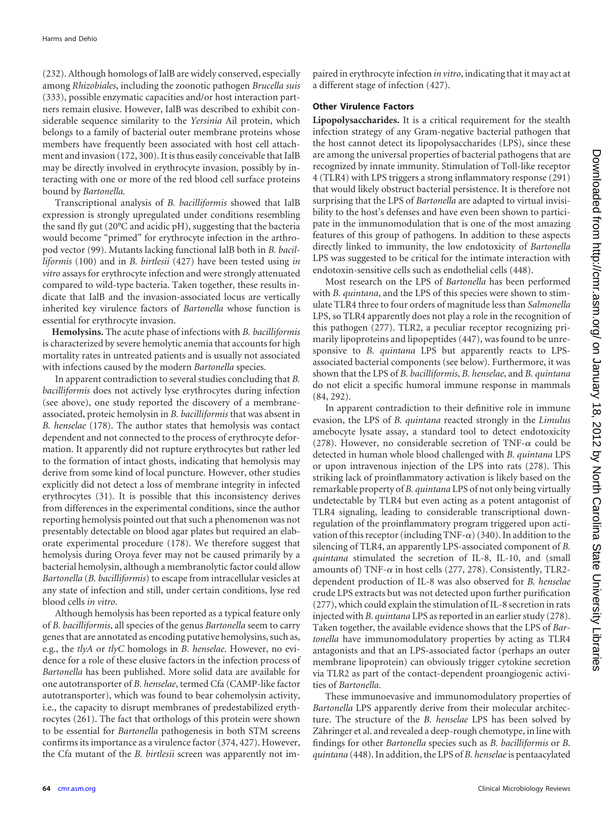[\(232\)](#page-32-44). Although homologs of IalB are widely conserved, especially among *Rhizobiales*, including the zoonotic pathogen *Brucella suis* [\(333\)](#page-34-37), possible enzymatic capacities and/or host interaction partners remain elusive. However, IalB was described to exhibit considerable sequence similarity to the *Yersinia* Ail protein, which belongs to a family of bacterial outer membrane proteins whose members have frequently been associated with host cell attachment and invasion [\(172,](#page-31-36) [300\)](#page-34-33). It is thus easily conceivable that IalB may be directly involved in erythrocyte invasion, possibly by interacting with one or more of the red blood cell surface proteins bound by *Bartonella.*

Transcriptional analysis of *B. bacilliformis* showed that IalB expression is strongly upregulated under conditions resembling the sand fly gut (20°C and acidic pH), suggesting that the bacteria would become "primed" for erythrocyte infection in the arthropod vector [\(99\)](#page-30-43). Mutants lacking functional IalB both in *B. bacilliformis* [\(100\)](#page-30-40) and in *B. birtlesii* [\(427\)](#page-36-11) have been tested using *in vitro* assays for erythrocyte infection and were strongly attenuated compared to wild-type bacteria. Taken together, these results indicate that IalB and the invasion-associated locus are vertically inherited key virulence factors of *Bartonella* whose function is essential for erythrocyte invasion.

**Hemolysins.** The acute phase of infections with *B. bacilliformis* is characterized by severe hemolytic anemia that accounts for high mortality rates in untreated patients and is usually not associated with infections caused by the modern *Bartonella* species.

In apparent contradiction to several studies concluding that *B. bacilliformis* does not actively lyse erythrocytes during infection (see above), one study reported the discovery of a membraneassociated, proteic hemolysin in *B. bacilliformis* that was absent in *B. henselae* [\(178\)](#page-31-37). The author states that hemolysis was contact dependent and not connected to the process of erythrocyte deformation. It apparently did not rupture erythrocytes but rather led to the formation of intact ghosts, indicating that hemolysis may derive from some kind of local puncture. However, other studies explicitly did not detect a loss of membrane integrity in infected erythrocytes [\(31\)](#page-28-8). It is possible that this inconsistency derives from differences in the experimental conditions, since the author reporting hemolysis pointed out that such a phenomenon was not presentably detectable on blood agar plates but required an elaborate experimental procedure [\(178\)](#page-31-37). We therefore suggest that hemolysis during Oroya fever may not be caused primarily by a bacterial hemolysin, although a membranolytic factor could allow *Bartonella* (*B. bacilliformis*) to escape from intracellular vesicles at any state of infection and still, under certain conditions, lyse red blood cells *in vitro*.

Although hemolysis has been reported as a typical feature only of *B. bacilliformis*, all species of the genus *Bartonella* seem to carry genes that are annotated as encoding putative hemolysins, such as, e.g., the *tlyA* or *tlyC* homologs in *B. henselae*. However, no evidence for a role of these elusive factors in the infection process of *Bartonella* has been published. More solid data are available for one autotransporter of *B. henselae*, termed Cfa (CAMP-like factor autotransporter), which was found to bear cohemolysin activity, i.e., the capacity to disrupt membranes of predestabilized erythrocytes [\(261\)](#page-33-38). The fact that orthologs of this protein were shown to be essential for *Bartonella* pathogenesis in both STM screens confirms its importance as a virulence factor [\(374,](#page-35-0) [427\)](#page-36-11). However, the Cfa mutant of the *B. birtlesii* screen was apparently not im-

paired in erythrocyte infection *in vitro*, indicating that it may act at a different stage of infection [\(427\)](#page-36-11).

#### **Other Virulence Factors**

**Lipopolysaccharides.** It is a critical requirement for the stealth infection strategy of any Gram-negative bacterial pathogen that the host cannot detect its lipopolysaccharides (LPS), since these are among the universal properties of bacterial pathogens that are recognized by innate immunity. Stimulation of Toll-like receptor 4 (TLR4) with LPS triggers a strong inflammatory response [\(291\)](#page-33-39) that would likely obstruct bacterial persistence. It is therefore not surprising that the LPS of *Bartonella* are adapted to virtual invisibility to the host's defenses and have even been shown to participate in the immunomodulation that is one of the most amazing features of this group of pathogens. In addition to these aspects directly linked to immunity, the low endotoxicity of *Bartonella* LPS was suggested to be critical for the intimate interaction with endotoxin-sensitive cells such as endothelial cells [\(448\)](#page-37-4).

Most research on the LPS of *Bartonella* has been performed with *B. quintana*, and the LPS of this species were shown to stimulate TLR4 three to four orders of magnitude less than *Salmonella* LPS, so TLR4 apparently does not play a role in the recognition of this pathogen [\(277\)](#page-33-40). TLR2, a peculiar receptor recognizing primarily lipoproteins and lipopeptides [\(447\)](#page-37-5), was found to be unresponsive to *B. quintana* LPS but apparently reacts to LPSassociated bacterial components (see below). Furthermore, it was shown that the LPS of *B. bacilliformis*, *B. henselae*, and *B. quintana* do not elicit a specific humoral immune response in mammals [\(84,](#page-29-39) [292\)](#page-33-41).

In apparent contradiction to their definitive role in immune evasion, the LPS of *B. quintana* reacted strongly in the *Limulus* amebocyte lysate assay, a standard tool to detect endotoxicity [\(278\)](#page-33-42). However, no considerable secretion of TNF- $\alpha$  could be detected in human whole blood challenged with *B. quintana* LPS or upon intravenous injection of the LPS into rats [\(278\)](#page-33-42). This striking lack of proinflammatory activation is likely based on the remarkable property of *B. quintana* LPS of not only being virtually undetectable by TLR4 but even acting as a potent antagonist of TLR4 signaling, leading to considerable transcriptional downregulation of the proinflammatory program triggered upon activation of this receptor (including TNF- $\alpha$ ) [\(340\)](#page-34-38). In addition to the silencing of TLR4, an apparently LPS-associated component of *B. quintana* stimulated the secretion of IL-8, IL-10, and (small amounts of) TNF- $\alpha$  in host cells [\(277,](#page-33-40) [278\)](#page-33-42). Consistently, TLR2dependent production of IL-8 was also observed for *B. henselae* crude LPS extracts but was not detected upon further purification [\(277\)](#page-33-40), which could explain the stimulation of IL-8 secretion in rats injected with *B. quintana* LPS as reported in an earlier study [\(278\)](#page-33-42). Taken together, the available evidence shows that the LPS of *Bartonella* have immunomodulatory properties by acting as TLR4 antagonists and that an LPS-associated factor (perhaps an outer membrane lipoprotein) can obviously trigger cytokine secretion via TLR2 as part of the contact-dependent proangiogenic activities of *Bartonella.*

These immunoevasive and immunomodulatory properties of *Bartonella* LPS apparently derive from their molecular architecture. The structure of the *B. henselae* LPS has been solved by Zähringer et al. and revealed a deep-rough chemotype, in line with findings for other *Bartonella* species such as *B. bacilliformis* or *B. quintana* [\(448\)](#page-37-4). In addition, the LPS of *B. henselae*is pentaacylated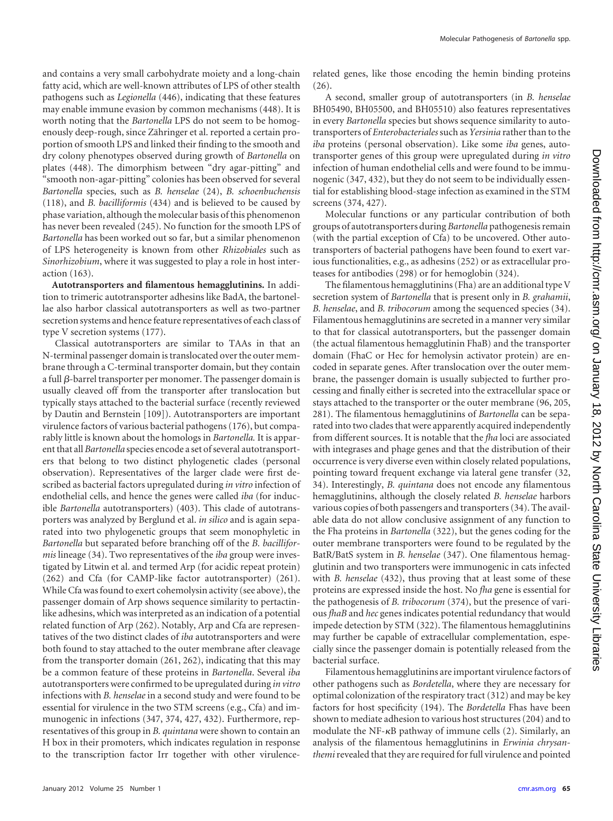and contains a very small carbohydrate moiety and a long-chain fatty acid, which are well-known attributes of LPS of other stealth pathogens such as *Legionella* [\(446\)](#page-37-6), indicating that these features may enable immune evasion by common mechanisms [\(448\)](#page-37-4). It is worth noting that the *Bartonella* LPS do not seem to be homogenously deep-rough, since Zähringer et al. reported a certain proportion of smooth LPS and linked their finding to the smooth and dry colony phenotypes observed during growth of *Bartonella* on plates [\(448\)](#page-37-4). The dimorphism between "dry agar-pitting" and "smooth non-agar-pitting" colonies has been observed for several *Bartonella* species, such as *B. henselae* [\(24\)](#page-28-3), *B. schoenbuchensis* [\(118\)](#page-30-41), and *B. bacilliformis* [\(434\)](#page-36-12) and is believed to be caused by phase variation, although the molecular basis of this phenomenon has never been revealed [\(245\)](#page-33-26). No function for the smooth LPS of *Bartonella* has been worked out so far, but a similar phenomenon of LPS heterogeneity is known from other *Rhizobiales* such as *Sinorhizobium*, where it was suggested to play a role in host interaction [\(163\)](#page-31-38).

**Autotransporters and filamentous hemagglutinins.** In addition to trimeric autotransporter adhesins like BadA, the bartonellae also harbor classical autotransporters as well as two-partner secretion systems and hence feature representatives of each class of type V secretion systems [\(177\)](#page-31-39).

Classical autotransporters are similar to TAAs in that an N-terminal passenger domain is translocated over the outer membrane through a C-terminal transporter domain, but they contain a full  $\beta$ -barrel transporter per monomer. The passenger domain is usually cleaved off from the transporter after translocation but typically stays attached to the bacterial surface (recently reviewed by Dautin and Bernstein [\[109\]](#page-30-44)). Autotransporters are important virulence factors of various bacterial pathogens [\(176\)](#page-31-40), but comparably little is known about the homologs in *Bartonella.* It is apparent that all *Bartonella* species encode a set of several autotransporters that belong to two distinct phylogenetic clades (personal observation). Representatives of the larger clade were first described as bacterial factors upregulated during *in vitro* infection of endothelial cells, and hence the genes were called *iba* (for inducible *Bartonella* autotransporters) [\(403\)](#page-36-2). This clade of autotransporters was analyzed by Berglund et al. *in silico* and is again separated into two phylogenetic groups that seem monophyletic in *Bartonella* but separated before branching off of the *B. bacilliformis* lineage [\(34\)](#page-28-14). Two representatives of the *iba* group were investigated by Litwin et al. and termed Arp (for acidic repeat protein) [\(262\)](#page-33-43) and Cfa (for CAMP-like factor autotransporter) [\(261\)](#page-33-38). While Cfa was found to exert cohemolysin activity (see above), the passenger domain of Arp shows sequence similarity to pertactinlike adhesins, which was interpreted as an indication of a potential related function of Arp [\(262\)](#page-33-43). Notably, Arp and Cfa are representatives of the two distinct clades of *iba* autotransporters and were both found to stay attached to the outer membrane after cleavage from the transporter domain [\(261,](#page-33-38) [262\)](#page-33-43), indicating that this may be a common feature of these proteins in *Bartonella*. Several *iba* autotransporters were confirmed to be upregulated during *in vitro* infections with *B. henselae* in a second study and were found to be essential for virulence in the two STM screens (e.g., Cfa) and immunogenic in infections [\(347,](#page-35-38) [374,](#page-35-0) [427,](#page-36-11) [432\)](#page-36-33). Furthermore, representatives of this group in *B. quintana* were shown to contain an H box in their promoters, which indicates regulation in response to the transcription factor Irr together with other virulencerelated genes, like those encoding the hemin binding proteins  $(26)$ .

A second, smaller group of autotransporters (in *B. henselae* BH05490, BH05500, and BH05510) also features representatives in every *Bartonella* species but shows sequence similarity to autotransporters of *Enterobacteriales*such as *Yersinia* rather than to the *iba* proteins (personal observation). Like some *iba* genes, autotransporter genes of this group were upregulated during *in vitro* infection of human endothelial cells and were found to be immunogenic [\(347,](#page-35-38) [432\)](#page-36-33), but they do not seem to be individually essential for establishing blood-stage infection as examined in the STM screens [\(374,](#page-35-0) [427\)](#page-36-11).

Molecular functions or any particular contribution of both groups of autotransporters during *Bartonella* pathogenesis remain (with the partial exception of Cfa) to be uncovered. Other autotransporters of bacterial pathogens have been found to exert various functionalities, e.g., as adhesins [\(252\)](#page-33-44) or as extracellular proteases for antibodies [\(298\)](#page-34-39) or for hemoglobin [\(324\)](#page-34-40).

The filamentous hemagglutinins (Fha) are an additional type V secretion system of *Bartonella* that is present only in *B. grahamii*, *B. henselae*, and *B. tribocorum* among the sequenced species [\(34\)](#page-28-14). Filamentous hemagglutinins are secreted in a manner very similar to that for classical autotransporters, but the passenger domain (the actual filamentous hemagglutinin FhaB) and the transporter domain (FhaC or Hec for hemolysin activator protein) are encoded in separate genes. After translocation over the outer membrane, the passenger domain is usually subjected to further processing and finally either is secreted into the extracellular space or stays attached to the transporter or the outer membrane [\(96,](#page-30-45) [205,](#page-32-45) [281\)](#page-33-45). The filamentous hemagglutinins of *Bartonella* can be separated into two clades that were apparently acquired independently from different sources. It is notable that the *fha* loci are associated with integrases and phage genes and that the distribution of their occurrence is very diverse even within closely related populations, pointing toward frequent exchange via lateral gene transfer [\(32,](#page-28-12) [34\)](#page-28-14). Interestingly, *B. quintana* does not encode any filamentous hemagglutinins, although the closely related *B. henselae* harbors various copies of both passengers and transporters [\(34\)](#page-28-14). The available data do not allow conclusive assignment of any function to the Fha proteins in *Bartonella* [\(322\)](#page-34-21), but the genes coding for the outer membrane transporters were found to be regulated by the BatR/BatS system in *B. henselae* [\(347\)](#page-35-38). One filamentous hemagglutinin and two transporters were immunogenic in cats infected with *B. henselae* [\(432\)](#page-36-33), thus proving that at least some of these proteins are expressed inside the host. No *fha* gene is essential for the pathogenesis of *B. tribocorum* [\(374\)](#page-35-0), but the presence of various *fhaB* and *hec* genes indicates potential redundancy that would impede detection by STM [\(322\)](#page-34-21). The filamentous hemagglutinins may further be capable of extracellular complementation, especially since the passenger domain is potentially released from the bacterial surface.

Filamentous hemagglutinins are important virulence factors of other pathogens such as *Bordetella*, where they are necessary for optimal colonization of the respiratory tract [\(312\)](#page-34-41) and may be key factors for host specificity [\(194\)](#page-32-46). The *Bordetella* Fhas have been shown to mediate adhesion to various host structures [\(204\)](#page-32-47) and to modulate the NF- $\kappa$ B pathway of immune cells [\(2\)](#page-28-33). Similarly, an analysis of the filamentous hemagglutinins in *Erwinia chrysanthemi*revealed that they are required for full virulence and pointed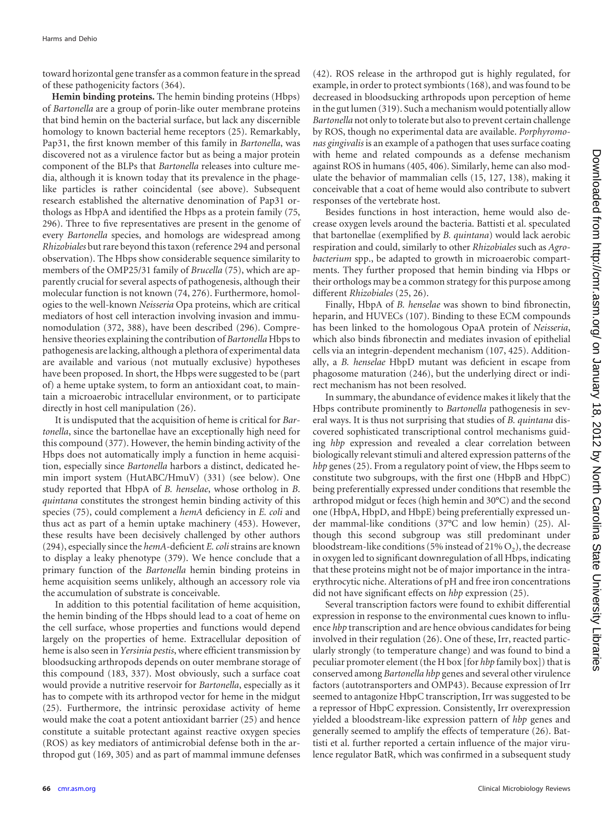toward horizontal gene transfer as a common feature in the spread of these pathogenicity factors [\(364\)](#page-35-47).

**Hemin binding proteins.** The hemin binding proteins (Hbps) of *Bartonella* are a group of porin-like outer membrane proteins that bind hemin on the bacterial surface, but lack any discernible homology to known bacterial heme receptors [\(25\)](#page-28-34). Remarkably, Pap31, the first known member of this family in *Bartonella*, was discovered not as a virulence factor but as being a major protein component of the BLPs that *Bartonella* releases into culture media, although it is known today that its prevalence in the phagelike particles is rather coincidental (see above). Subsequent research established the alternative denomination of Pap31 orthologs as HbpA and identified the Hbps as a protein family [\(75,](#page-29-42) [296\)](#page-34-42). Three to five representatives are present in the genome of every *Bartonella* species, and homologs are widespread among *Rhizobiales* but rare beyond this taxon (reference [294](#page-34-1) and personal observation). The Hbps show considerable sequence similarity to members of the OMP25/31 family of *Brucella* [\(75\)](#page-29-42), which are apparently crucial for several aspects of pathogenesis, although their molecular function is not known [\(74,](#page-29-43) [276\)](#page-33-46). Furthermore, homologies to the well-known *Neisseria* Opa proteins, which are critical mediators of host cell interaction involving invasion and immunomodulation [\(372,](#page-35-48) [388\)](#page-35-49), have been described [\(296\)](#page-34-42). Comprehensive theories explaining the contribution of *Bartonella* Hbps to pathogenesis are lacking, although a plethora of experimental data are available and various (not mutually exclusive) hypotheses have been proposed. In short, the Hbps were suggested to be (part of) a heme uptake system, to form an antioxidant coat, to maintain a microaerobic intracellular environment, or to participate directly in host cell manipulation [\(26\)](#page-28-30).

It is undisputed that the acquisition of heme is critical for *Bartonella*, since the bartonellae have an exceptionally high need for this compound [\(377\)](#page-35-23). However, the hemin binding activity of the Hbps does not automatically imply a function in heme acquisition, especially since *Bartonella* harbors a distinct, dedicated hemin import system (HutABC/HmuV) [\(331\)](#page-34-43) (see below). One study reported that HbpA of *B. henselae*, whose ortholog in *B*. *quintana* constitutes the strongest hemin binding activity of this species [\(75\)](#page-29-42), could complement a *hemA* deficiency in *E. coli* and thus act as part of a hemin uptake machinery [\(453\)](#page-37-7). However, these results have been decisively challenged by other authors [\(294\)](#page-34-1), especially since the *hemA*-deficient *E. coli*strains are known to display a leaky phenotype [\(379\)](#page-35-50). We hence conclude that a primary function of the *Bartonella* hemin binding proteins in heme acquisition seems unlikely, although an accessory role via the accumulation of substrate is conceivable.

In addition to this potential facilitation of heme acquisition, the hemin binding of the Hbps should lead to a coat of heme on the cell surface, whose properties and functions would depend largely on the properties of heme. Extracellular deposition of heme is also seen in *Yersinia pestis*, where efficient transmission by bloodsucking arthropods depends on outer membrane storage of this compound [\(183,](#page-31-41) [337\)](#page-34-44). Most obviously, such a surface coat would provide a nutritive reservoir for *Bartonella*, especially as it has to compete with its arthropod vector for heme in the midgut [\(25\)](#page-28-34). Furthermore, the intrinsic peroxidase activity of heme would make the coat a potent antioxidant barrier [\(25\)](#page-28-34) and hence constitute a suitable protectant against reactive oxygen species (ROS) as key mediators of antimicrobial defense both in the arthropod gut [\(169,](#page-31-42) [305\)](#page-34-45) and as part of mammal immune defenses

[\(42\)](#page-29-44). ROS release in the arthropod gut is highly regulated, for example, in order to protect symbionts [\(168\)](#page-31-43), and was found to be decreased in bloodsucking arthropods upon perception of heme in the gut lumen [\(319\)](#page-34-46). Such a mechanism would potentially allow *Bartonella* not only to tolerate but also to prevent certain challenge by ROS, though no experimental data are available. *Porphyromonas gingivalis* is an example of a pathogen that uses surface coating with heme and related compounds as a defense mechanism against ROS in humans [\(405,](#page-36-44) [406\)](#page-36-45). Similarly, heme can also modulate the behavior of mammalian cells [\(15,](#page-28-35) [127,](#page-30-46) [138\)](#page-30-47), making it conceivable that a coat of heme would also contribute to subvert responses of the vertebrate host.

Besides functions in host interaction, heme would also decrease oxygen levels around the bacteria. Battisti et al. speculated that bartonellae (exemplified by *B. quintana*) would lack aerobic respiration and could, similarly to other *Rhizobiales* such as *Agrobacterium* spp., be adapted to growth in microaerobic compartments. They further proposed that hemin binding via Hbps or their orthologs may be a common strategy for this purpose among different *Rhizobiales* [\(25,](#page-28-34) [26\)](#page-28-30).

Finally, HbpA of *B. henselae* was shown to bind fibronectin, heparin, and HUVECs [\(107\)](#page-30-48). Binding to these ECM compounds has been linked to the homologous OpaA protein of *Neisseria*, which also binds fibronectin and mediates invasion of epithelial cells via an integrin-dependent mechanism [\(107,](#page-30-48) [425\)](#page-36-46). Additionally, a *B. henselae* HbpD mutant was deficient in escape from phagosome maturation [\(246\)](#page-33-7), but the underlying direct or indirect mechanism has not been resolved.

In summary, the abundance of evidence makes it likely that the Hbps contribute prominently to *Bartonella* pathogenesis in several ways. It is thus not surprising that studies of *B. quintana* discovered sophisticated transcriptional control mechanisms guiding *hbp* expression and revealed a clear correlation between biologically relevant stimuli and altered expression patterns of the *hbp* genes [\(25\)](#page-28-34). From a regulatory point of view, the Hbps seem to constitute two subgroups, with the first one (HbpB and HbpC) being preferentially expressed under conditions that resemble the arthropod midgut or feces (high hemin and 30°C) and the second one (HbpA, HbpD, and HbpE) being preferentially expressed under mammal-like conditions (37°C and low hemin) [\(25\)](#page-28-34). Although this second subgroup was still predominant under bloodstream-like conditions (5% instead of 21%  $O<sub>2</sub>$ ), the decrease in oxygen led to significant downregulation of all Hbps, indicating that these proteins might not be of major importance in the intraerythrocytic niche. Alterations of pH and free iron concentrations did not have significant effects on *hbp* expression [\(25\)](#page-28-34).

Several transcription factors were found to exhibit differential expression in response to the environmental cues known to influence *hbp* transcription and are hence obvious candidates for being involved in their regulation [\(26\)](#page-28-30). One of these, Irr, reacted particularly strongly (to temperature change) and was found to bind a peculiar promoter element (the H box [for *hbp* family box]) that is conserved among *Bartonella hbp* genes and several other virulence factors (autotransporters and OMP43). Because expression of Irr seemed to antagonize HbpC transcription, Irr was suggested to be a repressor of HbpC expression. Consistently, Irr overexpression yielded a bloodstream-like expression pattern of *hbp* genes and generally seemed to amplify the effects of temperature [\(26\)](#page-28-30). Battisti et al. further reported a certain influence of the major virulence regulator BatR, which was confirmed in a subsequent study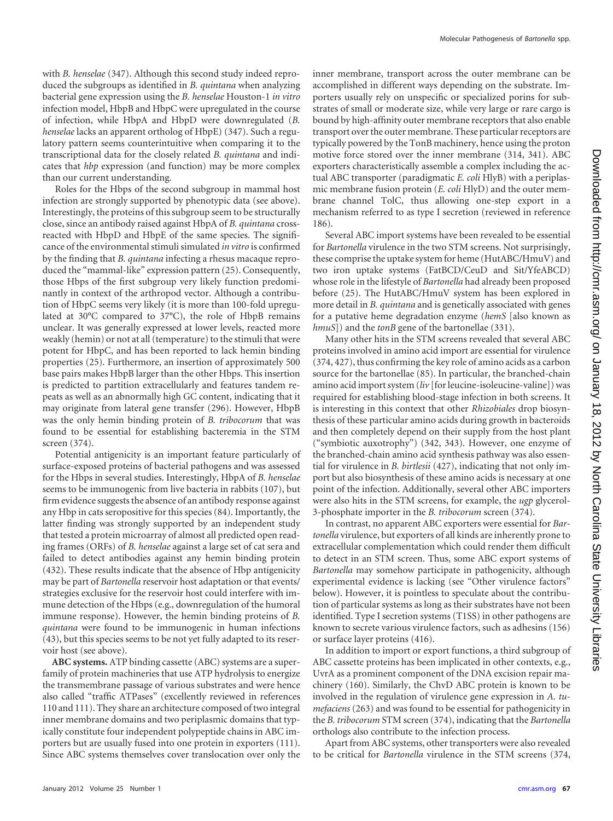with *B. henselae* [\(347\)](#page-35-38). Although this second study indeed reproduced the subgroups as identified in *B. quintana* when analyzing bacterial gene expression using the *B. henselae* Houston-1 *in vitro* infection model, HbpB and HbpC were upregulated in the course of infection, while HbpA and HbpD were downregulated (*B. henselae* lacks an apparent ortholog of HbpE) [\(347\)](#page-35-38). Such a regulatory pattern seems counterintuitive when comparing it to the transcriptional data for the closely related *B. quintana* and indicates that *hbp* expression (and function) may be more complex than our current understanding.

Roles for the Hbps of the second subgroup in mammal host infection are strongly supported by phenotypic data (see above). Interestingly, the proteins of this subgroup seem to be structurally close, since an antibody raised against HbpA of *B. quintana* crossreacted with HbpD and HbpE of the same species. The significance of the environmental stimuli simulated *in vitro* is confirmed by the finding that *B. quintana* infecting a rhesus macaque reproduced the "mammal-like" expression pattern [\(25\)](#page-28-34). Consequently, those Hbps of the first subgroup very likely function predominantly in context of the arthropod vector. Although a contribution of HbpC seems very likely (it is more than 100-fold upregulated at 30°C compared to 37°C), the role of HbpB remains unclear. It was generally expressed at lower levels, reacted more weakly (hemin) or not at all (temperature) to the stimuli that were potent for HbpC, and has been reported to lack hemin binding properties [\(25\)](#page-28-34). Furthermore, an insertion of approximately 500 base pairs makes HbpB larger than the other Hbps. This insertion is predicted to partition extracellularly and features tandem repeats as well as an abnormally high GC content, indicating that it may originate from lateral gene transfer [\(296\)](#page-34-42). However, HbpB was the only hemin binding protein of *B. tribocorum* that was found to be essential for establishing bacteremia in the STM screen [\(374\)](#page-35-0).

Potential antigenicity is an important feature particularly of surface-exposed proteins of bacterial pathogens and was assessed for the Hbps in several studies. Interestingly, HbpA of *B. henselae* seems to be immunogenic from live bacteria in rabbits [\(107\)](#page-30-48), but firm evidence suggests the absence of an antibody response against any Hbp in cats seropositive for this species [\(84\)](#page-29-39). Importantly, the latter finding was strongly supported by an independent study that tested a protein microarray of almost all predicted open reading frames (ORFs) of *B. henselae* against a large set of cat sera and failed to detect antibodies against any hemin binding protein [\(432\)](#page-36-33). These results indicate that the absence of Hbp antigenicity may be part of *Bartonella* reservoir host adaptation or that events/ strategies exclusive for the reservoir host could interfere with immune detection of the Hbps (e.g., downregulation of the humoral immune response). However, the hemin binding proteins of *B. quintana* were found to be immunogenic in human infections [\(43\)](#page-29-36), but this species seems to be not yet fully adapted to its reservoir host (see above).

**ABC systems.** ATP binding cassette (ABC) systems are a superfamily of protein machineries that use ATP hydrolysis to energize the transmembrane passage of various substrates and were hence also called "traffic ATPases" (excellently reviewed in references [110](#page-30-49) and [111\)](#page-30-50). They share an architecture composed of two integral inner membrane domains and two periplasmic domains that typically constitute four independent polypeptide chains in ABC importers but are usually fused into one protein in exporters [\(111\)](#page-30-50). Since ABC systems themselves cover translocation over only the

inner membrane, transport across the outer membrane can be accomplished in different ways depending on the substrate. Importers usually rely on unspecific or specialized porins for substrates of small or moderate size, while very large or rare cargo is bound by high-affinity outer membrane receptors that also enable transport over the outer membrane. These particular receptors are typically powered by the TonB machinery, hence using the proton motive force stored over the inner membrane [\(314,](#page-34-47) [341\)](#page-34-48). ABC exporters characteristically assemble a complex including the actual ABC transporter (paradigmatic *E. coli* HlyB) with a periplasmic membrane fusion protein (*E. coli* HlyD) and the outer membrane channel TolC, thus allowing one-step export in a mechanism referred to as type I secretion (reviewed in reference [186\)](#page-31-44).

Several ABC import systems have been revealed to be essential for *Bartonella* virulence in the two STM screens. Not surprisingly, these comprise the uptake system for heme (HutABC/HmuV) and two iron uptake systems (FatBCD/CeuD and Sit/YfeABCD) whose role in the lifestyle of *Bartonella* had already been proposed before [\(25\)](#page-28-34). The HutABC/HmuV system has been explored in more detail in *B. quintana* and is genetically associated with genes for a putative heme degradation enzyme (*hemS* [also known as *hmuS*]) and the *tonB* gene of the bartonellae [\(331\)](#page-34-43).

Many other hits in the STM screens revealed that several ABC proteins involved in amino acid import are essential for virulence [\(374,](#page-35-0) [427\)](#page-36-11), thus confirming the key role of amino acids as a carbon source for the bartonellae [\(85\)](#page-29-28). In particular, the branched-chain amino acid import system (*liv* [for leucine-isoleucine-valine]) was required for establishing blood-stage infection in both screens. It is interesting in this context that other *Rhizobiales* drop biosynthesis of these particular amino acids during growth in bacteroids and then completely depend on their supply from the host plant ("symbiotic auxotrophy") [\(342,](#page-34-49) [343\)](#page-34-50). However, one enzyme of the branched-chain amino acid synthesis pathway was also essential for virulence in *B. birtlesii* [\(427\)](#page-36-11), indicating that not only import but also biosynthesis of these amino acids is necessary at one point of the infection. Additionally, several other ABC importers were also hits in the STM screens, for example, the *ugp* glycerol-3-phosphate importer in the *B. tribocorum* screen [\(374\)](#page-35-0).

In contrast, no apparent ABC exporters were essential for *Bartonella* virulence, but exporters of all kinds are inherently prone to extracellular complementation which could render them difficult to detect in an STM screen. Thus, some ABC export systems of *Bartonella* may somehow participate in pathogenicity, although experimental evidence is lacking (see "Other virulence factors" below). However, it is pointless to speculate about the contribution of particular systems as long as their substrates have not been identified. Type I secretion systems (T1SS) in other pathogens are known to secrete various virulence factors, such as adhesins [\(156\)](#page-31-45) or surface layer proteins [\(416\)](#page-36-47).

In addition to import or export functions, a third subgroup of ABC cassette proteins has been implicated in other contexts, e.g., UvrA as a prominent component of the DNA excision repair machinery [\(160\)](#page-31-46). Similarly, the ChvD ABC protein is known to be involved in the regulation of virulence gene expression in *A. tumefaciens* [\(263\)](#page-33-47) and was found to be essential for pathogenicity in the *B. tribocorum* STM screen [\(374\)](#page-35-0), indicating that the *Bartonella* orthologs also contribute to the infection process.

Apart from ABC systems, other transporters were also revealed to be critical for *Bartonella* virulence in the STM screens [\(374,](#page-35-0)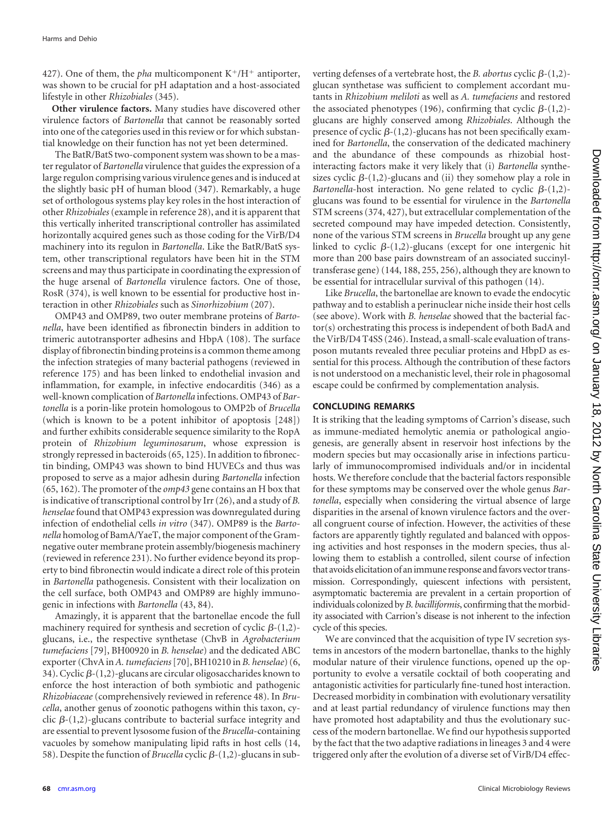[427\)](#page-36-11). One of them, the *pha* multicomponent  $K^+/H^+$  antiporter, was shown to be crucial for pH adaptation and a host-associated lifestyle in other *Rhizobiales* [\(345\)](#page-34-51).

**Other virulence factors.** Many studies have discovered other virulence factors of *Bartonella* that cannot be reasonably sorted into one of the categories used in this review or for which substantial knowledge on their function has not yet been determined.

The BatR/BatS two-component system was shown to be a master regulator of *Bartonella* virulence that guides the expression of a large regulon comprising various virulence genes and is induced at the slightly basic pH of human blood [\(347\)](#page-35-38). Remarkably, a huge set of orthologous systems play key roles in the host interaction of other *Rhizobiales*(example in reference [28\)](#page-28-36), and it is apparent that this vertically inherited transcriptional controller has assimilated horizontally acquired genes such as those coding for the VirB/D4 machinery into its regulon in *Bartonella*. Like the BatR/BatS system, other transcriptional regulators have been hit in the STM screens and may thus participate in coordinating the expression of the huge arsenal of *Bartonella* virulence factors. One of those, RosR [\(374\)](#page-35-0), is well known to be essential for productive host interaction in other *Rhizobiales* such as *Sinorhizobium* [\(207\)](#page-32-48).

OMP43 and OMP89, two outer membrane proteins of *Bartonella*, have been identified as fibronectin binders in addition to trimeric autotransporter adhesins and HbpA [\(108\)](#page-30-51). The surface display of fibronectin binding proteins is a common theme among the infection strategies of many bacterial pathogens (reviewed in reference [175\)](#page-31-47) and has been linked to endothelial invasion and inflammation, for example, in infective endocarditis [\(346\)](#page-35-51) as a well-known complication of *Bartonella* infections. OMP43 of *Bartonella* is a porin-like protein homologous to OMP2b of *Brucella* (which is known to be a potent inhibitor of apoptosis [\[248\]](#page-33-48)) and further exhibits considerable sequence similarity to the RopA protein of *Rhizobium leguminosarum*, whose expression is strongly repressed in bacteroids [\(65,](#page-29-45) [125\)](#page-30-52). In addition to fibronectin binding, OMP43 was shown to bind HUVECs and thus was proposed to serve as a major adhesin during *Bartonella* infection [\(65,](#page-29-45) [162\)](#page-31-9). The promoter of the *omp43* gene contains an H box that is indicative of transcriptional control by Irr [\(26\)](#page-28-30), and a study of *B. henselae*found that OMP43 expression was downregulated during infection of endothelial cells *in vitro* [\(347\)](#page-35-38). OMP89 is the *Bartonella* homolog of BamA/YaeT, the major component of the Gramnegative outer membrane protein assembly/biogenesis machinery (reviewed in reference [231\)](#page-32-49). No further evidence beyond its property to bind fibronectin would indicate a direct role of this protein in *Bartonella* pathogenesis. Consistent with their localization on the cell surface, both OMP43 and OMP89 are highly immunogenic in infections with *Bartonella* [\(43,](#page-29-36) [84\)](#page-29-39).

Amazingly, it is apparent that the bartonellae encode the full machinery required for synthesis and secretion of cyclic  $\beta$ -[\(1,](#page-28-7)[2\)](#page-28-33)glucans, i.e., the respective synthetase (ChvB in *Agrobacterium tumefaciens* [\[79\]](#page-29-46), BH00920 in *B. henselae*) and the dedicated ABC exporter (ChvA in*A. tumefaciens*[\[70\]](#page-29-47), BH10210 in *B. henselae*) [\(6,](#page-28-11) [34\)](#page-28-14). Cyclic  $\beta$ -[\(1,](#page-28-7)[2\)](#page-28-33)-glucans are circular oligosaccharides known to enforce the host interaction of both symbiotic and pathogenic *Rhizobiaceae* (comprehensively reviewed in reference [48\)](#page-29-48). In *Brucella*, another genus of zoonotic pathogens within this taxon, cyclic  $\beta$ -[\(1,](#page-28-7)[2\)](#page-28-33)-glucans contribute to bacterial surface integrity and are essential to prevent lysosome fusion of the *Brucella*-containing vacuoles by somehow manipulating lipid rafts in host cells [\(14,](#page-28-37) [58\)](#page-29-49). Despite the function of *Brucella* cyclic  $\beta$ -[\(1](#page-28-7)[,2\)](#page-28-33)-glucans in sub-

verting defenses of a vertebrate host, the *B. abortus* cyclic  $\beta$ - $(1,2)$  $(1,2)$ glucan synthetase was sufficient to complement accordant mutants in *Rhizobium meliloti* as well as *A. tumefaciens* and restored the associated phenotypes [\(196\)](#page-32-50), confirming that cyclic  $\beta$ -[\(1,](#page-28-7)[2\)](#page-28-33)glucans are highly conserved among *Rhizobiales*. Although the presence of cyclic  $\beta$ -[\(1,](#page-28-7)[2\)](#page-28-33)-glucans has not been specifically examined for *Bartonella*, the conservation of the dedicated machinery and the abundance of these compounds as rhizobial hostinteracting factors make it very likely that (i) *Bartonella* synthesizes cyclic  $\beta$ -[\(1](#page-28-7)[,2\)](#page-28-33)-glucans and (ii) they somehow play a role in *Bartonella*-host interaction. No gene related to cyclic  $\beta$ -[\(1,](#page-28-7)[2\)](#page-28-33)glucans was found to be essential for virulence in the *Bartonella* STM screens [\(374,](#page-35-0) [427\)](#page-36-11), but extracellular complementation of the secreted compound may have impeded detection. Consistently, none of the various STM screens in *Brucella* brought up any gene linked to cyclic  $\beta$ -[\(1](#page-28-7)[,2\)](#page-28-33)-glucans (except for one intergenic hit more than 200 base pairs downstream of an associated succinyltransferase gene) [\(144,](#page-31-48) [188,](#page-31-49) [255,](#page-33-49) [256\)](#page-33-50), although they are known to be essential for intracellular survival of this pathogen [\(14\)](#page-28-37).

Like *Brucella*, the bartonellae are known to evade the endocytic pathway and to establish a perinuclear niche inside their host cells (see above). Work with *B. henselae* showed that the bacterial factor(s) orchestrating this process is independent of both BadA and the VirB/D4 T4SS [\(246\)](#page-33-7). Instead, a small-scale evaluation of transposon mutants revealed three peculiar proteins and HbpD as essential for this process. Although the contribution of these factors is not understood on a mechanistic level, their role in phagosomal escape could be confirmed by complementation analysis.

#### **CONCLUDING REMARKS**

It is striking that the leading symptoms of Carrion's disease, such as immune-mediated hemolytic anemia or pathological angiogenesis, are generally absent in reservoir host infections by the modern species but may occasionally arise in infections particularly of immunocompromised individuals and/or in incidental hosts. We therefore conclude that the bacterial factors responsible for these symptoms may be conserved over the whole genus *Bartonella*, especially when considering the virtual absence of large disparities in the arsenal of known virulence factors and the overall congruent course of infection. However, the activities of these factors are apparently tightly regulated and balanced with opposing activities and host responses in the modern species, thus allowing them to establish a controlled, silent course of infection that avoids elicitation of an immune response and favors vector transmission. Correspondingly, quiescent infections with persistent, asymptomatic bacteremia are prevalent in a certain proportion of individuals colonized by*B. bacilliformis*, confirming that the morbidity associated with Carrion's disease is not inherent to the infection cycle of this species.

We are convinced that the acquisition of type IV secretion systems in ancestors of the modern bartonellae, thanks to the highly modular nature of their virulence functions, opened up the opportunity to evolve a versatile cocktail of both cooperating and antagonistic activities for particularly fine-tuned host interaction. Decreased morbidity in combination with evolutionary versatility and at least partial redundancy of virulence functions may then have promoted host adaptability and thus the evolutionary success of the modern bartonellae. We find our hypothesis supported by the fact that the two adaptive radiations in lineages 3 and 4 were triggered only after the evolution of a diverse set of VirB/D4 effec-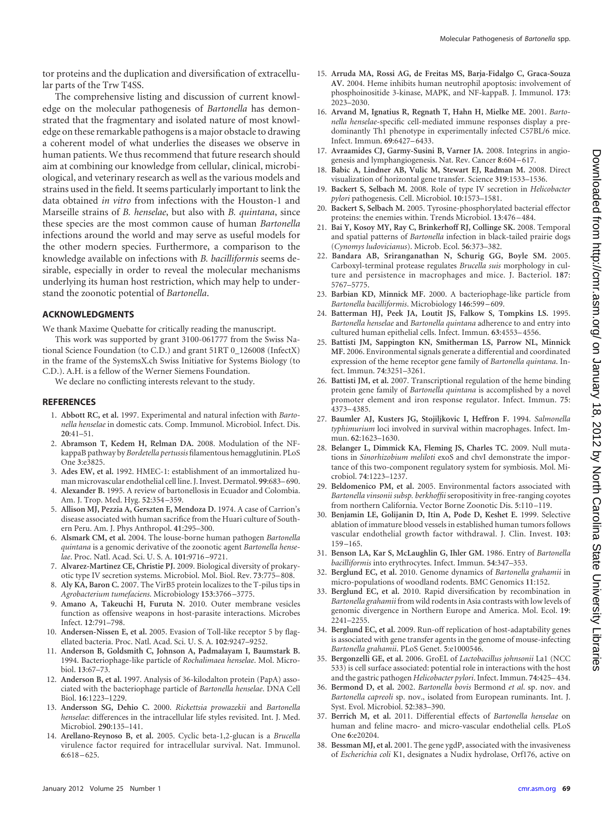tor proteins and the duplication and diversification of extracellular parts of the Trw T4SS.

The comprehensive listing and discussion of current knowledge on the molecular pathogenesis of *Bartonella* has demonstrated that the fragmentary and isolated nature of most knowledge on these remarkable pathogens is a major obstacle to drawing a coherent model of what underlies the diseases we observe in human patients. We thus recommend that future research should aim at combining our knowledge from cellular, clinical, microbiological, and veterinary research as well as the various models and strains used in the field. It seems particularly important to link the data obtained *in vitro* from infections with the Houston-1 and Marseille strains of *B. henselae*, but also with *B. quintana*, since these species are the most common cause of human *Bartonella* infections around the world and may serve as useful models for the other modern species. Furthermore, a comparison to the knowledge available on infections with *B. bacilliformis* seems desirable, especially in order to reveal the molecular mechanisms underlying its human host restriction, which may help to understand the zoonotic potential of *Bartonella*.

#### **ACKNOWLEDGMENTS**

We thank Maxime Quebatte for critically reading the manuscript.

This work was supported by grant 3100-061777 from the Swiss National Science Foundation (to C.D.) and grant 51RT 0\_126008 (InfectX) in the frame of the SystemsX.ch Swiss Initiative for Systems Biology (to C.D.). A.H. is a fellow of the Werner Siemens Foundation.

We declare no conflicting interests relevant to the study.

#### <span id="page-28-7"></span>**REFERENCES**

- 1. **Abbott RC, et al.** 1997. Experimental and natural infection with *Bartonella henselae* in domestic cats. Comp. Immunol. Microbiol. Infect. Dis. **20**:41–51.
- <span id="page-28-33"></span>2. **Abramson T, Kedem H, Relman DA.** 2008. Modulation of the NFkappaB pathway by *Bordetella pertussis* filamentous hemagglutinin. PLoS One **3**:e3825.
- <span id="page-28-6"></span>3. **Ades EW, et al.** 1992. HMEC-1: establishment of an immortalized human microvascular endothelial cell line. J. Invest. Dermatol. **99**:683– 690.
- <span id="page-28-1"></span>4. **Alexander B.** 1995. A review of bartonellosis in Ecuador and Colombia. Am. J. Trop. Med. Hyg. **52**:354 –359.
- <span id="page-28-0"></span>5. **Allison MJ, Pezzia A, Gerszten E, Mendoza D.** 1974. A case of Carrion's disease associated with human sacrifice from the Huari culture of Southern Peru. Am. J. Phys Anthropol. **41**:295–300.
- <span id="page-28-11"></span>6. **Alsmark CM, et al.** 2004. The louse-borne human pathogen *Bartonella quintana* is a genomic derivative of the zoonotic agent *Bartonella henselae*. Proc. Natl. Acad. Sci. U. S. A. **101**:9716 –9721.
- <span id="page-28-19"></span>7. **Alvarez-Martinez CE, Christie PJ.** 2009. Biological diversity of prokaryotic type IV secretion systems. Microbiol. Mol. Biol. Rev. **73**:775– 808.
- <span id="page-28-22"></span>8. **Aly KA, Baron C.** 2007. The VirB5 protein localizes to the T-pilus tips in *Agrobacterium tumefaciens*. Microbiology **153**:3766 –3775.
- <span id="page-28-25"></span>9. **Amano A, Takeuchi H, Furuta N.** 2010. Outer membrane vesicles function as offensive weapons in host-parasite interactions. Microbes Infect. **12**:791–798.
- <span id="page-28-26"></span>10. **Andersen-Nissen E, et al.** 2005. Evasion of Toll-like receptor 5 by flagellated bacteria. Proc. Natl. Acad. Sci. U. S. A. **102**:9247–9252.
- <span id="page-28-15"></span>11. **Anderson B, Goldsmith C, Johnson A, Padmalayam I, Baumstark B.** 1994. Bacteriophage-like particle of *Rochalimaea henselae*. Mol. Microbiol. **13**:67–73.
- <span id="page-28-17"></span>12. **Anderson B, et al.** 1997. Analysis of 36-kilodalton protein (PapA) associated with the bacteriophage particle of *Bartonella henselae*. DNA Cell Biol. **16**:1223–1229.
- <span id="page-28-32"></span>13. **Andersson SG, Dehio C.** 2000. *Rickettsia prowazekii* and *Bartonella henselae*: differences in the intracellular life styles revisited. Int. J. Med. Microbiol. **290**:135–141.
- <span id="page-28-37"></span>14. **Arellano-Reynoso B, et al.** 2005. Cyclic beta-1,2-glucan is a *Brucella* virulence factor required for intracellular survival. Nat. Immunol. **6**:618 – 625.
- <span id="page-28-35"></span>15. **Arruda MA, Rossi AG, de Freitas MS, Barja-Fidalgo C, Graca-Souza AV.** 2004. Heme inhibits human neutrophil apoptosis: involvement of phosphoinositide 3-kinase, MAPK, and NF-kappaB. J. Immunol. **173**: 2023–2030.
- <span id="page-28-10"></span>16. **Arvand M, Ignatius R, Regnath T, Hahn H, Mielke ME.** 2001. *Bartonella henselae*-specific cell-mediated immune responses display a predominantly Th1 phenotype in experimentally infected C57BL/6 mice. Infect. Immun. **69**:6427– 6433.
- <span id="page-28-18"></span>17. **Avraamides CJ, Garmy-Susini B, Varner JA.** 2008. Integrins in angiogenesis and lymphangiogenesis. Nat. Rev. Cancer **8**:604 – 617.
- <span id="page-28-23"></span>18. **Babic A, Lindner AB, Vulic M, Stewart EJ, Radman M.** 2008. Direct visualization of horizontal gene transfer. Science **319**:1533–1536.
- <span id="page-28-20"></span>19. **Backert S, Selbach M.** 2008. Role of type IV secretion in *Helicobacter pylori* pathogenesis. Cell. Microbiol. **10**:1573–1581.
- <span id="page-28-21"></span>20. **Backert S, Selbach M.** 2005. Tyrosine-phosphorylated bacterial effector proteins: the enemies within. Trends Microbiol. **13**:476 – 484.
- <span id="page-28-9"></span>21. **Bai Y, Kosoy MY, Ray C, Brinkerhoff RJ, Collinge SK.** 2008. Temporal and spatial patterns of *Bartonella* infection in black-tailed prairie dogs (*Cynomys ludovicianus*). Microb. Ecol. **56**:373–382.
- <span id="page-28-29"></span>22. **Bandara AB, Sriranganathan N, Schurig GG, Boyle SM.** 2005. Carboxyl-terminal protease regulates *Brucella suis* morphology in culture and persistence in macrophages and mice. J. Bacteriol. **187**: 5767–5775.
- <span id="page-28-16"></span>23. **Barbian KD, Minnick MF.** 2000. A bacteriophage-like particle from *Bartonella bacilliformis*. Microbiology **146**:599 – 609.
- <span id="page-28-3"></span>24. **Batterman HJ, Peek JA, Loutit JS, Falkow S, Tompkins LS.** 1995. *Bartonella henselae* and *Bartonella quintana* adherence to and entry into cultured human epithelial cells. Infect. Immun. **63**:4553– 4556.
- <span id="page-28-34"></span>25. **Battisti JM, Sappington KN, Smitherman LS, Parrow NL, Minnick MF.** 2006. Environmental signals generate a differential and coordinated expression of the heme receptor gene family of *Bartonella quintana*. Infect. Immun. **74**:3251–3261.
- <span id="page-28-30"></span>26. **Battisti JM, et al.** 2007. Transcriptional regulation of the heme binding protein gene family of *Bartonella quintana* is accomplished by a novel promoter element and iron response regulator. Infect. Immun. **75**: 4373– 4385.
- <span id="page-28-28"></span>27. **Baumler AJ, Kusters JG, Stojiljkovic I, Heffron F.** 1994. *Salmonella typhimurium* loci involved in survival within macrophages. Infect. Immun. **62**:1623–1630.
- <span id="page-28-36"></span>28. **Belanger L, Dimmick KA, Fleming JS, Charles TC.** 2009. Null mutations in *Sinorhizobium meliloti* exoS and chvI demonstrate the importance of this two-component regulatory system for symbiosis. Mol. Microbiol. **74**:1223–1237.
- <span id="page-28-2"></span>29. **Beldomenico PM, et al.** 2005. Environmental factors associated with *Bartonella vinsonii subsp. berkhoffii* seropositivity in free-ranging coyotes from northern California. Vector Borne Zoonotic Dis. **5**:110 –119.
- <span id="page-28-4"></span>30. **Benjamin LE, Golijanin D, Itin A, Pode D, Keshet E.** 1999. Selective ablation of immature blood vessels in established human tumors follows vascular endothelial growth factor withdrawal. J. Clin. Invest. **103**: 159 –165.
- <span id="page-28-8"></span>31. **Benson LA, Kar S, McLaughlin G, Ihler GM.** 1986. Entry of *Bartonella bacilliformis* into erythrocytes. Infect. Immun. **54**:347–353.
- <span id="page-28-12"></span>32. **Berglund EC, et al.** 2010. Genome dynamics of *Bartonella grahamii* in micro-populations of woodland rodents. BMC Genomics **11**:152.
- <span id="page-28-13"></span>33. **Berglund EC, et al.** 2010. Rapid diversification by recombination in *Bartonella grahamii* from wild rodents in Asia contrasts with low levels of genomic divergence in Northern Europe and America. Mol. Ecol. **19**: 2241–2255.
- <span id="page-28-14"></span>34. **Berglund EC, et al.** 2009. Run-off replication of host-adaptability genes is associated with gene transfer agents in the genome of mouse-infecting *Bartonella grahamii*. PLoS Genet. **5**:e1000546.
- <span id="page-28-24"></span>35. **Bergonzelli GE, et al.** 2006. GroEL of *Lactobacillus johnsonii* La1 (NCC 533) is cell surface associated: potential role in interactions with the host and the gastric pathogen *Helicobacter pylori*. Infect. Immun. **74**:425– 434.
- <span id="page-28-31"></span>36. **Bermond D, et al.** 2002. *Bartonella bovis* Bermond *et al*. sp. nov. and *Bartonella capreoli* sp. nov., isolated from European ruminants. Int. J. Syst. Evol. Microbiol. **52**:383–390.
- <span id="page-28-5"></span>37. **Berrich M, et al.** 2011. Differential effects of *Bartonella henselae* on human and feline macro- and micro-vascular endothelial cells. PLoS One **6**:e20204.
- <span id="page-28-27"></span>38. **Bessman MJ, et al.** 2001. The gene ygdP, associated with the invasiveness of *Escherichia coli* K1, designates a Nudix hydrolase, Orf176, active on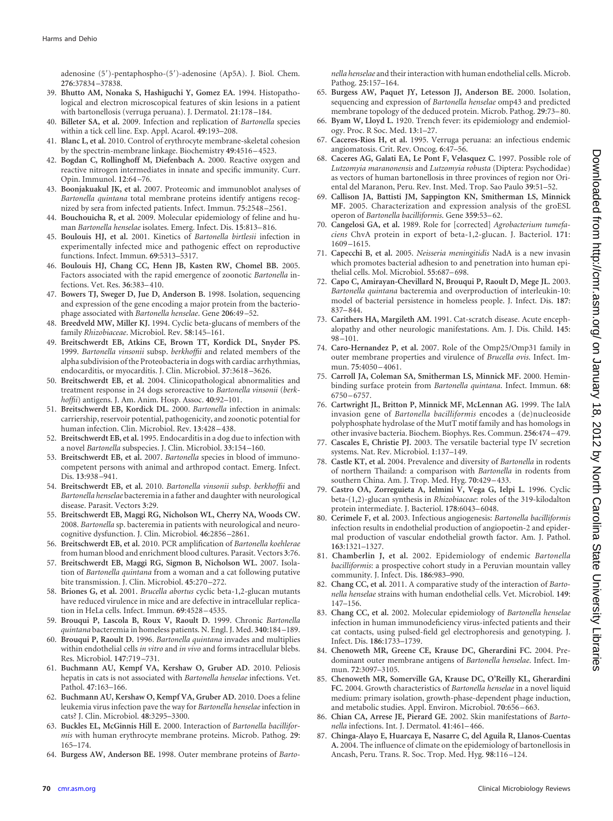adenosine (5')-pentaphospho-(5')-adenosine (Ap5A). J. Biol. Chem. **276**:37834 –37838.

- <span id="page-29-24"></span><span id="page-29-15"></span>39. **Bhutto AM, Nonaka S, Hashiguchi Y, Gomez EA.** 1994. Histopathological and electron microscopical features of skin lesions in a patient with bartonellosis (verruga peruana). J. Dermatol. **21**:178 –184.
- <span id="page-29-14"></span>40. **Billeter SA, et al.** 2009. Infection and replication of *Bartonella* species within a tick cell line. Exp. Appl. Acarol. **49**:193–208.
- <span id="page-29-21"></span>41. **Blanc L, et al.** 2010. Control of erythrocyte membrane-skeletal cohesion by the spectrin-membrane linkage. Biochemistry **49**:4516 – 4523.
- <span id="page-29-44"></span>42. **Bogdan C, Rollinghoff M, Diefenbach A.** 2000. Reactive oxygen and reactive nitrogen intermediates in innate and specific immunity. Curr. Opin. Immunol. **12**:64 –76.
- <span id="page-29-36"></span>43. **Boonjakuakul JK, et al.** 2007. Proteomic and immunoblot analyses of *Bartonella quintana* total membrane proteins identify antigens recognized by sera from infected patients. Infect. Immun. **75**:2548 –2561.
- <span id="page-29-34"></span>44. **Bouchouicha R, et al.** 2009. Molecular epidemiology of feline and human *Bartonella henselae* isolates. Emerg. Infect. Dis. **15**:813– 816.
- <span id="page-29-22"></span>45. **Boulouis HJ, et al.** 2001. Kinetics of *Bartonella birtlesii* infection in experimentally infected mice and pathogenic effect on reproductive functions. Infect. Immun. **69**:5313–5317.
- <span id="page-29-1"></span>46. **Boulouis HJ, Chang CC, Henn JB, Kasten RW, Chomel BB.** 2005. Factors associated with the rapid emergence of zoonotic *Bartonella* infections. Vet. Res. **36**:383– 410.
- <span id="page-29-31"></span>47. **Bowers TJ, Sweger D, Jue D, Anderson B.** 1998. Isolation, sequencing and expression of the gene encoding a major protein from the bacteriophage associated with *Bartonella henselae*. Gene **206**:49 –52.
- <span id="page-29-48"></span>48. **Breedveld MW, Miller KJ.** 1994. Cyclic beta-glucans of members of the family *Rhizobiaceae*. Microbiol. Rev. **58**:145–161.
- <span id="page-29-29"></span>49. **Breitschwerdt EB, Atkins CE, Brown TT, Kordick DL, Snyder PS.** 1999. *Bartonella vinsonii* subsp. *berkhoffii* and related members of the alpha subdivision of the Proteobacteria in dogs with cardiac arrhythmias, endocarditis, or myocarditis. J. Clin. Microbiol. **37**:3618 –3626.
- <span id="page-29-25"></span>50. **Breitschwerdt EB, et al.** 2004. Clinicopathological abnormalities and treatment response in 24 dogs seroreactive to *Bartonella vinsonii* (*berkhoffii*) antigens. J. Am. Anim. Hosp. Assoc. **40**:92–101.
- <span id="page-29-0"></span>51. **Breitschwerdt EB, Kordick DL.** 2000. *Bartonella* infection in animals: carriership, reservoir potential, pathogenicity, and zoonotic potential for human infection. Clin. Microbiol. Rev. **13**:428 – 438.
- <span id="page-29-30"></span>52. **Breitschwerdt EB, et al.** 1995. Endocarditis in a dog due to infection with a novel *Bartonella* subspecies. J. Clin. Microbiol. **33**:154 –160.
- <span id="page-29-7"></span>53. **Breitschwerdt EB, et al.** 2007. *Bartonella* species in blood of immunocompetent persons with animal and arthropod contact. Emerg. Infect. Dis. **13**:938 –941.
- <span id="page-29-27"></span>54. **Breitschwerdt EB, et al.** 2010. *Bartonella vinsonii subsp. berkhoffii* and *Bartonella henselae* bacteremia in a father and daughter with neurological disease. Parasit. Vectors **3**:29.
- <span id="page-29-6"></span>55. **Breitschwerdt EB, Maggi RG, Nicholson WL, Cherry NA, Woods CW.** 2008. *Bartonella* sp. bacteremia in patients with neurological and neurocognitive dysfunction. J. Clin. Microbiol. **46**:2856 –2861.
- <span id="page-29-8"></span>56. **Breitschwerdt EB, et al.** 2010. PCR amplification of *Bartonella koehlerae* from human blood and enrichment blood cultures. Parasit. Vectors **3**:76.
- <span id="page-29-11"></span>57. **Breitschwerdt EB, Maggi RG, Sigmon B, Nicholson WL.** 2007. Isolation of *Bartonella quintana* from a woman and a cat following putative bite transmission. J. Clin. Microbiol. **45**:270 –272.
- <span id="page-29-49"></span>58. **Briones G, et al.** 2001. *Brucella abortus* cyclic beta-1,2-glucan mutants have reduced virulence in mice and are defective in intracellular replication in HeLa cells. Infect. Immun. **69**:4528 – 4535.
- <span id="page-29-3"></span>59. **Brouqui P, Lascola B, Roux V, Raoult D.** 1999. Chronic *Bartonella quintana* bacteremia in homeless patients. N. Engl. J. Med. **340**:184 –189.
- <span id="page-29-13"></span>60. **Brouqui P, Raoult D.** 1996. *Bartonella quintana* invades and multiplies within endothelial cells *in vitro* and *in vivo* and forms intracellular blebs. Res. Microbiol. **147**:719 –731.
- <span id="page-29-18"></span>61. **Buchmann AU, Kempf VA, Kershaw O, Gruber AD.** 2010. Peliosis hepatis in cats is not associated with *Bartonella henselae* infections. Vet. Pathol. **47**:163–166.
- <span id="page-29-19"></span>62. **Buchmann AU, Kershaw O, Kempf VA, Gruber AD.** 2010. Does a feline leukemia virus infection pave the way for *Bartonella henselae*infection in cats? J. Clin. Microbiol. **48**:3295–3300.
- <span id="page-29-20"></span>63. **Buckles EL, McGinnis Hill E.** 2000. Interaction of *Bartonella bacilliformis* with human erythrocyte membrane proteins. Microb. Pathog. **29**: 165–174.
- <span id="page-29-38"></span>64. **Burgess AW, Anderson BE.** 1998. Outer membrane proteins of *Barto-*

*nella henselae* and their interaction with human endothelial cells. Microb. Pathog. **25**:157–164.

- <span id="page-29-45"></span>65. **Burgess AW, Paquet JY, Letesson JJ, Anderson BE.** 2000. Isolation, sequencing and expression of *Bartonella henselae* omp43 and predicted membrane topology of the deduced protein. Microb. Pathog. **29**:73– 80.
- <span id="page-29-2"></span>66. **Byam W, Lloyd L.** 1920. Trench fever: its epidemiology and endemiology. Proc. R Soc. Med. **13**:1–27.
- <span id="page-29-10"></span>67. **Caceres-Rios H, et al.** 1995. Verruga peruana: an infectious endemic angiomatosis. Crit. Rev. Oncog. **6**:47–56.
- <span id="page-29-12"></span>68. **Caceres AG, Galati EA, Le Pont F, Velasquez C.** 1997. Possible role of *Lutzomyia maranonensis* and *Lutzomyia robusta* (Diptera: Psychodidae) as vectors of human bartonellosis in three provinces of region nor Oriental del Maranon, Peru. Rev. Inst. Med. Trop. Sao Paulo **39**:51–52.
- <span id="page-29-40"></span>69. **Callison JA, Battisti JM, Sappington KN, Smitherman LS, Minnick MF.** 2005. Characterization and expression analysis of the groESL operon of *Bartonella bacilliformis*. Gene **359**:53– 62.
- <span id="page-29-47"></span>70. **Cangelosi GA, et al.** 1989. Role for [corrected] *Agrobacterium tumefaciens* ChvA protein in export of beta-1,2-glucan. J. Bacteriol. **171**: 1609 –1615.
- <span id="page-29-35"></span>71. **Capecchi B, et al.** 2005. *Neisseria meningitidis* NadA is a new invasin which promotes bacterial adhesion to and penetration into human epithelial cells. Mol. Microbiol. **55**:687– 698.
- <span id="page-29-26"></span>72. **Capo C, Amirayan-Chevillard N, Brouqui P, Raoult D, Mege JL.** 2003. *Bartonella quintana* bacteremia and overproduction of interleukin-10: model of bacterial persistence in homeless people. J. Infect. Dis. **187**: 837– 844.
- <span id="page-29-9"></span>73. **Carithers HA, Margileth AM.** 1991. Cat-scratch disease. Acute encephalopathy and other neurologic manifestations. Am. J. Dis. Child. **145**: 98 –101.
- <span id="page-29-43"></span>74. **Caro-Hernandez P, et al.** 2007. Role of the Omp25/Omp31 family in outer membrane properties and virulence of *Brucella ovis*. Infect. Immun. **75**:4050 – 4061.
- <span id="page-29-42"></span>75. **Carroll JA, Coleman SA, Smitherman LS, Minnick MF.** 2000. Heminbinding surface protein from *Bartonella quintana*. Infect. Immun. **68**: 6750 – 6757.
- <span id="page-29-41"></span>76. **Cartwright JL, Britton P, Minnick MF, McLennan AG.** 1999. The IalA invasion gene of *Bartonella bacilliformis* encodes a (de)nucleoside polyphosphate hydrolase of the MutT motif family and has homologs in other invasive bacteria. Biochem. Biophys. Res. Commun. **256**:474 – 479.
- <span id="page-29-37"></span>77. **Cascales E, Christie PJ.** 2003. The versatile bacterial type IV secretion systems. Nat. Rev. Microbiol. **1**:137–149.
- <span id="page-29-23"></span>78. **Castle KT, et al.** 2004. Prevalence and diversity of *Bartonella* in rodents of northern Thailand: a comparison with *Bartonella* in rodents from southern China. Am. J. Trop. Med. Hyg. **70**:429 – 433.
- <span id="page-29-46"></span>79. **Castro OA, Zorreguieta A, Ielmini V, Vega G, Ielpi L.** 1996. Cyclic beta-(1,2)-glucan synthesis in *Rhizobiaceae*: roles of the 319-kilodalton protein intermediate. J. Bacteriol. **178**:6043– 6048.
- <span id="page-29-17"></span>80. **Cerimele F, et al.** 2003. Infectious angiogenesis: *Bartonella bacilliformis* infection results in endothelial production of angiopoetin-2 and epidermal production of vascular endothelial growth factor. Am. J. Pathol. **163**:1321–1327.
- <span id="page-29-4"></span>81. **Chamberlin J, et al.** 2002. Epidemiology of endemic *Bartonella bacilliformis*: a prospective cohort study in a Peruvian mountain valley community. J. Infect. Dis. **186**:983–990.
- <span id="page-29-32"></span>82. **Chang CC, et al.** 2011. A comparative study of the interaction of *Bartonella henselae* strains with human endothelial cells. Vet. Microbiol. **149**: 147–156.
- <span id="page-29-33"></span>83. **Chang CC, et al.** 2002. Molecular epidemiology of *Bartonella henselae* infection in human immunodeficiency virus-infected patients and their cat contacts, using pulsed-field gel electrophoresis and genotyping. J. Infect. Dis. **186**:1733–1739.
- <span id="page-29-39"></span>84. **Chenoweth MR, Greene CE, Krause DC, Gherardini FC.** 2004. Predominant outer membrane antigens of *Bartonella henselae*. Infect. Immun. **72**:3097–3105.
- <span id="page-29-28"></span>85. **Chenoweth MR, Somerville GA, Krause DC, O'Reilly KL, Gherardini FC.** 2004. Growth characteristics of *Bartonella henselae* in a novel liquid medium: primary isolation, growth-phase-dependent phage induction, and metabolic studies. Appl. Environ. Microbiol. **70**:656 – 663.
- <span id="page-29-16"></span><span id="page-29-5"></span>86. **Chian CA, Arrese JE, Pierard GE.** 2002. Skin manifestations of *Bartonella* infections. Int. J. Dermatol. **41**:461– 466.
- 87. **Chinga-Alayo E, Huarcaya E, Nasarre C, del Aguila R, Llanos-Cuentas A.** 2004. The influence of climate on the epidemiology of bartonellosis in Ancash, Peru. Trans. R. Soc. Trop. Med. Hyg. **98**:116 –124.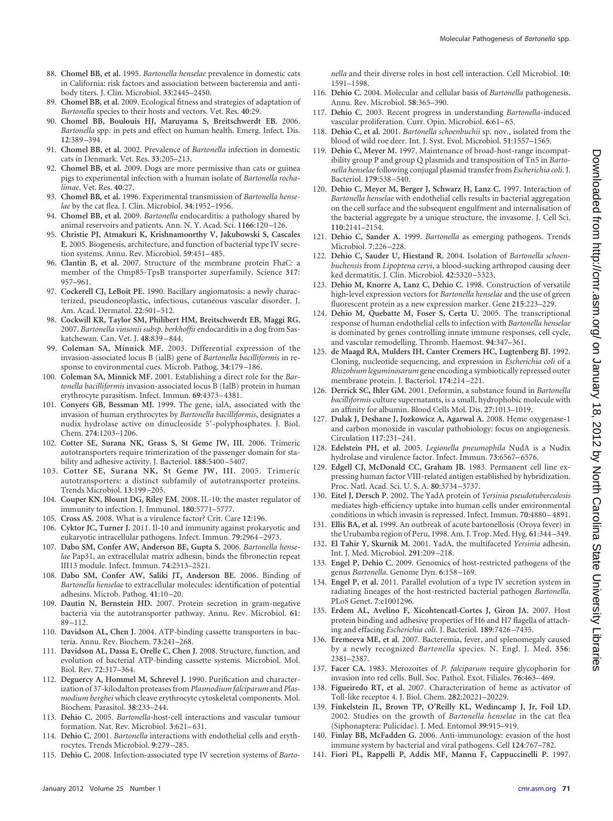- 88. **Chomel BB, et al.** 1995. *Bartonella henselae* prevalence in domestic cats in California: risk factors and association between bacteremia and antibody titers. J. Clin. Microbiol. **33**:2445–2450.
- <span id="page-30-3"></span>89. **Chomel BB, et al.** 2009. Ecological fitness and strategies of adaptation of *Bartonella* species to their hosts and vectors. Vet. Res. **40**:29.
- <span id="page-30-0"></span>90. **Chomel BB, Boulouis HJ, Maruyama S, Breitschwerdt EB.** 2006. *Bartonella* spp. in pets and effect on human health. Emerg. Infect. Dis. **12**:389 –394.
- <span id="page-30-8"></span>91. **Chomel BB, et al.** 2002. Prevalence of *Bartonella* infection in domestic cats in Denmark. Vet. Res. **33**:205–213.
- <span id="page-30-10"></span>92. **Chomel BB, et al.** 2009. Dogs are more permissive than cats or guinea pigs to experimental infection with a human isolate of *Bartonella rochalimae*. Vet. Res. **40**:27.
- <span id="page-30-5"></span>93. **Chomel BB, et al.** 1996. Experimental transmission of *Bartonella henselae* by the cat flea. J. Clin. Microbiol. **34**:1952–1956.
- <span id="page-30-2"></span>94. **Chomel BB, et al.** 2009. *Bartonella* endocarditis: a pathology shared by animal reservoirs and patients. Ann. N. Y. Acad. Sci. **1166**:120 –126.
- <span id="page-30-33"></span>95. **Christie PJ, Atmakuri K, Krishnamoorthy V, Jakubowski S, Cascales E.** 2005. Biogenesis, architecture, and function of bacterial type IV secretion systems. Annu. Rev. Microbiol. **59**:451– 485.
- <span id="page-30-45"></span>96. **Clantin B, et al.** 2007. Structure of the membrane protein FhaC: a member of the Omp85-TpsB transporter superfamily. Science **317**: 957–961.
- <span id="page-30-14"></span>97. **Cockerell CJ, LeBoit PE.** 1990. Bacillary angiomatosis: a newly characterized, pseudoneoplastic, infectious, cutaneous vascular disorder. J. Am. Acad. Dermatol. **22**:501–512.
- <span id="page-30-25"></span>98. **Cockwill KR, Taylor SM, Philibert HM, Breitschwerdt EB, Maggi RG.** 2007. *Bartonella vinsonii subsp. berkhoffii* endocarditis in a dog from Saskatchewan. Can. Vet. J. **48**:839 – 844.
- <span id="page-30-43"></span>99. **Coleman SA, Minnick MF.** 2003. Differential expression of the invasion-associated locus B (ialB) gene of *Bartonella bacilliformis* in response to environmental cues. Microb. Pathog. **34**:179 –186.
- <span id="page-30-40"></span>100. **Coleman SA, Minnick MF.** 2001. Establishing a direct role for the *Bartonella bacilliformis* invasion-associated locus B (IalB) protein in human erythrocyte parasitism. Infect. Immun. **69**:4373– 4381.
- <span id="page-30-38"></span>101. **Conyers GB, Bessman MJ.** 1999. The gene, ialA, associated with the invasion of human erythrocytes by *Bartonella bacilliformis*, designates a nudix hydrolase active on dinucleoside 5'-polyphosphates. J. Biol. Chem. **274**:1203–1206.
- <span id="page-30-30"></span>102. **Cotter SE, Surana NK, Grass S, St Geme JW, III.** 2006. Trimeric autotransporters require trimerization of the passenger domain for stability and adhesive activity. J. Bacteriol. **188**:5400 –5407.
- <span id="page-30-29"></span>103. **Cotter SE, Surana NK, St Geme JW, III.** 2005. Trimeric autotransporters: a distinct subfamily of autotransporter proteins. Trends Microbiol. **13**:199 –205.
- <span id="page-30-21"></span>104. **Couper KN, Blount DG, Riley EM.** 2008. IL-10: the master regulator of immunity to infection. J. Immunol. **180**:5771–5777.
- <span id="page-30-26"></span><span id="page-30-22"></span>105. **Cross AS.** 2008. What is a virulence factor? Crit. Care **12**:196.
- 106. **Cyktor JC, Turner J.** 2011. Il-10 and immunity against prokaryotic and eukaryotic intracellular pathogens. Infect. Immun. **79**:2964 –2973.
- <span id="page-30-48"></span>107. **Dabo SM, Confer AW, Anderson BE, Gupta S.** 2006. *Bartonella henselae* Pap31, an extracellular matrix adhesin, binds the fibronectin repeat III13 module. Infect. Immun. **74**:2513–2521.
- <span id="page-30-51"></span>108. **Dabo SM, Confer AW, Saliki JT, Anderson BE.** 2006. Binding of *Bartonella henselae* to extracellular molecules: identification of potential adhesins. Microb. Pathog. **41**:10 –20.
- <span id="page-30-44"></span>109. **Dautin N, Bernstein HD.** 2007. Protein secretion in gram-negative bacteria via the autotransporter pathway. Annu. Rev. Microbiol. **61**: 89 –112.
- <span id="page-30-49"></span>110. **Davidson AL, Chen J.** 2004. ATP-binding cassette transporters in bacteria. Annu. Rev. Biochem. **73**:241–268.
- <span id="page-30-50"></span>111. **Davidson AL, Dassa E, Orelle C, Chen J.** 2008. Structure, function, and evolution of bacterial ATP-binding cassette systems. Microbiol. Mol. Biol. Rev. **72**:317–364.
- <span id="page-30-18"></span>112. **Deguercy A, Hommel M, Schrevel J.** 1990. Purification and characterization of 37-kilodalton proteases from *Plasmodium falciparum* and *Plasmodium berghei* which cleave erythrocyte cytoskeletal components. Mol. Biochem. Parasitol. **38**:233–244.
- <span id="page-30-11"></span>113. **Dehio C.** 2005. *Bartonella*-host-cell interactions and vascular tumour formation. Nat. Rev. Microbiol. **3**:621– 631.
- <span id="page-30-12"></span>114. **Dehio C.** 2001. *Bartonella* interactions with endothelial cells and erythrocytes. Trends Microbiol. **9**:279 –285.
- <span id="page-30-24"></span>115. **Dehio C.** 2008. Infection-associated type IV secretion systems of *Barto-*

*nella* and their diverse roles in host cell interaction. Cell Microbiol. **10**: 1591–1598.

- <span id="page-30-35"></span>116. **Dehio C.** 2004. Molecular and cellular basis of *Bartonella* pathogenesis. Annu. Rev. Microbiol. **58**:365–390.
- <span id="page-30-34"></span>117. **Dehio C.** 2003. Recent progress in understanding *Bartonella*-induced vascular proliferation. Curr. Opin. Microbiol. 6:61-65.
- <span id="page-30-41"></span>118. **Dehio C, et al.** 2001. *Bartonella schoenbuchii* sp. nov., isolated from the blood of wild roe deer. Int. J. Syst. Evol. Microbiol. **51**:1557–1565.
- <span id="page-30-27"></span>119. **Dehio C, Meyer M.** 1997. Maintenance of broad-host-range incompatibility group P and group Q plasmids and transposition of Tn5 in *Bartonella henselae*following conjugal plasmid transfer from *Escherichia coli*. J. Bacteriol. **179**:538 –540.
- <span id="page-30-13"></span>120. **Dehio C, Meyer M, Berger J, Schwarz H, Lanz C.** 1997. Interaction of *Bartonella henselae* with endothelial cells results in bacterial aggregation on the cell surface and the subsequent engulfment and internalisation of the bacterial aggregate by a unique structure, the invasome. J. Cell Sci. **110**:2141–2154.
- <span id="page-30-4"></span>121. **Dehio C, Sander A.** 1999. *Bartonella* as emerging pathogens. Trends Microbiol. **7**:226 –228.
- <span id="page-30-7"></span>122. **Dehio C, Sauder U, Hiestand R.** 2004. Isolation of *Bartonella schoenbuchensis* from *Lipoptena cervi*, a blood-sucking arthropod causing deer ked dermatitis. J. Clin. Microbiol. **42**:5320 –5323.
- <span id="page-30-28"></span>123. **Dehio M, Knorre A, Lanz C, Dehio C.** 1998. Construction of versatile high-level expression vectors for *Bartonella henselae* and the use of green fluorescent protein as a new expression marker. Gene **215**:223–229.
- <span id="page-30-15"></span>124. **Dehio M, Quebatte M, Foser S, Certa U.** 2005. The transcriptional response of human endothelial cells to infection with *Bartonella henselae* is dominated by genes controlling innate immune responses, cell cycle, and vascular remodelling. Thromb. Haemost. **94**:347–361.
- <span id="page-30-52"></span>125. **de Maagd RA, Mulders IH, Canter Cremers HC, Lugtenberg BJ.** 1992. Cloning, nucleotide sequencing, and expression in *Escherichia coli* of a *Rhizobium leguminosarum*gene encoding a symbiotically repressed outer membrane protein. J. Bacteriol. **174**:214 –221.
- <span id="page-30-36"></span>126. **Derrick SC, Ihler GM.** 2001. Deformin, a substance found in *Bartonella bacilliformis* culture supernatants, is a small, hydrophobic molecule with an affinity for albumin. Blood Cells Mol. Dis. **27**:1013–1019.
- <span id="page-30-46"></span>127. **Dulak J, Deshane J, Jozkowicz A, Agarwal A.** 2008. Heme oxygenase-1 and carbon monoxide in vascular pathobiology: focus on angiogenesis. Circulation **117**:231–241.
- <span id="page-30-39"></span>128. **Edelstein PH, et al.** 2005. *Legionella pneumophila* NudA is a Nudix hydrolase and virulence factor. Infect. Immun. **73**:6567– 6576.
- <span id="page-30-16"></span>129. **Edgell CJ, McDonald CC, Graham JB.** 1983. Permanent cell line expressing human factor VIII-related antigen established by hybridization. Proc. Natl. Acad. Sci. U. S. A. **80**:3734 –3737.
- <span id="page-30-32"></span>130. **Eitel J, Dersch P.** 2002. The YadA protein of *Yersinia pseudotuberculosis* mediates high-efficiency uptake into human cells under environmental conditions in which invasin is repressed. Infect. Immun. **70**:4880 – 4891.
- <span id="page-30-1"></span>131. **Ellis BA, et al.** 1999. An outbreak of acute bartonellosis (Oroya fever) in the Urubamba region of Peru, 1998. Am. J. Trop. Med. Hyg. **61**:344 –349.
- <span id="page-30-31"></span>132. **El Tahir Y, Skurnik M.** 2001. YadA, the multifaceted *Yersinia* adhesin. Int. J. Med. Microbiol. **291**:209 –218.
- <span id="page-30-23"></span>133. **Engel P, Dehio C.** 2009. Genomics of host-restricted pathogens of the genus *Bartonella*. Genome Dyn. **6**:158 –169.
- <span id="page-30-9"></span>134. **Engel P, et al.** 2011. Parallel evolution of a type IV secretion system in radiating lineages of the host-restricted bacterial pathogen *Bartonella*. PLoS Genet. **7**:e1001296.
- <span id="page-30-37"></span>135. **Erdem AL, Avelino F, Xicohtencatl-Cortes J, Giron JA.** 2007. Host protein binding and adhesive properties of H6 and H7 flagella of attaching and effacing *Escherichia coli*. J. Bacteriol. **189**:7426 –7435.
- <span id="page-30-42"></span>136. **Eremeeva ME, et al.** 2007. Bacteremia, fever, and splenomegaly caused by a newly recognized *Bartonella* species. N. Engl. J. Med. **356**: 2381–2387.
- <span id="page-30-17"></span>137. **Facer CA.** 1983. Merozoites of *P. falciparum* require glycophorin for invasion into red cells. Bull. Soc. Pathol. Exot. Filiales. **76**:463– 469.
- <span id="page-30-47"></span>138. **Figueiredo RT, et al.** 2007. Characterization of heme as activator of Toll-like receptor 4. J. Biol. Chem. **282**:20221–20229.
- <span id="page-30-6"></span>139. **Finkelstein JL, Brown TP, O'Reilly KL, Wedincamp J, Jr, Foil LD.** 2002. Studies on the growth of *Bartonella henselae* in the cat flea (Siphonaptera: Pulicidae). J. Med. Entomol **39**:915–919.
- <span id="page-30-20"></span>140. **Finlay BB, McFadden G.** 2006. Anti-immunology: evasion of the host immune system by bacterial and viral pathogens. Cell **124**:767–782.
- <span id="page-30-19"></span>141. **Fiori PL, Rappelli P, Addis MF, Mannu F, Cappuccinelli P.** 1997.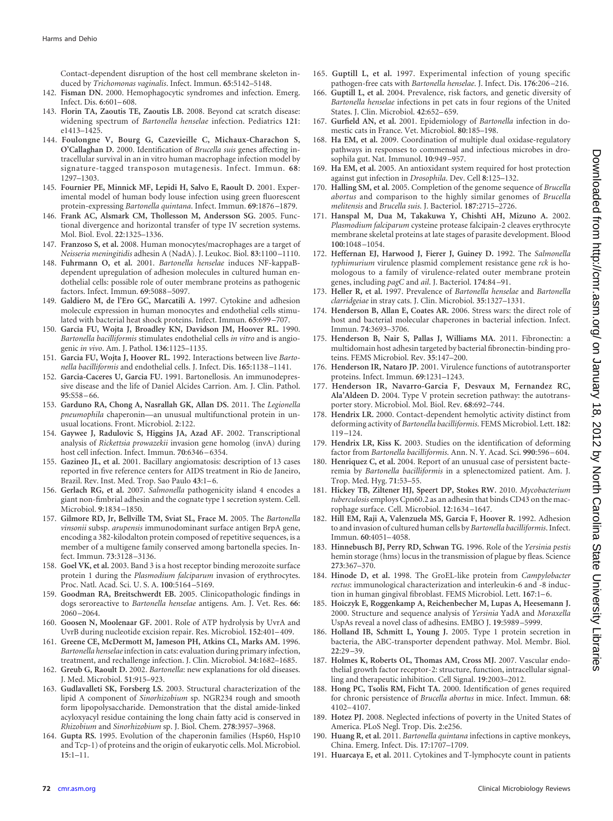Contact-dependent disruption of the host cell membrane skeleton induced by *Trichomonas vaginalis*. Infect. Immun. **65**:5142–5148.

- <span id="page-31-14"></span>142. **Fisman DN.** 2000. Hemophagocytic syndromes and infection. Emerg. Infect. Dis. **6**:601– 608.
- <span id="page-31-1"></span>143. **Florin TA, Zaoutis TE, Zaoutis LB.** 2008. Beyond cat scratch disease: widening spectrum of *Bartonella henselae* infection. Pediatrics **121**: e1413–1425.
- <span id="page-31-48"></span>144. **Foulongne V, Bourg G, Cazevieille C, Michaux-Charachon S, O'Callaghan D.** 2000. Identification of *Brucella suis* genes affecting intracellular survival in an in vitro human macrophage infection model by signature-tagged transposon mutagenesis. Infect. Immun. **68**: 1297–1303.
- <span id="page-31-3"></span>145. **Fournier PE, Minnick MF, Lepidi H, Salvo E, Raoult D.** 2001. Experimental model of human body louse infection using green fluorescent protein-expressing *Bartonella quintana*. Infect. Immun. **69**:1876 –1879.
- <span id="page-31-24"></span>146. **Frank AC, Alsmark CM, Thollesson M, Andersson SG.** 2005. Functional divergence and horizontal transfer of type IV secretion systems. Mol. Biol. Evol. **22**:1325–1336.
- <span id="page-31-23"></span>147. **Franzoso S, et al.** 2008. Human monocytes/macrophages are a target of *Neisseria meningitidis* adhesin A (NadA). J. Leukoc. Biol. **83**:1100 –1110.
- <span id="page-31-26"></span>148. **Fuhrmann O, et al.** 2001. *Bartonella henselae* induces NF-kappaBdependent upregulation of adhesion molecules in cultured human endothelial cells: possible role of outer membrane proteins as pathogenic factors. Infect. Immun. **69**:5088 –5097.
- <span id="page-31-33"></span>149. **Galdiero M, de l'Ero GC, Marcatili A.** 1997. Cytokine and adhesion molecule expression in human monocytes and endothelial cells stimulated with bacterial heat shock proteins. Infect. Immun. **65**:699 –707.
- <span id="page-31-2"></span>150. **Garcia FU, Wojta J, Broadley KN, Davidson JM, Hoover RL.** 1990. *Bartonella bacilliformis* stimulates endothelial cells *in vitro* and is angiogenic *in vivo*. Am. J. Pathol. **136**:1125–1135.
- <span id="page-31-32"></span>151. **Garcia FU, Wojta J, Hoover RL.** 1992. Interactions between live *Bartonella bacilliformis* and endothelial cells. J. Infect. Dis. **165**:1138 –1141.
- <span id="page-31-17"></span>152. **Garcia-Caceres U, Garcia FU.** 1991. Bartonellosis. An immunodepressive disease and the life of Daniel Alcides Carrion. Am. J. Clin. Pathol. **95**:S58 – 66.
- <span id="page-31-31"></span>153. **Garduno RA, Chong A, Nasrallah GK, Allan DS.** 2011. The *Legionella pneumophila* chaperonin—an unusual multifunctional protein in unusual locations. Front. Microbiol. **2**:122.
- <span id="page-31-35"></span>154. **Gaywee J, Radulovic S, Higgins JA, Azad AF.** 2002. Transcriptional analysis of *Rickettsia prowazekii* invasion gene homolog (invA) during host cell infection. Infect. Immun. **70**:6346 – 6354.
- <span id="page-31-10"></span>155. **Gazineo JL, et al.** 2001. Bacillary angiomatosis: description of 13 cases reported in five reference centers for AIDS treatment in Rio de Janeiro, Brazil. Rev. Inst. Med. Trop. Sao Paulo **43**:1– 6.
- <span id="page-31-45"></span>156. **Gerlach RG, et al.** 2007. *Salmonella* pathogenicity island 4 encodes a giant non-fimbrial adhesin and the cognate type 1 secretion system. Cell. Microbiol. **9**:1834 –1850.
- <span id="page-31-21"></span>157. **Gilmore RD, Jr, Bellville TM, Sviat SL, Frace M.** 2005. The *Bartonella vinsonii* subsp. *arupensis* immunodominant surface antigen BrpA gene, encoding a 382-kilodalton protein composed of repetitive sequences, is a member of a multigene family conserved among bartonella species. Infect. Immun. **73**:3128 –3136.
- <span id="page-31-12"></span>158. **Goel VK, et al.** 2003. Band 3 is a host receptor binding merozoite surface protein 1 during the *Plasmodium falciparum* invasion of erythrocytes. Proc. Natl. Acad. Sci. U. S. A. **100**:5164 –5169.
- <span id="page-31-15"></span>159. **Goodman RA, Breitschwerdt EB.** 2005. Clinicopathologic findings in dogs seroreactive to *Bartonella henselae* antigens. Am. J. Vet. Res. **66**: 2060 –2064.
- <span id="page-31-46"></span>160. **Goosen N, Moolenaar GF.** 2001. Role of ATP hydrolysis by UvrA and UvrB during nucleotide excision repair. Res. Microbiol. **152**:401– 409.
- <span id="page-31-16"></span>161. **Greene CE, McDermott M, Jameson PH, Atkins CL, Marks AM.** 1996. *Bartonella henselae*infection in cats: evaluation during primary infection, treatment, and rechallenge infection. J. Clin. Microbiol. **34**:1682–1685.
- <span id="page-31-9"></span>162. **Greub G, Raoult D.** 2002. *Bartonella*: new explanations for old diseases. J. Med. Microbiol. **51**:915–923.
- <span id="page-31-38"></span>163. **Gudlavalleti SK, Forsberg LS.** 2003. Structural characterization of the lipid A component of *Sinorhizobium* sp. NGR234 rough and smooth form lipopolysaccharide. Demonstration that the distal amide-linked acyloxyacyl residue containing the long chain fatty acid is conserved in *Rhizobium* and *Sinorhizobium* sp. J. Biol. Chem. **278**:3957–3968.
- <span id="page-31-27"></span>164. **Gupta RS.** 1995. Evolution of the chaperonin families (Hsp60, Hsp10 and Tcp-1) of proteins and the origin of eukaryotic cells. Mol. Microbiol. **15**:1–11.
- <span id="page-31-7"></span>165. **Guptill L, et al.** 1997. Experimental infection of young specific pathogen-free cats with *Bartonella henselae*. J. Infect. Dis. **176**:206 –216.
- <span id="page-31-4"></span>166. **Guptill L, et al.** 2004. Prevalence, risk factors, and genetic diversity of *Bartonella henselae* infections in pet cats in four regions of the United States. J. Clin. Microbiol. **42**:652– 659.
- <span id="page-31-5"></span>167. **Gurfield AN, et al.** 2001. Epidemiology of *Bartonella* infection in domestic cats in France. Vet. Microbiol. **80**:185–198.
- <span id="page-31-43"></span>168. **Ha EM, et al.** 2009. Coordination of multiple dual oxidase-regulatory pathways in responses to commensal and infectious microbes in drosophila gut. Nat. Immunol. **10**:949 –957.
- <span id="page-31-42"></span>169. **Ha EM, et al.** 2005. An antioxidant system required for host protection against gut infection in *Drosophila*. Dev. Cell **8**:125–132.
- <span id="page-31-22"></span>170. **Halling SM, et al.** 2005. Completion of the genome sequence of *Brucella abortus* and comparison to the highly similar genomes of *Brucella melitensis* and *Brucella suis*. J. Bacteriol. **187**:2715–2726.
- <span id="page-31-13"></span>171. **Hanspal M, Dua M, Takakuwa Y, Chishti AH, Mizuno A.** 2002. *Plasmodium falciparum* cysteine protease falcipain-2 cleaves erythrocyte membrane skeletal proteins at late stages of parasite development. Blood **100**:1048 –1054.
- <span id="page-31-36"></span>172. **Heffernan EJ, Harwood J, Fierer J, Guiney D.** 1992. The *Salmonella typhimurium* virulence plasmid complement resistance gene *rck* is homologous to a family of virulence-related outer membrane protein genes, including *pagC* and *ail*. J. Bacteriol. **174**:84 –91.
- <span id="page-31-6"></span>173. **Heller R, et al.** 1997. Prevalence of *Bartonella henselae* and *Bartonella clarridgeiae* in stray cats. J. Clin. Microbiol. **35**:1327–1331.
- <span id="page-31-30"></span>174. **Henderson B, Allan E, Coates AR.** 2006. Stress wars: the direct role of host and bacterial molecular chaperones in bacterial infection. Infect. Immun. **74**:3693–3706.
- <span id="page-31-47"></span>175. **Henderson B, Nair S, Pallas J, Williams MA.** 2011. Fibronectin: a multidomain host adhesin targeted by bacterial fibronectin-binding proteins. FEMS Microbiol. Rev. **35**:147–200.
- <span id="page-31-40"></span>176. **Henderson IR, Nataro JP.** 2001. Virulence functions of autotransporter proteins. Infect. Immun. **69**:1231–1243.
- <span id="page-31-39"></span>177. **Henderson IR, Navarro-Garcia F, Desvaux M, Fernandez RC, Ala'Aldeen D.** 2004. Type V protein secretion pathway: the autotransporter story. Microbiol. Mol. Biol. Rev. **68**:692–744.
- <span id="page-31-37"></span>178. **Hendrix LR.** 2000. Contact-dependent hemolytic activity distinct from deforming activity of *Bartonella bacilliformis*. FEMS Microbiol. Lett. **182**: 119 –124.
- <span id="page-31-34"></span>179. **Hendrix LR, Kiss K.** 2003. Studies on the identification of deforming factor from *Bartonella bacilliformis*. Ann. N. Y. Acad. Sci. **990**:596 – 604.
- <span id="page-31-19"></span>180. **Henriquez C, et al.** 2004. Report of an unusual case of persistent bacteremia by *Bartonella bacilliformis* in a splenectomized patient. Am. J. Trop. Med. Hyg. **71**:53–55.
- <span id="page-31-28"></span>181. **Hickey TB, Ziltener HJ, Speert DP, Stokes RW.** 2010. *Mycobacterium tuberculosis* employs Cpn60.2 as an adhesin that binds CD43 on the macrophage surface. Cell. Microbiol. **12**:1634 –1647.
- <span id="page-31-11"></span>182. **Hill EM, Raji A, Valenzuela MS, Garcia F, Hoover R.** 1992. Adhesion to and invasion of cultured human cells by *Bartonella bacilliformis*. Infect. Immun. **60**:4051– 4058.
- <span id="page-31-41"></span>183. **Hinnebusch BJ, Perry RD, Schwan TG.** 1996. Role of the *Yersinia pestis* hemin storage (hms) locus in the transmission of plague by fleas. Science **273**:367–370.
- <span id="page-31-29"></span>184. **Hinode D, et al.** 1998. The GroEL-like protein from *Campylobacter rectus*: immunological characterization and interleukin-6 and -8 induction in human gingival fibroblast. FEMS Microbiol. Lett. 167:1-6.
- <span id="page-31-20"></span>185. **Hoiczyk E, Roggenkamp A, Reichenbecher M, Lupas A, Heesemann J.** 2000. Structure and sequence analysis of *Yersinia* YadA and *Moraxella* UspAs reveal a novel class of adhesins. EMBO J. **19**:5989 –5999.
- <span id="page-31-44"></span>186. **Holland IB, Schmitt L, Young J.** 2005. Type 1 protein secretion in bacteria, the ABC-transporter dependent pathway. Mol. Membr. Biol. **22**:29 –39.
- <span id="page-31-25"></span>187. **Holmes K, Roberts OL, Thomas AM, Cross MJ.** 2007. Vascular endothelial growth factor receptor-2: structure, function, intracellular signalling and therapeutic inhibition. Cell Signal. **19**:2003–2012.
- <span id="page-31-49"></span>188. **Hong PC, Tsolis RM, Ficht TA.** 2000. Identification of genes required for chronic persistence of *Brucella abortus* in mice. Infect. Immun. **68**: 4102– 4107.
- <span id="page-31-0"></span>189. **Hotez PJ.** 2008. Neglected infections of poverty in the United States of America. PLoS Negl. Trop. Dis. **2**:e256.
- <span id="page-31-8"></span>190. **Huang R, et al.** 2011. *Bartonella quintana* infections in captive monkeys, China. Emerg. Infect. Dis. **17**:1707–1709.
- <span id="page-31-18"></span>191. **Huarcaya E, et al.** 2011. Cytokines and T-lymphocyte count in patients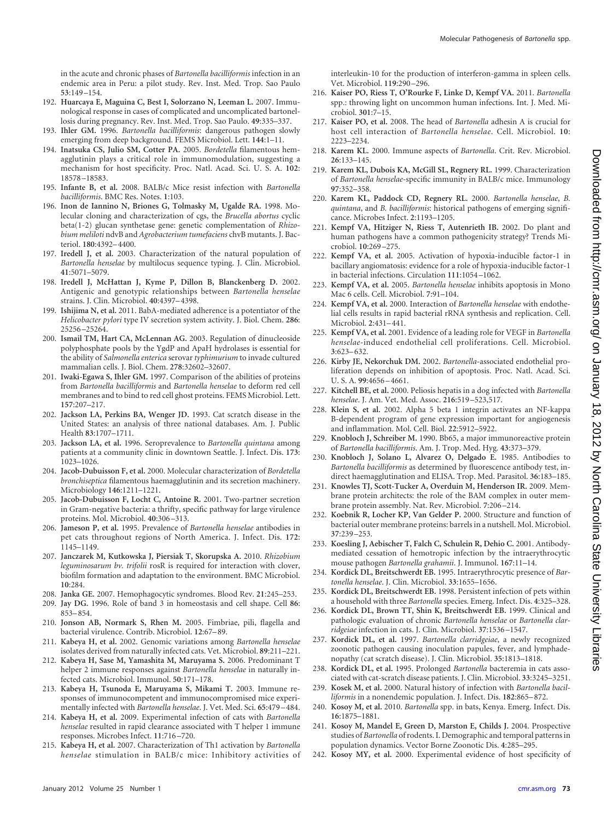in the acute and chronic phases of *Bartonella bacilliformis* infection in an endemic area in Peru: a pilot study. Rev. Inst. Med. Trop. Sao Paulo **53**:149 –154.

- <span id="page-32-32"></span>192. **Huarcaya E, Maguina C, Best I, Solorzano N, Leeman L.** 2007. Immunological response in cases of complicated and uncomplicated bartonellosis during pregnancy. Rev. Inst. Med. Trop. Sao Paulo. **49**:335–337.
- <span id="page-32-42"></span>193. **Ihler GM.** 1996. *Bartonella bacilliformis*: dangerous pathogen slowly emerging from deep background. FEMS Microbiol. Lett. **144**:1–11.
- <span id="page-32-46"></span>194. **Inatsuka CS, Julio SM, Cotter PA.** 2005. *Bordetella* filamentous hemagglutinin plays a critical role in immunomodulation, suggesting a mechanism for host specificity. Proc. Natl. Acad. Sci. U. S. A. **102**: 18578 –18583.
- <span id="page-32-11"></span>195. **Infante B, et al.** 2008. BALB/c Mice resist infection with *Bartonella bacilliformis*. BMC Res. Notes. **1**:103.
- <span id="page-32-50"></span>196. **Inon de Iannino N, Briones G, Tolmasky M, Ugalde RA.** 1998. Molecular cloning and characterization of cgs, the *Brucella abortus* cyclic beta(1-2) glucan synthetase gene: genetic complementation of *Rhizobium meliloti* ndvB and *Agrobacterium tumefaciens* chvB mutants. J. Bacteriol. **180**:4392– 4400.
- <span id="page-32-34"></span>197. **Iredell J, et al.** 2003. Characterization of the natural population of *Bartonella henselae* by multilocus sequence typing. J. Clin. Microbiol. **41**:5071–5079.
- <span id="page-32-35"></span>198. **Iredell J, McHattan J, Kyme P, Dillon B, Blanckenberg D.** 2002. Antigenic and genotypic relationships between *Bartonella henselae* strains. J. Clin. Microbiol. **40**:4397– 4398.
- <span id="page-32-39"></span>199. **Ishijima N, et al.** 2011. BabA-mediated adherence is a potentiator of the *Helicobacter pylori* type IV secretion system activity. J. Biol. Chem. **286**: 25256 –25264.
- <span id="page-32-43"></span>200. **Ismail TM, Hart CA, McLennan AG.** 2003. Regulation of dinucleoside polyphosphate pools by the YgdP and ApaH hydrolases is essential for the ability of *Salmonella enterica* serovar *typhimurium* to invade cultured mammalian cells. J. Biol. Chem. **278**:32602–32607.
- <span id="page-32-21"></span>201. **Iwaki-Egawa S, Ihler GM.** 1997. Comparison of the abilities of proteins from *Bartonella bacilliformis* and *Bartonella henselae* to deform red cell membranes and to bind to red cell ghost proteins. FEMS Microbiol. Lett. **157**:207–217.
- <span id="page-32-2"></span>202. **Jackson LA, Perkins BA, Wenger JD.** 1993. Cat scratch disease in the United States: an analysis of three national databases. Am. J. Public Health **83**:1707–1711.
- <span id="page-32-3"></span>203. **Jackson LA, et al.** 1996. Seroprevalence to *Bartonella quintana* among patients at a community clinic in downtown Seattle. J. Infect. Dis. **173**: 1023–1026.
- <span id="page-32-47"></span>204. **Jacob-Dubuisson F, et al.** 2000. Molecular characterization of *Bordetella bronchiseptica* filamentous haemagglutinin and its secretion machinery. Microbiology **146**:1211–1221.
- <span id="page-32-45"></span>205. **Jacob-Dubuisson F, Locht C, Antoine R.** 2001. Two-partner secretion in Gram-negative bacteria: a thrifty, specific pathway for large virulence proteins. Mol. Microbiol. **40**:306 –313.
- <span id="page-32-7"></span>206. **Jameson P, et al.** 1995. Prevalence of *Bartonella henselae* antibodies in pet cats throughout regions of North America. J. Infect. Dis. **172**: 1145–1149.
- <span id="page-32-48"></span>207. **Janczarek M, Kutkowska J, Piersiak T, Skorupska A.** 2010. *Rhizobium leguminosarum bv. trifolii* rosR is required for interaction with clover, biofilm formation and adaptation to the environment. BMC Microbiol. **10**:284.
- <span id="page-32-28"></span><span id="page-32-22"></span>208. **Janka GE.** 2007. Hemophagocytic syndromes. Blood Rev. **21**:245–253.
- 209. **Jay DG.** 1996. Role of band 3 in homeostasis and cell shape. Cell **86**: 853– 854.
- <span id="page-32-41"></span>210. **Jonson AB, Normark S, Rhen M.** 2005. Fimbriae, pili, flagella and bacterial virulence. Contrib. Microbiol. **12**:67– 89.
- <span id="page-32-27"></span>211. **Kabeya H, et al.** 2002. Genomic variations among *Bartonella henselae* isolates derived from naturally infected cats. Vet. Microbiol. **89**:211–221.
- <span id="page-32-30"></span>212. **Kabeya H, Sase M, Yamashita M, Maruyama S.** 2006. Predominant T helper 2 immune responses against *Bartonella henselae* in naturally infected cats. Microbiol. Immunol. **50**:171–178.
- <span id="page-32-12"></span>213. **Kabeya H, Tsunoda E, Maruyama S, Mikami T.** 2003. Immune responses of immunocompetent and immunocompromised mice experimentally infected with *Bartonella henselae*. J. Vet. Med. Sci. **65**:479 – 484.
- <span id="page-32-31"></span>214. **Kabeya H, et al.** 2009. Experimental infection of cats with *Bartonella henselae* resulted in rapid clearance associated with T helper 1 immune responses. Microbes Infect. **11**:716 –720.
- <span id="page-32-29"></span>215. **Kabeya H, et al.** 2007. Characterization of Th1 activation by *Bartonella henselae* stimulation in BALB/c mice: Inhibitory activities of

interleukin-10 for the production of interferon-gamma in spleen cells. Vet. Microbiol. **119**:290 –296.

- <span id="page-32-36"></span>216. **Kaiser PO, Riess T, O'Rourke F, Linke D, Kempf VA.** 2011. *Bartonella* spp.: throwing light on uncommon human infections. Int. J. Med. Microbiol. **301**:7–15.
- <span id="page-32-37"></span>217. **Kaiser PO, et al.** 2008. The head of *Bartonella* adhesin A is crucial for host cell interaction of *Bartonella henselae*. Cell. Microbiol. **10**: 2223–2234.
- <span id="page-32-33"></span>218. **Karem KL.** 2000. Immune aspects of *Bartonella*. Crit. Rev. Microbiol. **26**:133–145.
- <span id="page-32-13"></span>219. **Karem KL, Dubois KA, McGill SL, Regnery RL.** 1999. Characterization of *Bartonella henselae*-specific immunity in BALB/c mice. Immunology **97**:352–358.
- <span id="page-32-0"></span>220. **Karem KL, Paddock CD, Regnery RL.** 2000. *Bartonella henselae*, *B. quintana*, and *B. bacilliformis*: historical pathogens of emerging significance. Microbes Infect. **2**:1193–1205.
- <span id="page-32-19"></span>221. **Kempf VA, Hitziger N, Riess T, Autenrieth IB.** 2002. Do plant and human pathogens have a common pathogenicity strategy? Trends Microbiol. **10**:269 –275.
- <span id="page-32-17"></span>222. **Kempf VA, et al.** 2005. Activation of hypoxia-inducible factor-1 in bacillary angiomatosis: evidence for a role of hypoxia-inducible factor-1 in bacterial infections. Circulation **111**:1054 –1062.
- <span id="page-32-14"></span>223. **Kempf VA, et al.** 2005. *Bartonella henselae* inhibits apoptosis in Mono Mac 6 cells. Cell. Microbiol. **7**:91–104.
- <span id="page-32-15"></span>224. **Kempf VA, et al.** 2000. Interaction of *Bartonella henselae* with endothelial cells results in rapid bacterial rRNA synthesis and replication. Cell. Microbiol. **2**:431– 441.
- <span id="page-32-16"></span>225. **Kempf VA, et al.** 2001. Evidence of a leading role for VEGF in *Bartonella henselae*-induced endothelial cell proliferations. Cell. Microbiol. **3**:623– 632.
- <span id="page-32-18"></span>226. **Kirby JE, Nekorchuk DM.** 2002. *Bartonella*-associated endothelial proliferation depends on inhibition of apoptosis. Proc. Natl. Acad. Sci. U. S. A. **99**:4656 – 4661.
- <span id="page-32-20"></span>227. **Kitchell BE, et al.** 2000. Peliosis hepatis in a dog infected with *Bartonella henselae*. J. Am. Vet. Med. Assoc. **216**:519 –523,517.
- <span id="page-32-38"></span>228. **Klein S, et al.** 2002. Alpha 5 beta 1 integrin activates an NF-kappa B-dependent program of gene expression important for angiogenesis and inflammation. Mol. Cell. Biol. **22**:5912–5922.
- <span id="page-32-40"></span>229. **Knobloch J, Schreiber M.** 1990. Bb65, a major immunoreactive protein of *Bartonella bacilliformis*. Am. J. Trop. Med. Hyg. **43**:373–379.
- <span id="page-32-5"></span>230. **Knobloch J, Solano L, Alvarez O, Delgado E.** 1985. Antibodies to *Bartonella bacilliformis* as determined by fluorescence antibody test, indirect haemagglutination and ELISA. Trop. Med. Parasitol. **36**:183–185.
- <span id="page-32-49"></span>231. **Knowles TJ, Scott-Tucker A, Overduin M, Henderson IR.** 2009. Membrane protein architects: the role of the BAM complex in outer membrane protein assembly. Nat. Rev. Microbiol. **7**:206 –214.
- <span id="page-32-44"></span>232. **Koebnik R, Locher KP, Van Gelder P.** 2000. Structure and function of bacterial outer membrane proteins: barrels in a nutshell. Mol. Microbiol. **37**:239 –253.
- <span id="page-32-8"></span>233. **Koesling J, Aebischer T, Falch C, Schulein R, Dehio C.** 2001. Antibodymediated cessation of hemotropic infection by the intraerythrocytic mouse pathogen *Bartonella grahamii*. J. Immunol. **167**:11–14.
- <span id="page-32-23"></span>234. **Kordick DL, Breitschwerdt EB.** 1995. Intraerythrocytic presence of *Bartonella henselae*. J. Clin. Microbiol. **33**:1655–1656.
- <span id="page-32-24"></span>235. **Kordick DL, Breitschwerdt EB.** 1998. Persistent infection of pets within a household with three *Bartonella* species. Emerg. Infect. Dis. **4**:325–328.
- <span id="page-32-9"></span>236. **Kordick DL, Brown TT, Shin K, Breitschwerdt EB.** 1999. Clinical and pathologic evaluation of chronic *Bartonella henselae* or *Bartonella clarridgeiae* infection in cats. J. Clin. Microbiol. **37**:1536 –1547.
- <span id="page-32-6"></span>237. **Kordick DL, et al.** 1997. *Bartonella clarridgeiae*, a newly recognized zoonotic pathogen causing inoculation papules, fever, and lymphadenopathy (cat scratch disease). J. Clin. Microbiol. **35**:1813–1818.
- <span id="page-32-25"></span>238. **Kordick DL, et al.** 1995. Prolonged *Bartonella* bacteremia in cats associated with cat-scratch disease patients. J. Clin. Microbiol. **33**:3245–3251.
- <span id="page-32-4"></span>239. **Kosek M, et al.** 2000. Natural history of infection with *Bartonella bacilliformis* in a nonendemic population. J. Infect. Dis. **182**:865– 872.
- <span id="page-32-1"></span>240. **Kosoy M, et al.** 2010. *Bartonella* spp. in bats, Kenya. Emerg. Infect. Dis. **16**:1875–1881.
- <span id="page-32-26"></span>241. **Kosoy M, Mandel E, Green D, Marston E, Childs J.** 2004. Prospective studies of *Bartonella* of rodents. I. Demographic and temporal patterns in population dynamics. Vector Borne Zoonotic Dis. **4**:285–295.
- <span id="page-32-10"></span>242. **Kosoy MY, et al.** 2000. Experimental evidence of host specificity of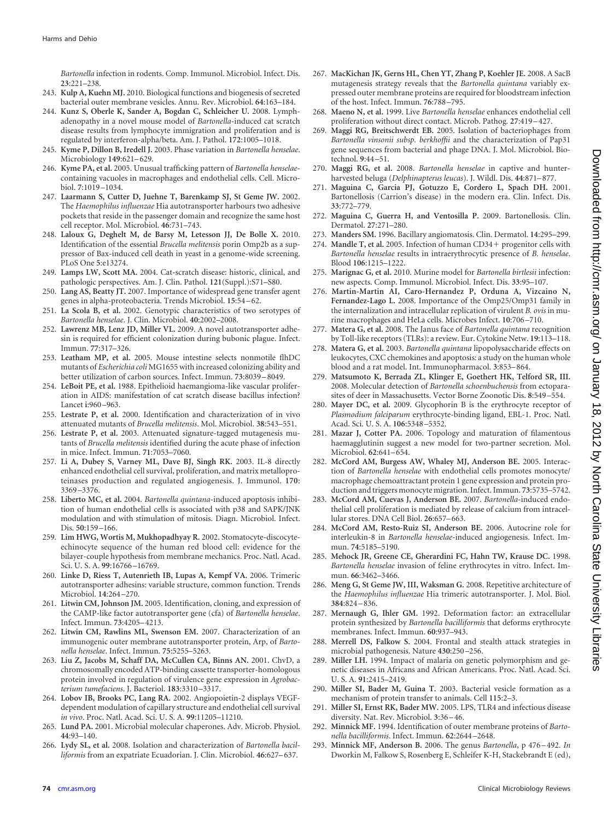*Bartonella* infection in rodents. Comp. Immunol. Microbiol. Infect. Dis. **23**:221–238.

- <span id="page-33-34"></span>243. **Kulp A, Kuehn MJ.** 2010. Biological functions and biogenesis of secreted bacterial outer membrane vesicles. Annu. Rev. Microbiol. **64**:163–184.
- <span id="page-33-21"></span>244. **Kunz S, Oberle K, Sander A, Bogdan C, Schleicher U.** 2008. Lymphadenopathy in a novel mouse model of *Bartonella*-induced cat scratch disease results from lymphocyte immigration and proliferation and is regulated by interferon-alpha/beta. Am. J. Pathol. **172**:1005–1018.
- <span id="page-33-26"></span>245. **Kyme P, Dillon B, Iredell J.** 2003. Phase variation in *Bartonella henselae*. Microbiology **149**:621– 629.
- <span id="page-33-7"></span>246. **Kyme PA, et al.** 2005. Unusual trafficking pattern of *Bartonella henselae*containing vacuoles in macrophages and endothelial cells. Cell. Microbiol. **7**:1019 –1034.
- <span id="page-33-29"></span>247. **Laarmann S, Cutter D, Juehne T, Barenkamp SJ, St Geme JW.** 2002. The *Haemophilus influenzae* Hia autotransporter harbours two adhesive pockets that reside in the passenger domain and recognize the same host cell receptor. Mol. Microbiol. **46**:731–743.
- <span id="page-33-48"></span>248. **Laloux G, Deghelt M, de Barsy M, Letesson JJ, De Bolle X.** 2010. Identification of the essential *Brucella melitensis* porin Omp2b as a suppressor of Bax-induced cell death in yeast in a genome-wide screening. PLoS One **5**:e13274.
- <span id="page-33-2"></span>249. **Lamps LW, Scott MA.** 2004. Cat-scratch disease: historic, clinical, and pathologic perspectives. Am. J. Clin. Pathol. **121**(Suppl.):S71–S80.
- <span id="page-33-22"></span>250. **Lang AS, Beatty JT.** 2007. Importance of widespread gene transfer agent genes in alpha-proteobacteria. Trends Microbiol. **15**:54 – 62.
- <span id="page-33-25"></span>251. **La Scola B, et al.** 2002. Genotypic characteristics of two serotypes of *Bartonella henselae*. J. Clin. Microbiol. **40**:2002–2008.
- <span id="page-33-44"></span>252. **Lawrenz MB, Lenz JD, Miller VL.** 2009. A novel autotransporter adhesin is required for efficient colonization during bubonic plague. Infect. Immun. **77**:317–326.
- <span id="page-33-36"></span>253. **Leatham MP, et al.** 2005. Mouse intestine selects nonmotile flhDC mutants of *Escherichia coli* MG1655 with increased colonizing ability and better utilization of carbon sources. Infect. Immun. **73**:8039 – 8049.
- <span id="page-33-4"></span>254. **LeBoit PE, et al.** 1988. Epithelioid haemangioma-like vascular proliferation in AIDS: manifestation of cat scratch disease bacillus infection? Lancet **i**:960 –963.
- <span id="page-33-49"></span>255. **Lestrate P, et al.** 2000. Identification and characterization of in vivo attenuated mutants of *Brucella melitensis*. Mol. Microbiol. **38**:543–551.
- <span id="page-33-50"></span>256. **Lestrate P, et al.** 2003. Attenuated signature-tagged mutagenesis mutants of *Brucella melitensis* identified during the acute phase of infection in mice. Infect. Immun. **71**:7053–7060.
- <span id="page-33-13"></span>257. **Li A, Dubey S, Varney ML, Dave BJ, Singh RK.** 2003. IL-8 directly enhanced endothelial cell survival, proliferation, and matrix metalloproteinases production and regulated angiogenesis. J. Immunol. **170**: 3369 –3376.
- <span id="page-33-14"></span>258. **Liberto MC, et al.** 2004. *Bartonella quintana*-induced apoptosis inhibition of human endothelial cells is associated with p38 and SAPK/JNK modulation and with stimulation of mitosis. Diagn. Microbiol. Infect. Dis. **50**:159 –166.
- <span id="page-33-33"></span>259. **Lim HWG, Wortis M, Mukhopadhyay R.** 2002. Stomatocyte-discocyteechinocyte sequence of the human red blood cell: evidence for the bilayer-couple hypothesis from membrane mechanics. Proc. Natl. Acad. Sci. U. S. A. **99**:16766 –16769.
- <span id="page-33-27"></span>260. **Linke D, Riess T, Autenrieth IB, Lupas A, Kempf VA.** 2006. Trimeric autotransporter adhesins: variable structure, common function. Trends Microbiol. **14**:264 –270.
- <span id="page-33-38"></span>261. **Litwin CM, Johnson JM.** 2005. Identification, cloning, and expression of the CAMP-like factor autotransporter gene (cfa) of *Bartonella henselae*. Infect. Immun. **73**:4205– 4213.
- <span id="page-33-43"></span>262. **Litwin CM, Rawlins ML, Swenson EM.** 2007. Characterization of an immunogenic outer membrane autotransporter protein, Arp, of *Bartonella henselae*. Infect. Immun. **75**:5255–5263.
- <span id="page-33-47"></span>263. **Liu Z, Jacobs M, Schaff DA, McCullen CA, Binns AN.** 2001. ChvD, a chromosomally encoded ATP-binding cassette transporter-homologous protein involved in regulation of virulence gene expression in *Agrobacterium tumefaciens*. J. Bacteriol. **183**:3310 –3317.
- <span id="page-33-11"></span>264. **Lobov IB, Brooks PC, Lang RA.** 2002. Angiopoietin-2 displays VEGFdependent modulation of capillary structure and endothelial cell survival *in vivo*. Proc. Natl. Acad. Sci. U. S. A. **99**:11205–11210.
- <span id="page-33-30"></span>265. **Lund PA.** 2001. Microbial molecular chaperones. Adv. Microb. Physiol. **44**:93–140.
- <span id="page-33-5"></span>266. **Lydy SL, et al.** 2008. Isolation and characterization of *Bartonella bacilliformis* from an expatriate Ecuadorian. J. Clin. Microbiol. **46**:627– 637.
- <span id="page-33-24"></span>267. **MacKichan JK, Gerns HL, Chen YT, Zhang P, Koehler JE.** 2008. A SacB mutagenesis strategy reveals that the *Bartonella quintana* variably expressed outer membrane proteins are required for bloodstream infection of the host. Infect. Immun. **76**:788 –795.
- <span id="page-33-31"></span>268. **Maeno N, et al.** 1999. Live *Bartonella henselae* enhances endothelial cell proliferation without direct contact. Microb. Pathog. **27**:419 – 427.
- <span id="page-33-23"></span>269. **Maggi RG, Breitschwerdt EB.** 2005. Isolation of bacteriophages from *Bartonella vinsonii subsp. berkhoffii* and the characterization of Pap31 gene sequences from bacterial and phage DNA. J. Mol. Microbiol. Biotechnol. **9**:44 –51.
- <span id="page-33-1"></span>270. **Maggi RG, et al.** 2008. *Bartonella henselae* in captive and hunterharvested beluga (*Delphinapterus leucas*). J. Wildl. Dis. **44**:871– 877.
- <span id="page-33-3"></span>271. **Maguina C, Garcia PJ, Gotuzzo E, Cordero L, Spach DH.** 2001. Bartonellosis (Carrion's disease) in the modern era. Clin. Infect. Dis. **33**:772–779.
- <span id="page-33-0"></span>272. **Maguina C, Guerra H, and Ventosilla P.** 2009. Bartonellosis. Clin. Dermatol. **27**:271–280.
- <span id="page-33-9"></span><span id="page-33-8"></span>273. **Manders SM.** 1996. Bacillary angiomatosis. Clin. Dermatol. **14**:295–299.
- 274. Mandle T, et al. 2005. Infection of human CD34+ progenitor cells with *Bartonella henselae* results in intraerythrocytic presence of *B. henselae*. Blood **106**:1215–1222.
- <span id="page-33-20"></span>275. **Marignac G, et al.** 2010. Murine model for *Bartonella birtlesii* infection: new aspects. Comp. Immunol. Microbiol. Infect. Dis. **33**:95–107.
- <span id="page-33-46"></span>276. **Martin-Martin AI, Caro-Hernandez P, Orduna A, Vizcaino N, Fernandez-Lago L.** 2008. Importance of the Omp25/Omp31 family in the internalization and intracellular replication of virulent *B. ovis* in murine macrophages and HeLa cells. Microbes Infect. **10**:706 –710.
- <span id="page-33-40"></span>277. **Matera G, et al.** 2008. The Janus face of *Bartonella quintana* recognition by Toll-like receptors (TLRs): a review. Eur. Cytokine Netw. **19**:113–118.
- <span id="page-33-42"></span>278. **Matera G, et al.** 2003. *Bartonella quintana* lipopolysaccharide effects on leukocytes, CXC chemokines and apoptosis: a study on the human whole blood and a rat model. Int. Immunopharmacol. **3**:853– 864.
- <span id="page-33-6"></span>279. **Matsumoto K, Berrada ZL, Klinger E, Goethert HK, Telford SR, III.** 2008. Molecular detection of *Bartonella schoenbuchensis* from ectoparasites of deer in Massachusetts. Vector Borne Zoonotic Dis. **8**:549 –554.
- <span id="page-33-17"></span>280. **Mayer DC, et al.** 2009. Glycophorin B is the erythrocyte receptor of *Plasmodium falciparum* erythrocyte-binding ligand, EBL-1. Proc. Natl. Acad. Sci. U. S. A. **106**:5348 –5352.
- <span id="page-33-45"></span>281. **Mazar J, Cotter PA.** 2006. Topology and maturation of filamentous haemagglutinin suggest a new model for two-partner secretion. Mol. Microbiol. **62**:641– 654.
- <span id="page-33-15"></span>282. **McCord AM, Burgess AW, Whaley MJ, Anderson BE.** 2005. Interaction of *Bartonella henselae* with endothelial cells promotes monocyte/ macrophage chemoattractant protein 1 gene expression and protein production and triggers monocyte migration. Infect. Immun. **73**:5735–5742.
- <span id="page-33-10"></span>283. **McCord AM, Cuevas J, Anderson BE.** 2007. *Bartonella*-induced endothelial cell proliferation is mediated by release of calcium from intracellular stores. DNA Cell Biol. **26**:657– 663.
- <span id="page-33-12"></span>284. **McCord AM, Resto-Ruiz SI, Anderson BE.** 2006. Autocrine role for interleukin-8 in *Bartonella henselae*-induced angiogenesis. Infect. Immun. **74**:5185–5190.
- <span id="page-33-16"></span>285. **Mehock JR, Greene CE, Gherardini FC, Hahn TW, Krause DC.** 1998. *Bartonella henselae* invasion of feline erythrocytes in vitro. Infect. Immun. **66**:3462–3466.
- <span id="page-33-28"></span>286. **Meng G, St Geme JW, III, Waksman G.** 2008. Repetitive architecture of the *Haemophilus influenzae* Hia trimeric autotransporter. J. Mol. Biol. **384**:824 – 836.
- <span id="page-33-18"></span>287. **Mernaugh G, Ihler GM.** 1992. Deformation factor: an extracellular protein synthesized by *Bartonella bacilliformis* that deforms erythrocyte membranes. Infect. Immun. **60**:937–943.
- <span id="page-33-19"></span>288. **Merrell DS, Falkow S.** 2004. Frontal and stealth attack strategies in microbial pathogenesis. Nature **430**:250 –256.
- <span id="page-33-32"></span>289. **Miller LH.** 1994. Impact of malaria on genetic polymorphism and genetic diseases in Africans and African Americans. Proc. Natl. Acad. Sci. U. S. A. **91**:2415–2419.
- <span id="page-33-35"></span>290. **Miller SI, Bader M, Guina T.** 2003. Bacterial vesicle formation as a mechanism of protein transfer to animals. Cell **115**:2–3.
- <span id="page-33-39"></span>291. **Miller SI, Ernst RK, Bader MW.** 2005. LPS, TLR4 and infectious disease diversity. Nat. Rev. Microbiol. **3**:36 – 46.
- <span id="page-33-41"></span>292. **Minnick MF.** 1994. Identification of outer membrane proteins of *Bartonella bacilliformis*. Infect. Immun. **62**:2644 –2648.
- <span id="page-33-37"></span>293. **Minnick MF, Anderson B.** 2006. The genus *Bartonella*, p 476 – 492. *In* Dworkin M, Falkow S, Rosenberg E, Schleifer K-H, Stackebrandt E (ed),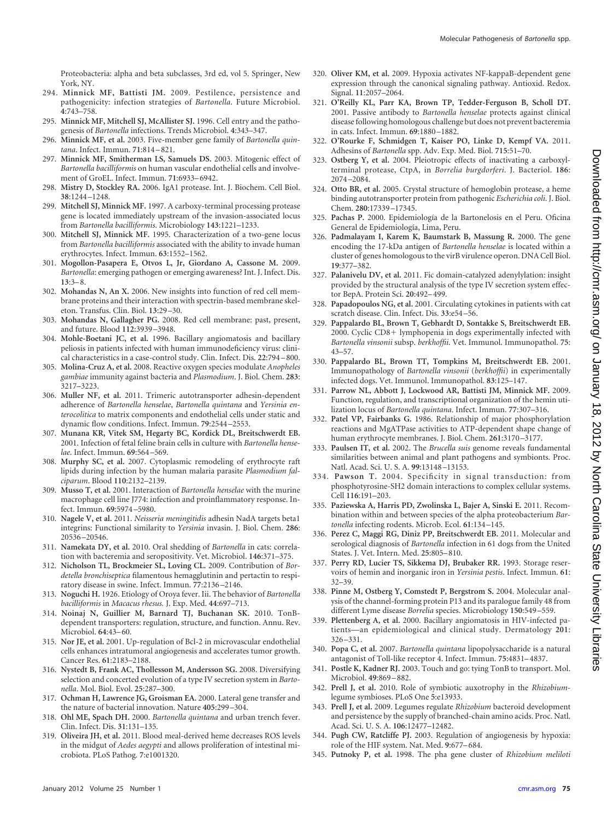Proteobacteria: alpha and beta subclasses, 3rd ed, vol 5. Springer, New York, NY.

- <span id="page-34-1"></span>294. **Minnick MF, Battisti JM.** 2009. Pestilence, persistence and pathogenicity: infection strategies of *Bartonella*. Future Microbiol. **4**:743–758.
- <span id="page-34-32"></span>295. **Minnick MF, Mitchell SJ, McAllister SJ.** 1996. Cell entry and the pathogenesis of *Bartonella* infections. Trends Microbiol. **4**:343–347.
- <span id="page-34-42"></span>296. **Minnick MF, et al.** 2003. Five-member gene family of *Bartonella quintana*. Infect. Immun. **71**:814 – 821.
- <span id="page-34-11"></span>297. **Minnick MF, Smitherman LS, Samuels DS.** 2003. Mitogenic effect of *Bartonella bacilliformis* on human vascular endothelial cells and involvement of GroEL. Infect. Immun. **71**:6933– 6942.
- <span id="page-34-39"></span>298. **Mistry D, Stockley RA.** 2006. IgA1 protease. Int. J. Biochem. Cell Biol. **38**:1244 –1248.
- <span id="page-34-34"></span>299. **Mitchell SJ, Minnick MF.** 1997. A carboxy-terminal processing protease gene is located immediately upstream of the invasion-associated locus from *Bartonella bacilliformis*. Microbiology **143**:1221–1233.
- <span id="page-34-33"></span>300. **Mitchell SJ, Minnick MF.** 1995. Characterization of a two-gene locus from *Bartonella bacilliformis* associated with the ability to invade human erythrocytes. Infect. Immun. **63**:1552–1562.
- <span id="page-34-0"></span>301. **Mogollon-Pasapera E, Otvos L, Jr, Giordano A, Cassone M.** 2009. *Bartonella*: emerging pathogen or emerging awareness? Int. J. Infect. Dis. **13**:3– 8.
- <span id="page-34-13"></span>302. **Mohandas N, An X.** 2006. New insights into function of red cell membrane proteins and their interaction with spectrin-based membrane skeleton. Transfus. Clin. Biol. **13**:29 –30.
- <span id="page-34-14"></span>303. **Mohandas N, Gallagher PG.** 2008. Red cell membrane: past, present, and future. Blood **112**:3939 –3948.
- <span id="page-34-4"></span>304. **Mohle-Boetani JC, et al.** 1996. Bacillary angiomatosis and bacillary peliosis in patients infected with human immunodeficiency virus: clinical characteristics in a case-control study. Clin. Infect. Dis. **22**:794 – 800.
- <span id="page-34-45"></span>305. **Molina-Cruz A, et al.** 2008. Reactive oxygen species modulate *Anopheles gambiae* immunity against bacteria and *Plasmodium*. J. Biol. Chem. **283**: 3217–3223.
- <span id="page-34-22"></span>306. **Muller NF, et al.** 2011. Trimeric autotransporter adhesin-dependent adherence of *Bartonella henselae*, *Bartonella quintana* and *Yersinia enterocolitica* to matrix components and endothelial cells under static and dynamic flow conditions. Infect. Immun. **79**:2544 –2553.
- <span id="page-34-10"></span>307. **Munana KR, Vitek SM, Hegarty BC, Kordick DL, Breitschwerdt EB.** 2001. Infection of fetal feline brain cells in culture with *Bartonella henselae*. Infect. Immun. **69**:564 –569.
- <span id="page-34-15"></span>308. **Murphy SC, et al.** 2007. Cytoplasmic remodeling of erythrocyte raft lipids during infection by the human malaria parasite *Plasmodium falciparum*. Blood **110**:2132–2139.
- <span id="page-34-9"></span>309. **Musso T, et al.** 2001. Interaction of *Bartonella henselae* with the murine macrophage cell line J774: infection and proinflammatory response. Infect. Immun. **69**:5974 –5980.
- <span id="page-34-25"></span>310. **Nagele V, et al.** 2011. *Neisseria meningitidis* adhesin NadA targets beta1 integrins: Functional similarity to *Yersinia* invasin. J. Biol. Chem. **286**: 20536 –20546.
- <span id="page-34-6"></span>311. **Namekata DY, et al.** 2010. Oral shedding of *Bartonella* in cats: correlation with bacteremia and seropositivity. Vet. Microbiol. **146**:371–375.
- <span id="page-34-41"></span>312. **Nicholson TL, Brockmeier SL, Loving CL.** 2009. Contribution of *Bordetella bronchiseptica* filamentous hemagglutinin and pertactin to respiratory disease in swine. Infect. Immun. **77**:2136 –2146.
- <span id="page-34-8"></span>313. **Noguchi H.** 1926. Etiology of Oroya fever. Iii. The behavior of *Bartonella bacilliformis* in *Macacus rhesus.* J. Exp. Med. **44**:697–713.
- <span id="page-34-47"></span>314. **Noinaj N, Guillier M, Barnard TJ, Buchanan SK.** 2010. TonBdependent transporters: regulation, structure, and function. Annu. Rev. Microbiol. **64**:43– 60.
- <span id="page-34-12"></span>315. **Nor JE, et al.** 2001. Up-regulation of Bcl-2 in microvascular endothelial cells enhances intratumoral angiogenesis and accelerates tumor growth. Cancer Res. **61**:2183–2188.
- <span id="page-34-30"></span>316. **Nystedt B, Frank AC, Thollesson M, Andersson SG.** 2008. Diversifying selection and concerted evolution of a type IV secretion system in *Bartonella*. Mol. Biol. Evol. **25**:287–300.
- <span id="page-34-26"></span>317. **Ochman H, Lawrence JG, Groisman EA.** 2000. Lateral gene transfer and the nature of bacterial innovation. Nature **405**:299 –304.
- <span id="page-34-3"></span>318. **Ohl ME, Spach DH.** 2000. *Bartonella quintana* and urban trench fever. Clin. Infect. Dis. **31**:131–135.
- <span id="page-34-46"></span>319. **Oliveira JH, et al.** 2011. Blood meal-derived heme decreases ROS levels in the midgut of *Aedes aegypti* and allows proliferation of intestinal microbiota. PLoS Pathog. **7**:e1001320.
- <span id="page-34-24"></span>320. **Oliver KM, et al.** 2009. Hypoxia activates NF-kappaB-dependent gene expression through the canonical signaling pathway. Antioxid. Redox. Signal. **11**:2057–2064.
- <span id="page-34-17"></span>321. **O'Reilly KL, Parr KA, Brown TP, Tedder-Ferguson B, Scholl DT.** 2001. Passive antibody to *Bartonella henselae* protects against clinical disease following homologous challenge but does not prevent bacteremia in cats. Infect. Immun. **69**:1880 –1882.
- <span id="page-34-21"></span>322. **O'Rourke F, Schmidgen T, Kaiser PO, Linke D, Kempf VA.** 2011. Adhesins of *Bartonella* spp. Adv. Exp. Med. Biol. **715**:51–70.
- <span id="page-34-35"></span>323. **Ostberg Y, et al.** 2004. Pleiotropic effects of inactivating a carboxylterminal protease, CtpA, in *Borrelia burgdorferi*. J. Bacteriol. **186**: 2074 –2084.
- <span id="page-34-40"></span>324. **Otto BR, et al.** 2005. Crystal structure of hemoglobin protease, a heme binding autotransporter protein from pathogenic *Escherichia coli*. J. Biol. Chem. **280**:17339 –17345.
- <span id="page-34-2"></span>325. **Pachas P.** 2000. Epidemiología de la Bartonelosis en el Peru. Oficina General de Epidemiología, Lima, Peru.
- <span id="page-34-27"></span>326. **Padmalayam I, Karem K, Baumstark B, Massung R.** 2000. The gene encoding the 17-kDa antigen of *Bartonella henselae* is located within a cluster of genes homologous to the virB virulence operon. DNA Cell Biol. **19**:377–382.
- <span id="page-34-28"></span>327. **Palanivelu DV, et al.** 2011. Fic domain-catalyzed adenylylation: insight provided by the structural analysis of the type IV secretion system effector BepA. Protein Sci. **20**:492– 499.
- <span id="page-34-16"></span>328. **Papadopoulos NG, et al.** 2001. Circulating cytokines in patients with cat scratch disease. Clin. Infect. Dis. **33**:e54 –56.
- <span id="page-34-18"></span>329. **Pappalardo BL, Brown T, Gebhardt D, Sontakke S, Breitschwerdt EB.** 2000. Cyclic CD8+ lymphopenia in dogs experimentally infected with *Bartonella vinsonii* subsp. *berkhoffii*. Vet. Immunol. Immunopathol. **75**: 43–57.
- <span id="page-34-7"></span>330. **Pappalardo BL, Brown TT, Tompkins M, Breitschwerdt EB.** 2001. Immunopathology of *Bartonella vinsonii* (*berkhoffii*) in experimentally infected dogs. Vet. Immunol. Immunopathol. **83**:125–147.
- <span id="page-34-43"></span>331. **Parrow NL, Abbott J, Lockwood AR, Battisti JM, Minnick MF.** 2009. Function, regulation, and transcriptional organization of the hemin utilization locus of *Bartonella quintana*. Infect. Immun. **77**:307–316.
- <span id="page-34-31"></span>332. **Patel VP, Fairbanks G.** 1986. Relationship of major phosphorylation reactions and MgATPase activities to ATP-dependent shape change of human erythrocyte membranes. J. Biol. Chem. **261**:3170 –3177.
- <span id="page-34-37"></span>333. **Paulsen IT, et al.** 2002. The *Brucella suis* genome reveals fundamental similarities between animal and plant pathogens and symbionts. Proc. Natl. Acad. Sci. U. S. A. **99**:13148 –13153.
- <span id="page-34-29"></span>334. **Pawson T.** 2004. Specificity in signal transduction: from phosphotyrosine-SH2 domain interactions to complex cellular systems. Cell **116**:191–203.
- <span id="page-34-20"></span>335. **Paziewska A, Harris PD, Zwolinska L, Bajer A, Sinski E.** 2011. Recombination within and between species of the alpha proteobacterium *Bartonella* infecting rodents. Microb. Ecol. **61**:134 –145.
- <span id="page-34-19"></span>336. **Perez C, Maggi RG, Diniz PP, Breitschwerdt EB.** 2011. Molecular and serological diagnosis of *Bartonella* infection in 61 dogs from the United States. J. Vet. Intern. Med. **25**:805– 810.
- <span id="page-34-44"></span>337. **Perry RD, Lucier TS, Sikkema DJ, Brubaker RR.** 1993. Storage reservoirs of hemin and inorganic iron in *Yersinia pestis*. Infect. Immun. **61**: 32–39.
- <span id="page-34-36"></span>338. **Pinne M, Ostberg Y, Comstedt P, Bergstrom S.** 2004. Molecular analysis of the channel-forming protein P13 and its paralogue family 48 from different Lyme disease *Borrelia* species. Microbiology **150**:549 –559.
- <span id="page-34-5"></span>339. **Plettenberg A, et al.** 2000. Bacillary angiomatosis in HIV-infected patients—an epidemiological and clinical study. Dermatology **201**: 326 –331.
- <span id="page-34-38"></span>340. **Popa C, et al.** 2007. *Bartonella quintana* lipopolysaccharide is a natural antagonist of Toll-like receptor 4. Infect. Immun. **75**:4831– 4837.
- <span id="page-34-48"></span>341. **Postle K, Kadner RJ.** 2003. Touch and go: tying TonB to transport. Mol. Microbiol. **49**:869 – 882.
- <span id="page-34-49"></span>342. **Prell J, et al.** 2010. Role of symbiotic auxotrophy in the *Rhizobium*legume symbioses. PLoS One **5**:e13933.
- <span id="page-34-50"></span>343. **Prell J, et al.** 2009. Legumes regulate *Rhizobium* bacteroid development and persistence by the supply of branched-chain amino acids. Proc. Natl. Acad. Sci. U. S. A. **106**:12477–12482.
- <span id="page-34-23"></span>344. **Pugh CW, Ratcliffe PJ.** 2003. Regulation of angiogenesis by hypoxia: role of the HIF system. Nat. Med. **9**:677– 684.
- <span id="page-34-51"></span>345. **Putnoky P, et al.** 1998. The pha gene cluster of *Rhizobium meliloti*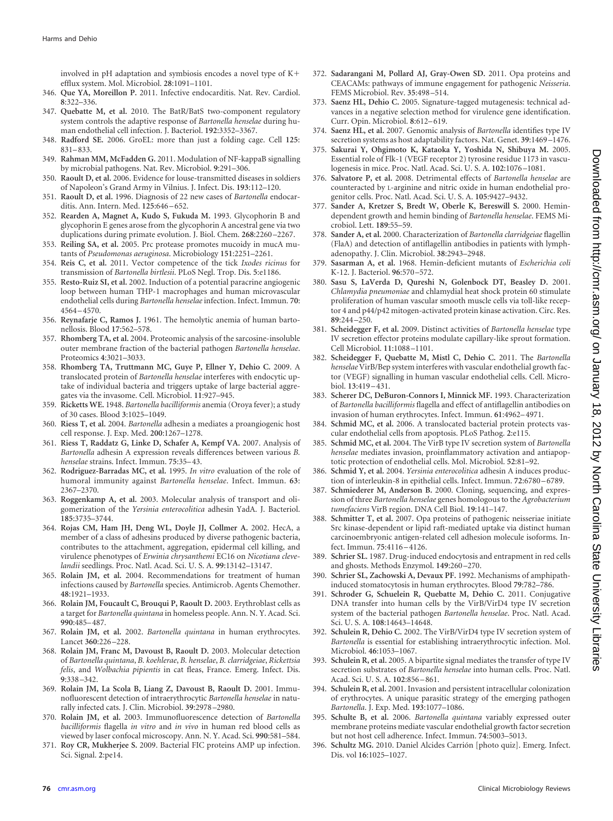involved in pH adaptation and symbiosis encodes a novel type of K efflux system. Mol. Microbiol. **28**:1091–1101.

- <span id="page-35-51"></span><span id="page-35-21"></span>346. **Que YA, Moreillon P.** 2011. Infective endocarditis. Nat. Rev. Cardiol. **8**:322–336.
- <span id="page-35-38"></span>347. **Quebatte M, et al.** 2010. The BatR/BatS two-component regulatory system controls the adaptive response of *Bartonella henselae* during human endothelial cell infection. J. Bacteriol. **192**:3352–3367.
- <span id="page-35-39"></span>348. **Radford SE.** 2006. GroEL: more than just a folding cage. Cell **125**: 831– 833.
- <span id="page-35-27"></span>349. **Rahman MM, McFadden G.** 2011. Modulation of NF-kappaB signalling by microbial pathogens. Nat. Rev. Microbiol. **9**:291–306.
- <span id="page-35-1"></span>350. **Raoult D, et al.** 2006. Evidence for louse-transmitted diseases in soldiers of Napoleon's Grand Army in Vilnius. J. Infect. Dis. **193**:112–120.
- <span id="page-35-9"></span>351. **Raoult D, et al.** 1996. Diagnosis of 22 new cases of *Bartonella* endocarditis. Ann. Intern. Med. **125**:646 – 652.
- <span id="page-35-15"></span>352. **Rearden A, Magnet A, Kudo S, Fukuda M.** 1993. Glycophorin B and glycophorin E genes arose from the glycophorin A ancestral gene via two duplications during primate evolution. J. Biol. Chem. **268**:2260 –2267.
- <span id="page-35-46"></span>353. **Reiling SA, et al.** 2005. Prc protease promotes mucoidy in mucA mutants of *Pseudomonas aeruginosa*. Microbiology **151**:2251–2261.
- <span id="page-35-5"></span>354. **Reis C, et al.** 2011. Vector competence of the tick *Ixodes ricinus* for transmission of *Bartonella birtlesii*. PLoS Negl. Trop. Dis. **5**:e1186.
- <span id="page-35-14"></span>355. **Resto-Ruiz SI, et al.** 2002. Induction of a potential paracrine angiogenic loop between human THP-1 macrophages and human microvascular endothelial cells during *Bartonella henselae* infection. Infect. Immun. **70**:  $4564 - 4570$ .
- <span id="page-35-20"></span>356. **Reynafarje C, Ramos J.** 1961. The hemolytic anemia of human bartonellosis. Blood **17**:562–578.
- <span id="page-35-40"></span>357. **Rhomberg TA, et al.** 2004. Proteomic analysis of the sarcosine-insoluble outer membrane fraction of the bacterial pathogen *Bartonella henselae*. Proteomics **4**:3021–3033.
- <span id="page-35-35"></span>358. **Rhomberg TA, Truttmann MC, Guye P, Ellner Y, Dehio C.** 2009. A translocated protein of *Bartonella henselae* interferes with endocytic uptake of individual bacteria and triggers uptake of large bacterial aggregates via the invasome. Cell. Microbiol. **11**:927–945.
- <span id="page-35-2"></span>359. **Ricketts WE.** 1948. *Bartonella bacilliformis* anemia (Oroya fever); a study of 30 cases. Blood **3**:1025–1049.
- <span id="page-35-10"></span>360. **Riess T, et al.** 2004. *Bartonella* adhesin a mediates a proangiogenic host cell response. J. Exp. Med. **200**:1267–1278.
- <span id="page-35-25"></span>361. **Riess T, Raddatz G, Linke D, Schafer A, Kempf VA.** 2007. Analysis of *Bartonella* adhesin A expression reveals differences between various *B. henselae* strains. Infect. Immun. **75**:35– 43.
- <span id="page-35-16"></span>362. **Rodriguez-Barradas MC, et al.** 1995. *In vitro* evaluation of the role of humoral immunity against *Bartonella henselae*. Infect. Immun. **63**: 2367–2370.
- <span id="page-35-26"></span>363. **Roggenkamp A, et al.** 2003. Molecular analysis of transport and oligomerization of the *Yersinia enterocolitica* adhesin YadA. J. Bacteriol. **185**:3735–3744.
- <span id="page-35-47"></span>364. **Rojas CM, Ham JH, Deng WL, Doyle JJ, Collmer A.** 2002. HecA, a member of a class of adhesins produced by diverse pathogenic bacteria, contributes to the attachment, aggregation, epidermal cell killing, and virulence phenotypes of *Erwinia chrysanthemi* EC16 on *Nicotiana clevelandii* seedlings. Proc. Natl. Acad. Sci. U. S. A. **99**:13142–13147.
- <span id="page-35-13"></span>365. **Rolain JM, et al.** 2004. Recommendations for treatment of human infections caused by *Bartonella* species. Antimicrob. Agents Chemother. **48**:1921–1933.
- <span id="page-35-7"></span>366. **Rolain JM, Foucault C, Brouqui P, Raoult D.** 2003. Erythroblast cells as a target for *Bartonella quintana* in homeless people. Ann. N. Y. Acad. Sci. **990**:485– 487.
- <span id="page-35-17"></span>367. **Rolain JM, et al.** 2002. *Bartonella quintana* in human erythrocytes. Lancet **360**:226 –228.
- <span id="page-35-4"></span>368. **Rolain JM, Franc M, Davoust B, Raoult D.** 2003. Molecular detection of *Bartonella quintana*, *B. koehlerae*, *B. henselae*, *B. clarridgeiae*, *Rickettsia felis*, and *Wolbachia pipientis* in cat fleas, France. Emerg. Infect. Dis. **9**:338 –342.
- <span id="page-35-18"></span>369. **Rolain JM, La Scola B, Liang Z, Davoust B, Raoult D.** 2001. Immunofluorescent detection of intraerythrocytic *Bartonella henselae* in naturally infected cats. J. Clin. Microbiol. **39**:2978 –2980.
- <span id="page-35-19"></span>370. **Rolain JM, et al.** 2003. Immunofluorescence detection of *Bartonella bacilliformis* flagella *in vitro* and *in vivo* in human red blood cells as viewed by laser confocal microscopy. Ann. N. Y. Acad. Sci. **990**:581–584.
- <span id="page-35-32"></span>371. **Roy CR, Mukherjee S.** 2009. Bacterial FIC proteins AMP up infection. Sci. Signal. **2**:pe14.
- <span id="page-35-48"></span>372. **Sadarangani M, Pollard AJ, Gray-Owen SD.** 2011. Opa proteins and CEACAMs: pathways of immune engagement for pathogenic *Neisseria*. FEMS Microbiol. Rev. **35**:498 –514.
- <span id="page-35-22"></span>373. **Saenz HL, Dehio C.** 2005. Signature-tagged mutagenesis: technical advances in a negative selection method for virulence gene identification. Curr. Opin. Microbiol. **8**:612– 619.
- <span id="page-35-0"></span>374. **Saenz HL, et al.** 2007. Genomic analysis of *Bartonella* identifies type IV secretion systems as host adaptability factors. Nat. Genet. **39**:1469 –1476.
- <span id="page-35-37"></span>375. **Sakurai Y, Ohgimoto K, Kataoka Y, Yoshida N, Shibuya M.** 2005. Essential role of Flk-1 (VEGF receptor 2) tyrosine residue 1173 in vasculogenesis in mice. Proc. Natl. Acad. Sci. U. S. A. **102**:1076 –1081.
- <span id="page-35-8"></span>376. **Salvatore P, et al.** 2008. Detrimental effects of *Bartonella henselae* are counteracted by L-arginine and nitric oxide in human endothelial progenitor cells. Proc. Natl. Acad. Sci. U. S. A. **105**:9427–9432.
- <span id="page-35-23"></span>377. **Sander A, Kretzer S, Bredt W, Oberle K, Bereswill S.** 2000. Hemindependent growth and hemin binding of *Bartonella henselae*. FEMS Microbiol. Lett. **189**:55–59.
- <span id="page-35-45"></span>378. **Sander A, et al.** 2000. Characterization of *Bartonella clarridgeiae* flagellin (FlaA) and detection of antiflagellin antibodies in patients with lymphadenopathy. J. Clin. Microbiol. **38**:2943–2948.
- <span id="page-35-50"></span>379. **Sasarman A, et al.** 1968. Hemin-deficient mutants of *Escherichia coli* K-12. J. Bacteriol. **96**:570 –572.
- <span id="page-35-41"></span>380. **Sasu S, LaVerda D, Qureshi N, Golenbock DT, Beasley D.** 2001. *Chlamydia pneumoniae* and chlamydial heat shock protein 60 stimulate proliferation of human vascular smooth muscle cells via toll-like receptor 4 and p44/p42 mitogen-activated protein kinase activation. Circ. Res. **89**:244 –250.
- <span id="page-35-33"></span>381. **Scheidegger F, et al.** 2009. Distinct activities of *Bartonella henselae* type IV secretion effector proteins modulate capillary-like sprout formation. Cell Microbiol. **11**:1088 –1101.
- <span id="page-35-24"></span>382. **Scheidegger F, Quebatte M, Mistl C, Dehio C.** 2011. The *Bartonella henselae* VirB/Bep system interferes with vascular endothelial growth factor (VEGF) signalling in human vascular endothelial cells. Cell. Microbiol. **13**:419 – 431.
- <span id="page-35-44"></span>383. **Scherer DC, DeBuron-Connors I, Minnick MF.** 1993. Characterization of *Bartonella bacilliformis* flagella and effect of antiflagellin antibodies on invasion of human erythrocytes. Infect. Immun. **61**:4962– 4971.
- <span id="page-35-34"></span>384. **Schmid MC, et al.** 2006. A translocated bacterial protein protects vascular endothelial cells from apoptosis. PLoS Pathog. **2**:e115.
- <span id="page-35-11"></span>385. **Schmid MC, et al.** 2004. The VirB type IV secretion system of *Bartonella henselae* mediates invasion, proinflammatory activation and antiapoptotic protection of endothelial cells. Mol. Microbiol. **52**:81–92.
- <span id="page-35-28"></span>386. **Schmid Y, et al.** 2004. *Yersinia enterocolitica* adhesin A induces production of interleukin-8 in epithelial cells. Infect. Immun. **72**:6780 – 6789.
- <span id="page-35-29"></span>387. **Schmiederer M, Anderson B.** 2000. Cloning, sequencing, and expression of three *Bartonella henselae* genes homologous to the *Agrobacterium tumefaciens* VirB region. DNA Cell Biol. **19**:141–147.
- <span id="page-35-49"></span>388. **Schmitter T, et al.** 2007. Opa proteins of pathogenic neisseriae initiate Src kinase-dependent or lipid raft-mediated uptake via distinct human carcinoembryonic antigen-related cell adhesion molecule isoforms. Infect. Immun. **75**:4116 – 4126.
- <span id="page-35-43"></span>389. **Schrier SL.** 1987. Drug-induced endocytosis and entrapment in red cells and ghosts. Methods Enzymol. **149**:260 –270.
- <span id="page-35-42"></span>390. **Schrier SL, Zachowski A, Devaux PF.** 1992. Mechanisms of amphipathinduced stomatocytosis in human erythrocytes. Blood **79**:782–786.
- <span id="page-35-36"></span>391. **Schroder G, Schuelein R, Quebatte M, Dehio C.** 2011. Conjugative DNA transfer into human cells by the VirB/VirD4 type IV secretion system of the bacterial pathogen *Bartonella henselae*. Proc. Natl. Acad. Sci. U. S. A. **108**:14643–14648.
- <span id="page-35-30"></span>392. **Schulein R, Dehio C.** 2002. The VirB/VirD4 type IV secretion system of *Bartonella* is essential for establishing intraerythrocytic infection. Mol. Microbiol. **46**:1053–1067.
- <span id="page-35-31"></span>393. **Schulein R, et al.** 2005. A bipartite signal mediates the transfer of type IV secretion substrates of *Bartonella henselae* into human cells. Proc. Natl. Acad. Sci. U. S. A. **102**:856 – 861.
- <span id="page-35-6"></span>394. **Schulein R, et al.** 2001. Invasion and persistent intracellular colonization of erythrocytes. A unique parasitic strategy of the emerging pathogen *Bartonella*. J. Exp. Med. **193**:1077–1086.
- <span id="page-35-12"></span>395. **Schulte B, et al.** 2006. *Bartonella quintana* variably expressed outer membrane proteins mediate vascular endothelial growth factor secretion but not host cell adherence. Infect. Immun. **74**:5003–5013.
- <span id="page-35-3"></span>396. **Schultz MG.** 2010. Daniel Alcides Carrión [photo quiz]. Emerg. Infect. Dis. vol **16**:1025–1027.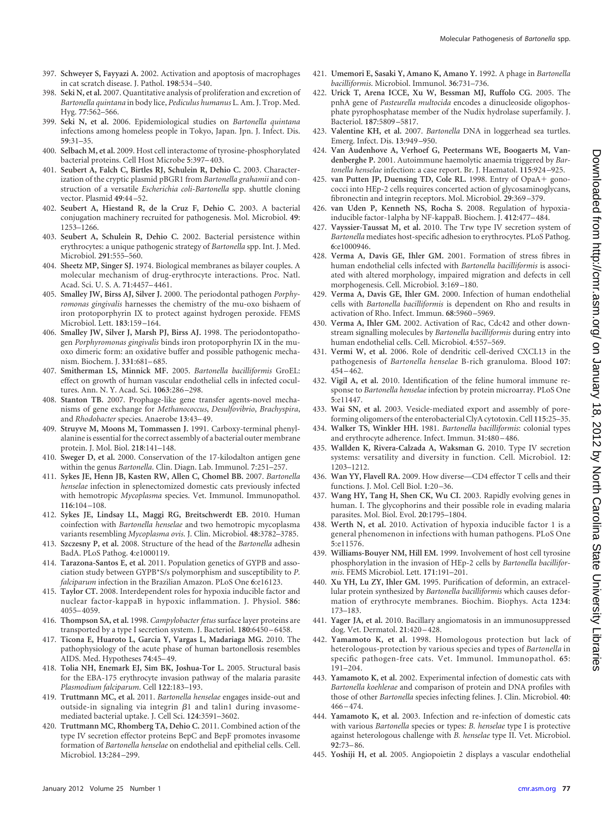- 397. **Schweyer S, Fayyazi A.** 2002. Activation and apoptosis of macrophages in cat scratch disease. J. Pathol. **198**:534 –540.
- <span id="page-36-3"></span>398. **Seki N, et al.** 2007. Quantitative analysis of proliferation and excretion of *Bartonella quintana* in body lice, *Pediculus humanus* L. Am. J. Trop. Med. Hyg. **77**:562–566.
- <span id="page-36-1"></span>399. **Seki N, et al.** 2006. Epidemiological studies on *Bartonella quintana* infections among homeless people in Tokyo, Japan. Jpn. J. Infect. Dis. **59**:31–35.
- <span id="page-36-30"></span>400. **Selbach M, et al.** 2009. Host cell interactome of tyrosine-phosphorylated bacterial proteins. Cell Host Microbe **5**:397– 403.
- <span id="page-36-37"></span>401. **Seubert A, Falch C, Birtles RJ, Schulein R, Dehio C.** 2003. Characterization of the cryptic plasmid pBGR1 from *Bartonella grahamii* and construction of a versatile *Escherichia coli*-*Bartonella* spp. shuttle cloning vector. Plasmid **49**:44 –52.
- <span id="page-36-36"></span>402. **Seubert A, Hiestand R, de la Cruz F, Dehio C.** 2003. A bacterial conjugation machinery recruited for pathogenesis. Mol. Microbiol. **49**: 1253–1266.
- <span id="page-36-2"></span>403. **Seubert A, Schulein R, Dehio C.** 2002. Bacterial persistence within erythrocytes: a unique pathogenic strategy of *Bartonella* spp. Int. J. Med. Microbiol. **291**:555–560.
- <span id="page-36-41"></span>404. **Sheetz MP, Singer SJ.** 1974. Biological membranes as bilayer couples. A molecular mechanism of drug-erythrocyte interactions. Proc. Natl. Acad. Sci. U. S. A. **71**:4457– 4461.
- <span id="page-36-44"></span>405. **Smalley JW, Birss AJ, Silver J.** 2000. The periodontal pathogen *Porphyromonas gingivalis* harnesses the chemistry of the mu-oxo bishaem of iron protoporphyrin IX to protect against hydrogen peroxide. FEMS Microbiol. Lett. **183**:159 –164.
- <span id="page-36-45"></span>406. **Smalley JW, Silver J, Marsh PJ, Birss AJ.** 1998. The periodontopathogen *Porphyromonas gingivalis* binds iron protoporphyrin IX in the muoxo dimeric form: an oxidative buffer and possible pathogenic mechanism. Biochem. J. **331**:681– 685.
- <span id="page-36-35"></span>407. **Smitherman LS, Minnick MF.** 2005. *Bartonella bacilliformis* GroEL: effect on growth of human vascular endothelial cells in infected cocultures. Ann. N. Y. Acad. Sci. **1063**:286 –298.
- <span id="page-36-22"></span>408. **Stanton TB.** 2007. Prophage-like gene transfer agents-novel mechanisms of gene exchange for *Methanococcus*, *Desulfovibrio*, *Brachyspira*, and *Rhodobacter* species. Anaerobe **13**:43– 49.
- <span id="page-36-34"></span>409. **Struyve M, Moons M, Tommassen J.** 1991. Carboxy-terminal phenylalanine is essential for the correct assembly of a bacterial outer membrane protein. J. Mol. Biol. **218**:141–148.
- <span id="page-36-29"></span>410. **Sweger D, et al.** 2000. Conservation of the 17-kilodalton antigen gene within the genus *Bartonella*. Clin. Diagn. Lab. Immunol. **7**:251–257.
- <span id="page-36-21"></span>411. **Sykes JE, Henn JB, Kasten RW, Allen C, Chomel BB.** 2007. *Bartonella henselae* infection in splenectomized domestic cats previously infected with hemotropic *Mycoplasma* species. Vet. Immunol. Immunopathol. **116**:104 –108.
- <span id="page-36-20"></span>412. **Sykes JE, Lindsay LL, Maggi RG, Breitschwerdt EB.** 2010. Human coinfection with *Bartonella henselae* and two hemotropic mycoplasma variants resembling *Mycoplasma ovis*. J. Clin. Microbiol. **48**:3782–3785.
- <span id="page-36-24"></span>413. **Szczesny P, et al.** 2008. Structure of the head of the *Bartonella* adhesin BadA. PLoS Pathog. **4**:e1000119.
- <span id="page-36-38"></span>414. **Tarazona-Santos E, et al.** 2011. Population genetics of GYPB and association study between GYPB\*S/s polymorphism and susceptibility to *P. falciparum* infection in the Brazilian Amazon. PLoS One **6**:e16123.
- <span id="page-36-26"></span>415. **Taylor CT.** 2008. Interdependent roles for hypoxia inducible factor and nuclear factor-kappaB in hypoxic inflammation. J. Physiol. **586**: 4055– 4059.
- <span id="page-36-47"></span>416. **Thompson SA, et al.** 1998. *Campylobacter fetus* surface layer proteins are transported by a type I secretion system. J. Bacteriol. **180**:6450 – 6458.
- <span id="page-36-4"></span>417. **Ticona E, Huaroto L, Garcia Y, Vargas L, Madariaga MG.** 2010. The pathophysiology of the acute phase of human bartonellosis resembles AIDS. Med. Hypotheses **74**:45– 49.
- <span id="page-36-13"></span>418. **Tolia NH, Enemark EJ, Sim BK, Joshua-Tor L.** 2005. Structural basis for the EBA-175 erythrocyte invasion pathway of the malaria parasite *Plasmodium falciparum*. Cell **122**:183–193.
- <span id="page-36-32"></span>419. **Truttmann MC, et al.** 2011. *Bartonella henselae* engages inside-out and outside-in signaling via integrin  $\beta$ 1 and talin1 during invasomemediated bacterial uptake. J. Cell Sci. **124**:3591–3602.
- <span id="page-36-31"></span>420. **Truttmann MC, Rhomberg TA, Dehio C.** 2011. Combined action of the type IV secretion effector proteins BepC and BepF promotes invasome formation of *Bartonella henselae* on endothelial and epithelial cells. Cell. Microbiol. **13**:284 –299.
- <span id="page-36-23"></span>421. **Umemori E, Sasaki Y, Amano K, Amano Y.** 1992. A phage in *Bartonella bacilliformis*. Microbiol. Immunol. **36**:731–736.
- <span id="page-36-43"></span>422. **Urick T, Arena ICCE, Xu W, Bessman MJ, Ruffolo CG.** 2005. The pnhA gene of *Pasteurella multocida* encodes a dinucleoside oligophosphate pyrophosphatase member of the Nudix hydrolase superfamily. J. Bacteriol. **187**:5809 –5817.
- <span id="page-36-0"></span>423. **Valentine KH, et al.** 2007. *Bartonella* DNA in loggerhead sea turtles. Emerg. Infect. Dis. **13**:949 –950.
- <span id="page-36-15"></span>424. **Van Audenhove A, Verhoef G, Peetermans WE, Boogaerts M, Vandenberghe P.** 2001. Autoimmune haemolytic anaemia triggered by *Bartonella henselae* infection: a case report. Br. J. Haematol. **115**:924 –925.
- <span id="page-36-46"></span>425. van Putten JP, Duensing TD, Cole RL. 1998. Entry of OpaA+ gonococci into HEp-2 cells requires concerted action of glycosaminoglycans, fibronectin and integrin receptors. Mol. Microbiol. **29**:369 –379.
- <span id="page-36-27"></span>426. **van Uden P, Kenneth NS, Rocha S.** 2008. Regulation of hypoxiainducible factor-1alpha by NF-kappaB. Biochem. J. **412**:477– 484.
- <span id="page-36-11"></span>427. **Vayssier-Taussat M, et al.** 2010. The Trw type IV secretion system of *Bartonella* mediates host-specific adhesion to erythrocytes. PLoS Pathog. **6**:e1000946.
- <span id="page-36-6"></span>428. **Verma A, Davis GE, Ihler GM.** 2001. Formation of stress fibres in human endothelial cells infected with *Bartonella bacilliformis* is associated with altered morphology, impaired migration and defects in cell morphogenesis. Cell. Microbiol. **3**:169 –180.
- <span id="page-36-5"></span>429. **Verma A, Davis GE, Ihler GM.** 2000. Infection of human endothelial cells with *Bartonella bacilliformis* is dependent on Rho and results in activation of Rho. Infect. Immun. **68**:5960 –5969.
- <span id="page-36-8"></span>430. **Verma A, Ihler GM.** 2002. Activation of Rac, Cdc42 and other downstream signalling molecules by *Bartonella bacilliformis* during entry into human endothelial cells. Cell. Microbiol. **4**:557–569.
- <span id="page-36-16"></span>431. **Vermi W, et al.** 2006. Role of dendritic cell-derived CXCL13 in the pathogenesis of *Bartonella henselae* B-rich granuloma. Blood **107**:  $454 - 462.$
- <span id="page-36-33"></span>432. **Vigil A, et al.** 2010. Identification of the feline humoral immune response to *Bartonella henselae* infection by protein microarray. PLoS One **5**:e11447.
- <span id="page-36-42"></span>433. **Wai SN, et al.** 2003. Vesicle-mediated export and assembly of poreforming oligomers of the enterobacterial ClyA cytotoxin. Cell **115**:25–35.
- <span id="page-36-12"></span>434. **Walker TS, Winkler HH.** 1981. *Bartonella bacilliformis*: colonial types and erythrocyte adherence. Infect. Immun. **31**:480 – 486.
- <span id="page-36-28"></span>435. **Wallden K, Rivera-Calzada A, Waksman G.** 2010. Type IV secretion systems: versatility and diversity in function. Cell. Microbiol. **12**: 1203–1212.
- <span id="page-36-17"></span>436. **Wan YY, Flavell RA.** 2009. How diverse—CD4 effector T cells and their functions. J. Mol. Cell Biol. **1**:20 –36.
- <span id="page-36-39"></span>437. **Wang HY, Tang H, Shen CK, Wu CI.** 2003. Rapidly evolving genes in human. I. The glycophorins and their possible role in evading malaria parasites. Mol. Biol. Evol. **20**:1795–1804.
- <span id="page-36-25"></span>438. **Werth N, et al.** 2010. Activation of hypoxia inducible factor 1 is a general phenomenon in infections with human pathogens. PLoS One **5**:e11576.
- <span id="page-36-7"></span>439. **Williams-Bouyer NM, Hill EM.** 1999. Involvement of host cell tyrosine phosphorylation in the invasion of HEp-2 cells by *Bartonella bacilliformis*. FEMS Microbiol. Lett. **171**:191–201.
- <span id="page-36-40"></span>440. **Xu YH, Lu ZY, Ihler GM.** 1995. Purification of deformin, an extracellular protein synthesized by *Bartonella bacilliformis* which causes deformation of erythrocyte membranes. Biochim. Biophys. Acta **1234**: 173–183.
- <span id="page-36-10"></span>441. **Yager JA, et al.** 2010. Bacillary angiomatosis in an immunosuppressed dog. Vet. Dermatol. **21**:420 – 428.
- <span id="page-36-19"></span>442. **Yamamoto K, et al.** 1998. Homologous protection but lack of heterologous-protection by various species and types of *Bartonella* in specific pathogen-free cats. Vet. Immunol. Immunopathol. **65**: 191–204.
- <span id="page-36-14"></span>443. **Yamamoto K, et al.** 2002. Experimental infection of domestic cats with *Bartonella koehlerae* and comparison of protein and DNA profiles with those of other *Bartonella* species infecting felines. J. Clin. Microbiol. **40**: 466 – 474.
- <span id="page-36-18"></span>444. **Yamamoto K, et al.** 2003. Infection and re-infection of domestic cats with various *Bartonella* species or types: *B. henselae* type I is protective against heterologous challenge with *B. henselae* type II. Vet. Microbiol. **92**:73– 86.
- <span id="page-36-9"></span>445. **Yoshiji H, et al.** 2005. Angiopoietin 2 displays a vascular endothelial